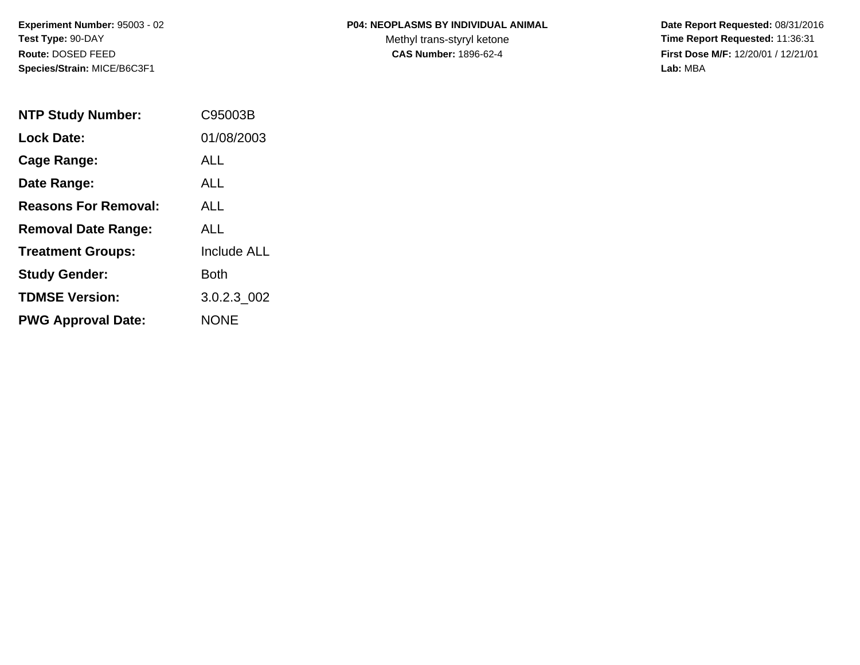#### **P04: NEOPLASMS BY INDIVIDUAL ANIMAL**

Methyl trans-styryl ketone<br>CAS Number: 1896-62-4

 **Date Report Requested:** 08/31/2016 **Time Report Requested:** 11:36:31 **First Dose M/F:** 12/20/01 / 12/21/01<br>Lab: MBA **Lab:** MBA

| <b>NTP Study Number:</b>    | C95003B            |
|-----------------------------|--------------------|
| <b>Lock Date:</b>           | 01/08/2003         |
| Cage Range:                 | ALL                |
| Date Range:                 | ALL.               |
| <b>Reasons For Removal:</b> | ALL.               |
| <b>Removal Date Range:</b>  | ALL                |
| <b>Treatment Groups:</b>    | <b>Include ALL</b> |
| <b>Study Gender:</b>        | Both               |
| <b>TDMSE Version:</b>       | 3.0.2.3 002        |
| <b>PWG Approval Date:</b>   | <b>NONE</b>        |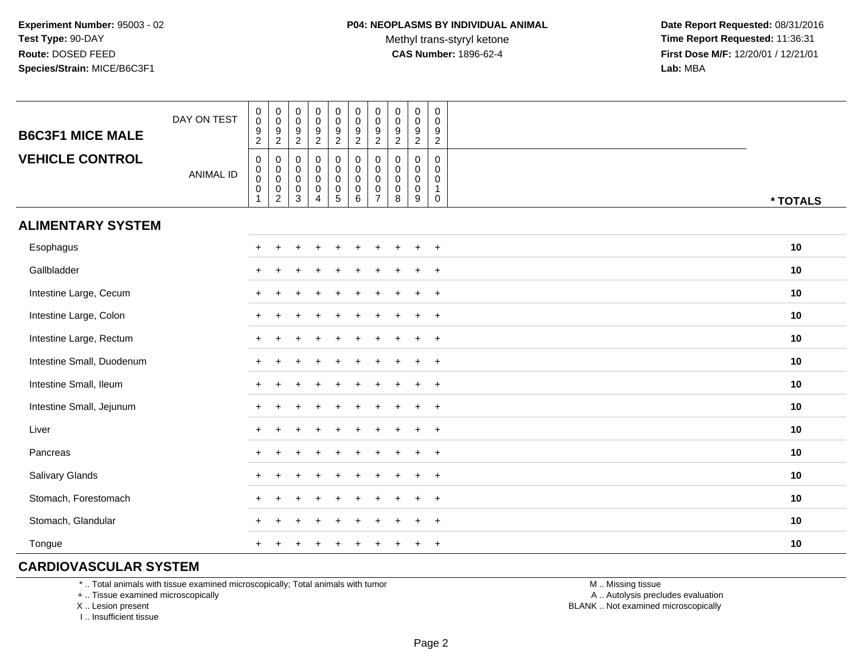**Date Report Requested:** 08/31/2016 **Time Report Requested:** 11:36:31 **First Dose M/F:** 12/20/01 / 12/21/01<br>Lab: MBA **Lab:** MBA

| <b>B6C3F1 MICE MALE</b>   | DAY ON TEST      | $_{\rm 0}^{\rm 0}$<br>$\frac{9}{2}$              | $\begin{smallmatrix} 0\\0 \end{smallmatrix}$<br>$\frac{9}{2}$                                     | $_{\rm 0}^{\rm 0}$<br>$\boldsymbol{9}$<br>$\overline{2}$      | $\pmb{0}$<br>$\mathbf 0$<br>$\boldsymbol{9}$<br>$\overline{2}$ | $\pmb{0}$<br>$\mathbf 0$<br>$\boldsymbol{9}$<br>$\overline{2}$       | $\pmb{0}$<br>$\mathbf 0$<br>$\boldsymbol{9}$<br>$\overline{2}$ | $\pmb{0}$<br>$\mathsf{O}\xspace$<br>$\boldsymbol{9}$<br>$\overline{2}$     | $_{\rm 0}^{\rm 0}$<br>$\boldsymbol{9}$<br>$\overline{2}$ | $\pmb{0}$<br>$\mathbf 0$<br>$\frac{9}{2}$ | $\mathbf 0$<br>$\mathbf 0$<br>$\frac{9}{2}$                                |          |  |
|---------------------------|------------------|--------------------------------------------------|---------------------------------------------------------------------------------------------------|---------------------------------------------------------------|----------------------------------------------------------------|----------------------------------------------------------------------|----------------------------------------------------------------|----------------------------------------------------------------------------|----------------------------------------------------------|-------------------------------------------|----------------------------------------------------------------------------|----------|--|
| <b>VEHICLE CONTROL</b>    | <b>ANIMAL ID</b> | $\pmb{0}$<br>$\pmb{0}$<br>$\pmb{0}$<br>$\pmb{0}$ | 0<br>$\begin{smallmatrix} 0\\0 \end{smallmatrix}$<br>$\begin{smallmatrix} 0\\2 \end{smallmatrix}$ | $\mathbf 0$<br>$\mathbf 0$<br>$\mathbf 0$<br>$\mathbf 0$<br>3 | 0<br>$\mathbf 0$<br>$\mathbf 0$<br>$\pmb{0}$<br>$\overline{4}$ | $\pmb{0}$<br>$\pmb{0}$<br>$\mathbf 0$<br>$\pmb{0}$<br>$\overline{5}$ | 0<br>0<br>$\mathbf 0$<br>$\pmb{0}$<br>6                        | $\mathbf 0$<br>$\mathbf 0$<br>$\mathbf 0$<br>$\mathbf 0$<br>$\overline{7}$ | $\mathbf 0$<br>0<br>$\mathbf 0$<br>$\pmb{0}$<br>8        | 0<br>0<br>0<br>$\mathbf 0$<br>9           | $\mathbf 0$<br>$\mathbf 0$<br>$\mathbf 0$<br>$\overline{1}$<br>$\mathbf 0$ | * TOTALS |  |
| <b>ALIMENTARY SYSTEM</b>  |                  |                                                  |                                                                                                   |                                                               |                                                                |                                                                      |                                                                |                                                                            |                                                          |                                           |                                                                            |          |  |
| Esophagus                 |                  | $\pm$                                            |                                                                                                   |                                                               |                                                                |                                                                      |                                                                |                                                                            |                                                          | $\pm$                                     | $+$                                                                        | 10       |  |
| Gallbladder               |                  | $\ddot{}$                                        |                                                                                                   |                                                               |                                                                |                                                                      |                                                                |                                                                            |                                                          |                                           | $^{+}$                                                                     | 10       |  |
| Intestine Large, Cecum    |                  |                                                  |                                                                                                   |                                                               |                                                                |                                                                      |                                                                |                                                                            |                                                          |                                           | $\overline{1}$                                                             | $10$     |  |
| Intestine Large, Colon    |                  | $\pm$                                            |                                                                                                   |                                                               |                                                                |                                                                      |                                                                |                                                                            |                                                          |                                           | $\ddot{}$                                                                  | 10       |  |
| Intestine Large, Rectum   |                  | $\pm$                                            |                                                                                                   |                                                               |                                                                |                                                                      |                                                                |                                                                            |                                                          | $\ddot{}$                                 | $+$                                                                        | 10       |  |
| Intestine Small, Duodenum |                  | $\ddot{}$                                        |                                                                                                   |                                                               |                                                                |                                                                      |                                                                |                                                                            |                                                          | $\pm$                                     | $+$                                                                        | 10       |  |
| Intestine Small, Ileum    |                  | $\ddot{}$                                        |                                                                                                   |                                                               | ÷.                                                             |                                                                      |                                                                |                                                                            | $\ddot{}$                                                | $+$                                       | $+$                                                                        | 10       |  |
| Intestine Small, Jejunum  |                  |                                                  |                                                                                                   |                                                               |                                                                |                                                                      |                                                                |                                                                            | $\div$                                                   | $\ddot{}$                                 | $+$                                                                        | $10$     |  |
| Liver                     |                  | $+$                                              |                                                                                                   |                                                               |                                                                |                                                                      |                                                                |                                                                            |                                                          | $\ddot{}$                                 | $+$                                                                        | 10       |  |
| Pancreas                  |                  | $+$                                              | $+$                                                                                               |                                                               |                                                                |                                                                      |                                                                |                                                                            |                                                          | $\ddot{}$                                 | $+$                                                                        | 10       |  |
| Salivary Glands           |                  | $\pm$                                            |                                                                                                   |                                                               |                                                                |                                                                      |                                                                |                                                                            |                                                          |                                           | $^{+}$                                                                     | 10       |  |
| Stomach, Forestomach      |                  | $\ddot{}$                                        |                                                                                                   |                                                               |                                                                |                                                                      |                                                                |                                                                            |                                                          |                                           | $\overline{1}$                                                             | 10       |  |
| Stomach, Glandular        |                  |                                                  |                                                                                                   |                                                               |                                                                |                                                                      |                                                                |                                                                            |                                                          |                                           | $\overline{1}$                                                             | 10       |  |
| Tongue                    |                  | $\ddot{}$                                        |                                                                                                   |                                                               | ÷                                                              |                                                                      |                                                                |                                                                            | $\div$                                                   | $\ddot{}$                                 | $^{+}$                                                                     | 10       |  |

## **CARDIOVASCULAR SYSTEM**

\* .. Total animals with tissue examined microscopically; Total animals with tumor

+ .. Tissue examined microscopically

X .. Lesion present

I .. Insufficient tissue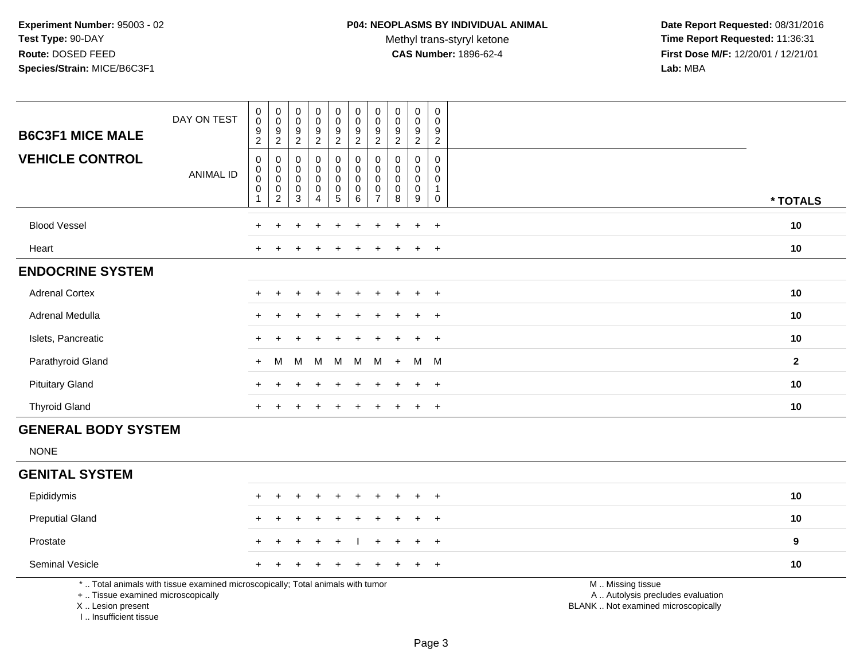Methyl trans-styryl ketone<br>CAS Number: 1896-62-4

 **Date Report Requested:** 08/31/2016 **Time Report Requested:** 11:36:31 **First Dose M/F:** 12/20/01 / 12/21/01<br>Lab: MBA **Lab:** MBA

| <b>B6C3F1 MICE MALE</b>                                                                                                                                            | DAY ON TEST      | 0<br>$\bar{0}$<br>$\frac{9}{2}$                    | $\pmb{0}$<br>$\overline{0}$<br>$\frac{9}{2}$                                 | $\boldsymbol{0}$<br>$\mathsf{O}\xspace$<br>$\frac{9}{2}$                 | $\pmb{0}$<br>$\pmb{0}$<br>9<br>$\overline{2}$                        | $\pmb{0}$<br>$\pmb{0}$<br>9<br>$\overline{2}$              | $\mathbf 0$<br>$\pmb{0}$<br>$\boldsymbol{9}$<br>$\overline{2}$                    | $\pmb{0}$<br>$\pmb{0}$<br>9<br>$\overline{2}$          | $\pmb{0}$<br>$\pmb{0}$<br>$\frac{9}{2}$   | $\pmb{0}$<br>$\pmb{0}$<br>$\frac{9}{2}$                     | $\pmb{0}$<br>$\mathbf 0$<br>9<br>$\sqrt{2}$                          |                                                                                               |                  |
|--------------------------------------------------------------------------------------------------------------------------------------------------------------------|------------------|----------------------------------------------------|------------------------------------------------------------------------------|--------------------------------------------------------------------------|----------------------------------------------------------------------|------------------------------------------------------------|-----------------------------------------------------------------------------------|--------------------------------------------------------|-------------------------------------------|-------------------------------------------------------------|----------------------------------------------------------------------|-----------------------------------------------------------------------------------------------|------------------|
| <b>VEHICLE CONTROL</b>                                                                                                                                             | <b>ANIMAL ID</b> | $\mathbf 0$<br>$\mathbf 0$<br>$\bar{0}$<br>0<br>-1 | $\pmb{0}$<br>$\pmb{0}$<br>$\ddot{\mathbf{0}}$<br>$\pmb{0}$<br>$\overline{2}$ | $\mathbf 0$<br>$\mathbf 0$<br>$\mathbf 0$<br>$\mathbf 0$<br>$\mathbf{3}$ | $\mathbf 0$<br>$\mathbf 0$<br>$\mathbf 0$<br>$\mathbf 0$<br>$\Delta$ | 0<br>$\pmb{0}$<br>$\pmb{0}$<br>$\pmb{0}$<br>$\overline{5}$ | $\pmb{0}$<br>$\mathsf 0$<br>$\ddot{\mathbf{0}}$<br>$\mathsf 0$<br>$6\overline{6}$ | 0<br>$\mathbf 0$<br>$\mathbf 0$<br>0<br>$\overline{7}$ | $\mathbf 0$<br>$\mathbf 0$<br>0<br>0<br>8 | $\mathbf 0$<br>$\mathbf 0$<br>$\pmb{0}$<br>$\mathbf 0$<br>9 | $\mathbf 0$<br>$\Omega$<br>$\mathbf 0$<br>$\mathbf 1$<br>$\mathbf 0$ |                                                                                               | * TOTALS         |
| <b>Blood Vessel</b>                                                                                                                                                |                  |                                                    |                                                                              |                                                                          |                                                                      |                                                            |                                                                                   |                                                        |                                           |                                                             | $+$                                                                  |                                                                                               | 10               |
| Heart                                                                                                                                                              |                  |                                                    |                                                                              |                                                                          |                                                                      |                                                            |                                                                                   |                                                        |                                           |                                                             | $+$                                                                  |                                                                                               | 10               |
| <b>ENDOCRINE SYSTEM</b>                                                                                                                                            |                  |                                                    |                                                                              |                                                                          |                                                                      |                                                            |                                                                                   |                                                        |                                           |                                                             |                                                                      |                                                                                               |                  |
| <b>Adrenal Cortex</b>                                                                                                                                              |                  |                                                    |                                                                              |                                                                          |                                                                      |                                                            |                                                                                   |                                                        |                                           |                                                             | $\overline{+}$                                                       |                                                                                               | 10               |
| Adrenal Medulla                                                                                                                                                    |                  |                                                    |                                                                              |                                                                          |                                                                      |                                                            |                                                                                   |                                                        |                                           | ÷.                                                          | $+$                                                                  |                                                                                               | 10               |
| Islets, Pancreatic                                                                                                                                                 |                  | $+$                                                |                                                                              |                                                                          |                                                                      |                                                            |                                                                                   |                                                        |                                           | $\div$                                                      | $\overline{+}$                                                       |                                                                                               | 10               |
| Parathyroid Gland                                                                                                                                                  |                  | $\ddot{}$                                          | м                                                                            | м                                                                        | M                                                                    | M                                                          | M                                                                                 | M                                                      | $\ddot{}$                                 | M                                                           | $M_{\odot}$                                                          |                                                                                               | $\overline{2}$   |
| <b>Pituitary Gland</b>                                                                                                                                             |                  | $+$                                                |                                                                              |                                                                          |                                                                      |                                                            |                                                                                   |                                                        |                                           | $\div$                                                      | $+$                                                                  |                                                                                               | 10               |
| <b>Thyroid Gland</b>                                                                                                                                               |                  | $+$                                                |                                                                              |                                                                          |                                                                      |                                                            |                                                                                   | $\div$                                                 |                                           | $\div$                                                      | $+$                                                                  |                                                                                               | 10               |
| <b>GENERAL BODY SYSTEM</b>                                                                                                                                         |                  |                                                    |                                                                              |                                                                          |                                                                      |                                                            |                                                                                   |                                                        |                                           |                                                             |                                                                      |                                                                                               |                  |
| <b>NONE</b>                                                                                                                                                        |                  |                                                    |                                                                              |                                                                          |                                                                      |                                                            |                                                                                   |                                                        |                                           |                                                             |                                                                      |                                                                                               |                  |
| <b>GENITAL SYSTEM</b>                                                                                                                                              |                  |                                                    |                                                                              |                                                                          |                                                                      |                                                            |                                                                                   |                                                        |                                           |                                                             |                                                                      |                                                                                               |                  |
| Epididymis                                                                                                                                                         |                  | $+$                                                | $\ddot{}$                                                                    |                                                                          |                                                                      | $\ddot{}$                                                  |                                                                                   |                                                        |                                           | $\ddot{}$                                                   | $+$                                                                  |                                                                                               | 10               |
| <b>Preputial Gland</b>                                                                                                                                             |                  |                                                    |                                                                              |                                                                          |                                                                      |                                                            |                                                                                   |                                                        |                                           |                                                             | $\ddot{}$                                                            |                                                                                               | 10               |
| Prostate                                                                                                                                                           |                  |                                                    |                                                                              |                                                                          |                                                                      |                                                            |                                                                                   |                                                        |                                           |                                                             | $+$                                                                  |                                                                                               | $\boldsymbol{9}$ |
| Seminal Vesicle                                                                                                                                                    |                  |                                                    |                                                                              |                                                                          |                                                                      |                                                            |                                                                                   |                                                        |                                           |                                                             | $+$                                                                  |                                                                                               | 10               |
| *  Total animals with tissue examined microscopically; Total animals with tumor<br>+  Tissue examined microscopically<br>X Lesion present<br>I Insufficient tissue |                  |                                                    |                                                                              |                                                                          |                                                                      |                                                            |                                                                                   |                                                        |                                           |                                                             |                                                                      | M  Missing tissue<br>A  Autolysis precludes evaluation<br>BLANK  Not examined microscopically |                  |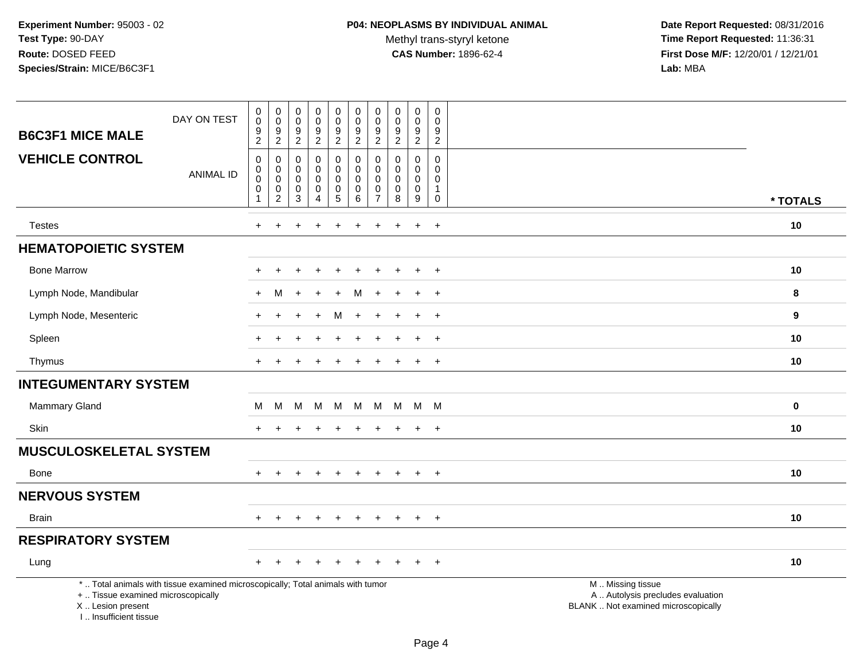Methyl trans-styryl ketone<br>CAS Number: 1896-62-4

 **Date Report Requested:** 08/31/2016 **Time Report Requested:** 11:36:31 **First Dose M/F:** 12/20/01 / 12/21/01<br>Lab: MBA **Lab:** MBA

| <b>B6C3F1 MICE MALE</b>                                                         | DAY ON TEST                                                                     | $\mathbf 0$<br>$\mathbf 0$<br>9<br>$\overline{c}$              | $\pmb{0}$<br>$\mathbf 0$<br>$\frac{9}{2}$ | $\pmb{0}$<br>$\mathbf 0$<br>$\frac{9}{2}$                     | $\pmb{0}$<br>$\pmb{0}$<br>$\frac{9}{2}$                | 0<br>$\pmb{0}$<br>9<br>$\overline{2}$ | $\pmb{0}$<br>$\pmb{0}$<br>$9\,$<br>$\sqrt{2}$            | $\pmb{0}$<br>$\pmb{0}$<br>9<br>$\overline{2}$ | $\mathbf 0$<br>$\pmb{0}$<br>$\frac{9}{2}$ | $\pmb{0}$<br>$\pmb{0}$<br>9<br>$\overline{2}$            | $\boldsymbol{0}$<br>$\mathbf 0$<br>9<br>$\overline{2}$   |                                                                                               |          |
|---------------------------------------------------------------------------------|---------------------------------------------------------------------------------|----------------------------------------------------------------|-------------------------------------------|---------------------------------------------------------------|--------------------------------------------------------|---------------------------------------|----------------------------------------------------------|-----------------------------------------------|-------------------------------------------|----------------------------------------------------------|----------------------------------------------------------|-----------------------------------------------------------------------------------------------|----------|
| <b>VEHICLE CONTROL</b>                                                          | <b>ANIMAL ID</b>                                                                | $\mathbf 0$<br>$\mathbf 0$<br>$\mathbf 0$<br>$\mathbf 0$<br>-1 | $\pmb{0}$<br>0<br>$\pmb{0}$<br>0          | $\mathbf 0$<br>$\mathbf 0$<br>$\boldsymbol{0}$<br>$\mathbf 0$ | $\mathbf 0$<br>$\mathbf 0$<br>$\pmb{0}$<br>$\mathbf 0$ | 0<br>0<br>$\pmb{0}$<br>$\mathbf 0$    | $\mathbf 0$<br>$\mathbf 0$<br>$\mathbf 0$<br>$\mathbf 0$ | 0<br>$\mathbf 0$<br>0<br>0<br>$\overline{7}$  | 0<br>0<br>0<br>$\mathbf 0$                | $\mathbf 0$<br>$\mathbf 0$<br>$\mathbf 0$<br>$\mathbf 0$ | $\mathbf 0$<br>$\Omega$<br>$\mathbf 0$<br>$\overline{1}$ |                                                                                               |          |
|                                                                                 |                                                                                 |                                                                | $\overline{c}$                            | $\ensuremath{\mathsf{3}}$                                     | 4                                                      | $\overline{5}$                        | $\,6\,$                                                  |                                               | 8                                         | 9                                                        | $\boldsymbol{0}$                                         |                                                                                               | * TOTALS |
| <b>Testes</b>                                                                   |                                                                                 | $\ddot{}$                                                      |                                           |                                                               |                                                        |                                       |                                                          | $\pm$                                         | ÷                                         | $\overline{+}$                                           | $+$                                                      |                                                                                               | 10       |
| <b>HEMATOPOIETIC SYSTEM</b>                                                     |                                                                                 |                                                                |                                           |                                                               |                                                        |                                       |                                                          |                                               |                                           |                                                          |                                                          |                                                                                               |          |
| <b>Bone Marrow</b>                                                              |                                                                                 |                                                                |                                           |                                                               |                                                        |                                       |                                                          |                                               |                                           |                                                          | $\ddot{}$                                                |                                                                                               | 10       |
| Lymph Node, Mandibular                                                          |                                                                                 |                                                                | M                                         |                                                               |                                                        | $\div$                                | м                                                        |                                               |                                           |                                                          | $\overline{+}$                                           |                                                                                               | 8        |
| Lymph Node, Mesenteric                                                          |                                                                                 |                                                                |                                           |                                                               | $\overline{ }$                                         | M                                     | $\ddot{}$                                                | ÷.                                            |                                           | $\overline{+}$                                           | $+$                                                      |                                                                                               | 9        |
| Spleen                                                                          |                                                                                 |                                                                |                                           |                                                               |                                                        |                                       |                                                          |                                               |                                           |                                                          | $\div$                                                   |                                                                                               | 10       |
| Thymus                                                                          |                                                                                 |                                                                |                                           |                                                               |                                                        |                                       |                                                          |                                               |                                           | $\ddot{}$                                                | $+$                                                      |                                                                                               | 10       |
| <b>INTEGUMENTARY SYSTEM</b>                                                     |                                                                                 |                                                                |                                           |                                                               |                                                        |                                       |                                                          |                                               |                                           |                                                          |                                                          |                                                                                               |          |
| Mammary Gland                                                                   |                                                                                 | M                                                              | M                                         | M                                                             | м                                                      | M                                     | M                                                        | M                                             | M                                         | M M                                                      |                                                          |                                                                                               | 0        |
| Skin                                                                            |                                                                                 |                                                                |                                           |                                                               |                                                        | ÷                                     |                                                          |                                               | ÷                                         | $\overline{+}$                                           | $+$                                                      |                                                                                               | 10       |
| <b>MUSCULOSKELETAL SYSTEM</b>                                                   |                                                                                 |                                                                |                                           |                                                               |                                                        |                                       |                                                          |                                               |                                           |                                                          |                                                          |                                                                                               |          |
| Bone                                                                            |                                                                                 | $+$                                                            | $\pm$                                     | $\pm$                                                         | $\div$                                                 | $+$                                   | $+$                                                      | $+$                                           | $+$                                       | $+$                                                      | $+$                                                      |                                                                                               | 10       |
| <b>NERVOUS SYSTEM</b>                                                           |                                                                                 |                                                                |                                           |                                                               |                                                        |                                       |                                                          |                                               |                                           |                                                          |                                                          |                                                                                               |          |
| <b>Brain</b>                                                                    |                                                                                 |                                                                | $\ddot{}$                                 |                                                               | $\div$                                                 | $\ddot{}$                             | $\ddot{}$                                                | $\ddot{}$                                     | $\pm$                                     | $\ddot{}$                                                | $+$                                                      |                                                                                               | 10       |
| <b>RESPIRATORY SYSTEM</b>                                                       |                                                                                 |                                                                |                                           |                                                               |                                                        |                                       |                                                          |                                               |                                           |                                                          |                                                          |                                                                                               |          |
| Lung                                                                            |                                                                                 |                                                                |                                           |                                                               |                                                        |                                       |                                                          |                                               |                                           |                                                          | $\overline{+}$                                           |                                                                                               | 10       |
| +  Tissue examined microscopically<br>X Lesion present<br>I Insufficient tissue | *  Total animals with tissue examined microscopically; Total animals with tumor |                                                                |                                           |                                                               |                                                        |                                       |                                                          |                                               |                                           |                                                          |                                                          | M  Missing tissue<br>A  Autolysis precludes evaluation<br>BLANK  Not examined microscopically |          |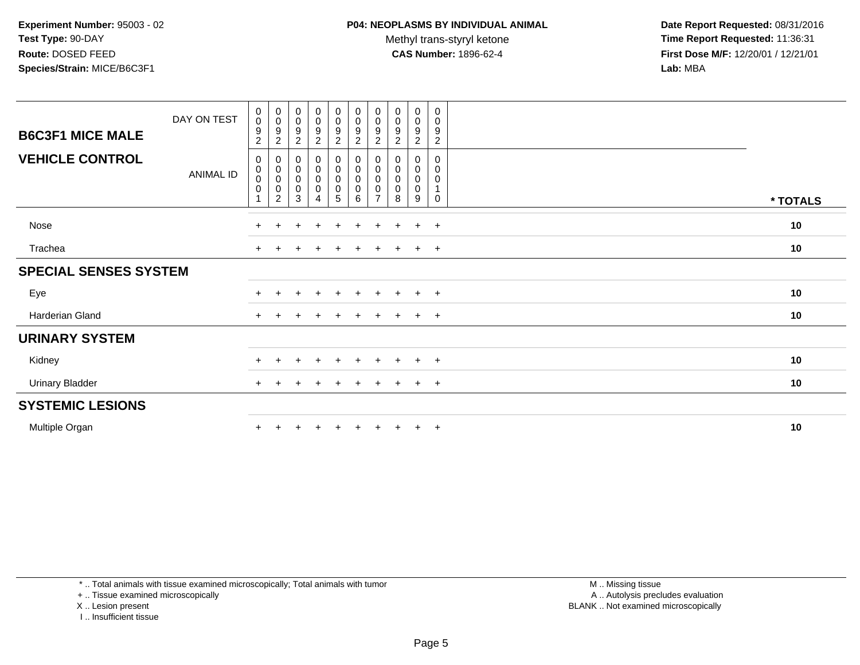Methyl trans-styryl ketone<br>CAS Number: 1896-62-4

 **Date Report Requested:** 08/31/2016 **Time Report Requested:** 11:36:31 **First Dose M/F:** 12/20/01 / 12/21/01<br>**Lab:** MBA **Lab:** MBA

| <b>B6C3F1 MICE MALE</b>      | DAY ON TEST      | 0<br>$\mathbf 0$<br>$\boldsymbol{9}$<br>$\overline{2}$ | $\overline{0}$<br>$\pmb{0}$<br>$\boldsymbol{9}$<br>$\sqrt{2}$           | $\pmb{0}$<br>$\pmb{0}$<br>9<br>$\overline{c}$         | $\begin{smallmatrix}0\0\0\end{smallmatrix}$<br>$\boldsymbol{9}$<br>$\overline{2}$ | 0<br>$\boldsymbol{0}$<br>9<br>$\overline{2}$ | $_{\rm 0}^{\rm 0}$<br>$\frac{9}{2}$                     | $\pmb{0}$<br>$\pmb{0}$<br>9<br>$\overline{c}$      | $\pmb{0}$<br>$\pmb{0}$<br>9<br>2        | 0<br>$\mathsf{O}\xspace$<br>9<br>$\overline{c}$ | 0<br>0<br>9<br>$\overline{a}$ |          |
|------------------------------|------------------|--------------------------------------------------------|-------------------------------------------------------------------------|-------------------------------------------------------|-----------------------------------------------------------------------------------|----------------------------------------------|---------------------------------------------------------|----------------------------------------------------|-----------------------------------------|-------------------------------------------------|-------------------------------|----------|
| <b>VEHICLE CONTROL</b>       | <b>ANIMAL ID</b> | 0<br>$\pmb{0}$<br>$\pmb{0}$<br>$\boldsymbol{0}$        | $\pmb{0}$<br>$\boldsymbol{0}$<br>$\pmb{0}$<br>$\,0\,$<br>$\overline{2}$ | $\pmb{0}$<br>$\pmb{0}$<br>$\pmb{0}$<br>$\pmb{0}$<br>3 | $\begin{smallmatrix}0\0\0\0\0\end{smallmatrix}$<br>4                              | 0<br>0<br>0<br>0<br>5                        | $_{\rm 0}^{\rm 0}$<br>$\pmb{0}$<br>$\pmb{0}$<br>$\,6\,$ | 0<br>$\pmb{0}$<br>$\pmb{0}$<br>0<br>$\overline{7}$ | 0<br>$\mathbf 0$<br>$\pmb{0}$<br>0<br>8 | 0<br>0<br>$\pmb{0}$<br>$\mathbf 0$<br>9         | 0<br>0<br>0<br>0              | * TOTALS |
| Nose                         |                  |                                                        |                                                                         |                                                       | $\div$                                                                            | $\pm$                                        | $\pm$                                                   | $\pm$                                              |                                         | $\ddot{}$                                       | $+$                           | 10       |
| Trachea                      |                  | $+$                                                    |                                                                         |                                                       | $\div$                                                                            | $\pm$                                        | $\div$                                                  | $\ddot{}$                                          |                                         | $\pm$                                           | $+$                           | 10       |
| <b>SPECIAL SENSES SYSTEM</b> |                  |                                                        |                                                                         |                                                       |                                                                                   |                                              |                                                         |                                                    |                                         |                                                 |                               |          |
| Eye                          |                  |                                                        |                                                                         |                                                       | $\ddot{}$                                                                         | $+$                                          | $+$                                                     | $\pm$                                              | $+$                                     | $+$                                             | $+$                           | 10       |
| Harderian Gland              |                  | $+$                                                    |                                                                         |                                                       | $\div$                                                                            | $\pm$                                        | $\div$                                                  | $\ddot{}$                                          |                                         | $+$                                             | $+$                           | 10       |
| <b>URINARY SYSTEM</b>        |                  |                                                        |                                                                         |                                                       |                                                                                   |                                              |                                                         |                                                    |                                         |                                                 |                               |          |
| Kidney                       |                  |                                                        |                                                                         |                                                       | $\div$                                                                            | $+$                                          | $\div$                                                  | $\ddot{}$                                          |                                         | $+$                                             | $+$                           | 10       |
| <b>Urinary Bladder</b>       |                  |                                                        |                                                                         |                                                       | +                                                                                 | $\pm$                                        |                                                         |                                                    |                                         | $\ddot{}$                                       | $+$                           | 10       |
| <b>SYSTEMIC LESIONS</b>      |                  |                                                        |                                                                         |                                                       |                                                                                   |                                              |                                                         |                                                    |                                         |                                                 |                               |          |
| Multiple Organ               |                  |                                                        |                                                                         |                                                       |                                                                                   |                                              |                                                         |                                                    |                                         | $+$                                             | $+$                           | 10       |

\* .. Total animals with tissue examined microscopically; Total animals with tumor

+ .. Tissue examined microscopically

X .. Lesion present

I .. Insufficient tissue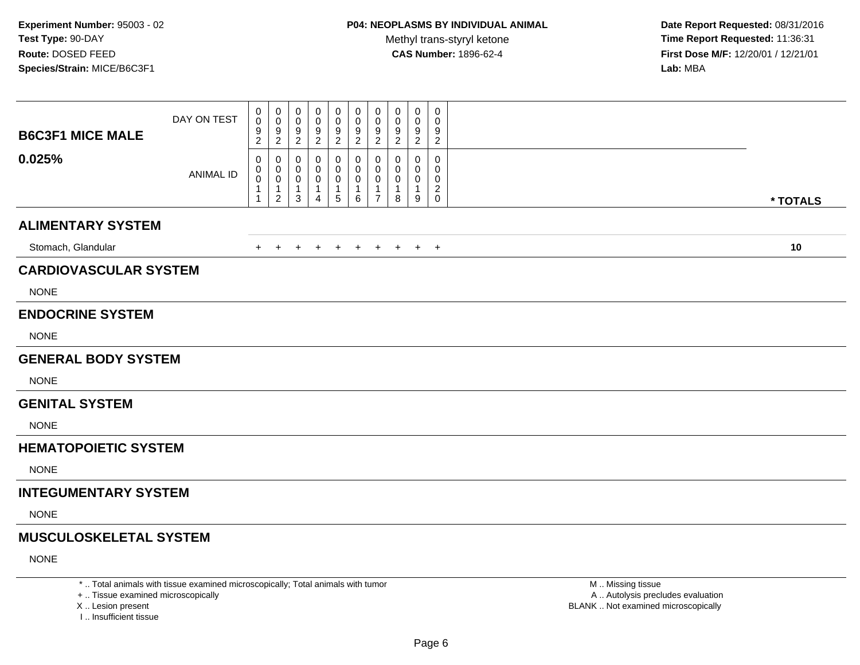**Date Report Requested:** 08/31/2016 **Time Report Requested:** 11:36:31 **First Dose M/F:** 12/20/01 / 12/21/01<br>Lab: MBA **Lab:** MBA

| <b>B6C3F1 MICE MALE</b>       | DAY ON TEST      | 0<br>$\mathbf 0$<br>$\boldsymbol{9}$<br>$\overline{2}$        | 0<br>$\mathbf 0$<br>$\frac{9}{2}$                                   | 0<br>$\mathbf 0$<br>9<br>$\overline{2}$                          | 0<br>$\Omega$<br>9<br>$\sqrt{2}$ | 0<br>0<br>9<br>$\boldsymbol{2}$ | 0<br>0<br>$\boldsymbol{9}$<br>$\overline{c}$ | 0<br>$\mathbf 0$<br>$\boldsymbol{9}$<br>$\overline{2}$  | 0<br>0<br>9<br>$\overline{2}$ | $\mathbf 0$<br>0<br>$9\,$<br>$\overline{2}$ | $\boldsymbol{0}$<br>$\mathbf 0$<br>9<br>$\overline{2}$ |          |
|-------------------------------|------------------|---------------------------------------------------------------|---------------------------------------------------------------------|------------------------------------------------------------------|----------------------------------|---------------------------------|----------------------------------------------|---------------------------------------------------------|-------------------------------|---------------------------------------------|--------------------------------------------------------|----------|
| 0.025%                        | <b>ANIMAL ID</b> | $\mathbf 0$<br>0<br>$\pmb{0}$<br>$\mathbf{1}$<br>$\mathbf{1}$ | 0<br>$\mathbf 0$<br>$\mathbf 0$<br>$\overline{1}$<br>$\overline{2}$ | 0<br>$\mathbf{0}$<br>$\mathbf 0$<br>$\mathbf{1}$<br>$\mathbf{3}$ | 0<br>0<br>$\mathbf 0$<br>1<br>4  | 0<br>0<br>0<br>1<br>5           | 0<br>$\mathbf{0}$<br>$\mathbf 0$<br>1<br>6   | 0<br>0<br>$\mathbf 0$<br>$\mathbf{1}$<br>$\overline{7}$ | 0<br>0<br>0<br>8              | 0<br>0<br>0<br>$\mathbf{1}$<br>9            | 0<br>0<br>$\mathbf 0$<br>$\overline{c}$<br>$\mathbf 0$ |          |
|                               |                  |                                                               |                                                                     |                                                                  |                                  |                                 |                                              |                                                         |                               |                                             |                                                        | * TOTALS |
| <b>ALIMENTARY SYSTEM</b>      |                  |                                                               |                                                                     |                                                                  |                                  |                                 |                                              |                                                         |                               |                                             |                                                        |          |
| Stomach, Glandular            |                  | $+$                                                           | $+$                                                                 | $+$                                                              | $\pm$                            | $+$                             | $+$                                          | $+$                                                     | $+$                           |                                             | $+$ $+$                                                | 10       |
| <b>CARDIOVASCULAR SYSTEM</b>  |                  |                                                               |                                                                     |                                                                  |                                  |                                 |                                              |                                                         |                               |                                             |                                                        |          |
| <b>NONE</b>                   |                  |                                                               |                                                                     |                                                                  |                                  |                                 |                                              |                                                         |                               |                                             |                                                        |          |
| <b>ENDOCRINE SYSTEM</b>       |                  |                                                               |                                                                     |                                                                  |                                  |                                 |                                              |                                                         |                               |                                             |                                                        |          |
| <b>NONE</b>                   |                  |                                                               |                                                                     |                                                                  |                                  |                                 |                                              |                                                         |                               |                                             |                                                        |          |
| <b>GENERAL BODY SYSTEM</b>    |                  |                                                               |                                                                     |                                                                  |                                  |                                 |                                              |                                                         |                               |                                             |                                                        |          |
| <b>NONE</b>                   |                  |                                                               |                                                                     |                                                                  |                                  |                                 |                                              |                                                         |                               |                                             |                                                        |          |
| <b>GENITAL SYSTEM</b>         |                  |                                                               |                                                                     |                                                                  |                                  |                                 |                                              |                                                         |                               |                                             |                                                        |          |
| <b>NONE</b>                   |                  |                                                               |                                                                     |                                                                  |                                  |                                 |                                              |                                                         |                               |                                             |                                                        |          |
| <b>HEMATOPOIETIC SYSTEM</b>   |                  |                                                               |                                                                     |                                                                  |                                  |                                 |                                              |                                                         |                               |                                             |                                                        |          |
| <b>NONE</b>                   |                  |                                                               |                                                                     |                                                                  |                                  |                                 |                                              |                                                         |                               |                                             |                                                        |          |
| <b>INTEGUMENTARY SYSTEM</b>   |                  |                                                               |                                                                     |                                                                  |                                  |                                 |                                              |                                                         |                               |                                             |                                                        |          |
| <b>NONE</b>                   |                  |                                                               |                                                                     |                                                                  |                                  |                                 |                                              |                                                         |                               |                                             |                                                        |          |
| <b>MUSCULOSKELETAL SYSTEM</b> |                  |                                                               |                                                                     |                                                                  |                                  |                                 |                                              |                                                         |                               |                                             |                                                        |          |
| <b>NONE</b>                   |                  |                                                               |                                                                     |                                                                  |                                  |                                 |                                              |                                                         |                               |                                             |                                                        |          |
|                               |                  |                                                               |                                                                     |                                                                  |                                  |                                 |                                              |                                                         |                               |                                             |                                                        |          |

\* .. Total animals with tissue examined microscopically; Total animals with tumor

+ .. Tissue examined microscopically

X .. Lesion present

I .. Insufficient tissue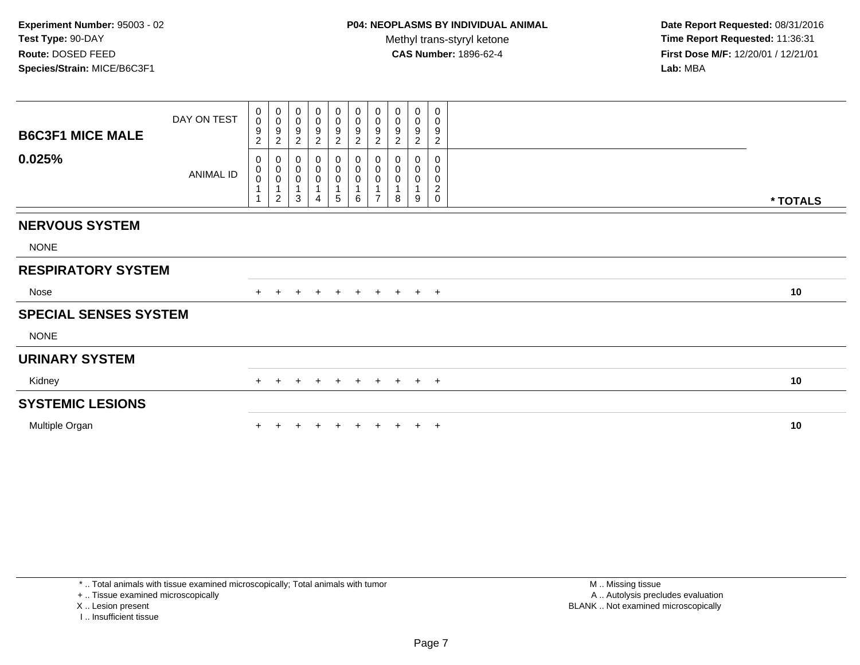| <b>B6C3F1 MICE MALE</b>      | DAY ON TEST | $\pmb{0}$<br>$\pmb{0}$<br>$\boldsymbol{9}$<br>$\boldsymbol{2}$ | $\mathbf 0$<br>$\boldsymbol{0}$<br>$\boldsymbol{9}$<br>$\overline{c}$ | 0<br>$\pmb{0}$<br>9<br>$\overline{c}$   | $\mathbf 0$<br>$\mathsf 0$<br>9<br>$\overline{2}$ | $\begin{smallmatrix}0\0\0\9\end{smallmatrix}$<br>$\boldsymbol{2}$ | $\begin{smallmatrix}0\0\0\end{smallmatrix}$<br>$\frac{9}{2}$ | $\pmb{0}$<br>$\pmb{0}$<br>$\boldsymbol{9}$<br>$\overline{2}$ | $\begin{smallmatrix} 0\\0 \end{smallmatrix}$<br>$\boldsymbol{9}$<br>$\overline{2}$ | $\pmb{0}$<br>$\pmb{0}$<br>$\boldsymbol{9}$<br>$\overline{2}$ | 0<br>0<br>9<br>$\overline{c}$                    |          |
|------------------------------|-------------|----------------------------------------------------------------|-----------------------------------------------------------------------|-----------------------------------------|---------------------------------------------------|-------------------------------------------------------------------|--------------------------------------------------------------|--------------------------------------------------------------|------------------------------------------------------------------------------------|--------------------------------------------------------------|--------------------------------------------------|----------|
| 0.025%                       | ANIMAL ID   | 0<br>$_{\rm 0}^{\rm 0}$<br>$\mathbf{1}$<br>$\mathbf{1}$        | 0<br>$\pmb{0}$<br>$\pmb{0}$<br>$\overline{1}$<br>$\overline{c}$       | 0<br>$\mathbf 0$<br>$\pmb{0}$<br>1<br>3 | 0<br>0<br>$\boldsymbol{0}$<br>4                   | 0<br>$\mathbf 0$<br>$\pmb{0}$<br>1<br>5                           | 0<br>0<br>0<br>6                                             | 0<br>$\pmb{0}$<br>$\pmb{0}$<br>$\overline{7}$                | 0<br>0<br>0<br>8                                                                   | 0<br>0<br>1<br>9                                             | 0<br>$\mathbf 0$<br>$\pmb{0}$<br>$\sqrt{2}$<br>0 | * TOTALS |
| <b>NERVOUS SYSTEM</b>        |             |                                                                |                                                                       |                                         |                                                   |                                                                   |                                                              |                                                              |                                                                                    |                                                              |                                                  |          |
| <b>NONE</b>                  |             |                                                                |                                                                       |                                         |                                                   |                                                                   |                                                              |                                                              |                                                                                    |                                                              |                                                  |          |
| <b>RESPIRATORY SYSTEM</b>    |             |                                                                |                                                                       |                                         |                                                   |                                                                   |                                                              |                                                              |                                                                                    |                                                              |                                                  |          |
| Nose                         |             | $+$                                                            | $\pm$                                                                 |                                         | $\pm$                                             | $\ddot{}$                                                         | $+$                                                          | $+$                                                          |                                                                                    | $+$ $+$ $+$                                                  |                                                  | 10       |
| <b>SPECIAL SENSES SYSTEM</b> |             |                                                                |                                                                       |                                         |                                                   |                                                                   |                                                              |                                                              |                                                                                    |                                                              |                                                  |          |
| <b>NONE</b>                  |             |                                                                |                                                                       |                                         |                                                   |                                                                   |                                                              |                                                              |                                                                                    |                                                              |                                                  |          |
| <b>URINARY SYSTEM</b>        |             |                                                                |                                                                       |                                         |                                                   |                                                                   |                                                              |                                                              |                                                                                    |                                                              |                                                  |          |
| Kidney                       |             | $+$                                                            | $+$                                                                   | $\ddot{}$                               | $+$                                               | $+$                                                               | $+$                                                          | $+$                                                          |                                                                                    | $+$ $+$ $+$                                                  |                                                  | 10       |
| <b>SYSTEMIC LESIONS</b>      |             |                                                                |                                                                       |                                         |                                                   |                                                                   |                                                              |                                                              |                                                                                    |                                                              |                                                  |          |
| Multiple Organ               |             |                                                                |                                                                       |                                         |                                                   |                                                                   |                                                              |                                                              |                                                                                    |                                                              | $+$                                              | 10       |

\* .. Total animals with tissue examined microscopically; Total animals with tumor

+ .. Tissue examined microscopically

X .. Lesion present

I .. Insufficient tissue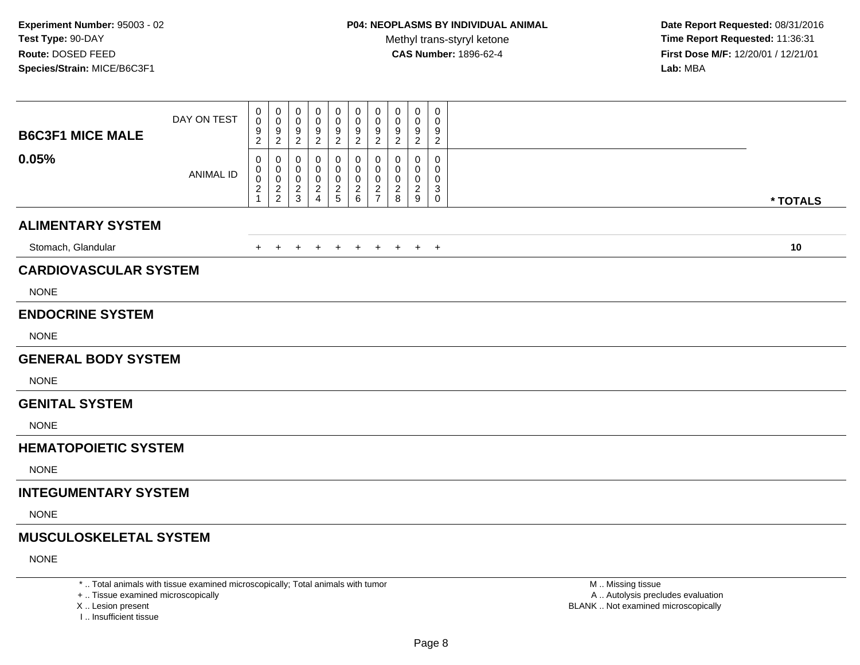**Date Report Requested:** 08/31/2016 **Time Report Requested:** 11:36:31 **First Dose M/F:** 12/20/01 / 12/21/01<br>Lab: MBA **Lab:** MBA

| <b>B6C3F1 MICE MALE</b>       | DAY ON TEST      | $\mathbf 0$<br>$\pmb{0}$<br>9<br>$\overline{2}$          | 0<br>$\mathbf 0$<br>$\frac{9}{2}$                     | 0<br>0<br>9<br>$\overline{2}$          | 0<br>0<br>9<br>$\overline{2}$                   | 0<br>0<br>9<br>$\overline{2}$ | 0<br>$\pmb{0}$<br>$\frac{9}{2}$ | 0<br>$\mathbf 0$<br>$\frac{9}{2}$ | 0<br>$\pmb{0}$<br>$\frac{9}{2}$                  | $\boldsymbol{0}$<br>$\boldsymbol{0}$<br>$\frac{9}{2}$      | $\mathbf 0$<br>$\mathbf 0$<br>9<br>$\sqrt{2}$               |          |
|-------------------------------|------------------|----------------------------------------------------------|-------------------------------------------------------|----------------------------------------|-------------------------------------------------|-------------------------------|---------------------------------|-----------------------------------|--------------------------------------------------|------------------------------------------------------------|-------------------------------------------------------------|----------|
| 0.05%                         | <b>ANIMAL ID</b> | $\mathbf 0$<br>$\mathbf 0$<br>$\pmb{0}$<br>$\frac{2}{1}$ | 0<br>$\boldsymbol{0}$<br>$\mathbf 0$<br>$\frac{2}{2}$ | 0<br>0<br>$\mathbf 0$<br>$\frac{2}{3}$ | 0<br>0<br>0<br>$\overline{c}$<br>$\overline{4}$ | 0<br>0<br>0<br>$rac{2}{5}$    | 0<br>0<br>0<br>$\frac{2}{6}$    | 0<br>0<br>0<br>$\frac{2}{7}$      | $\mathbf 0$<br>0<br>$\mathbf 0$<br>$\frac{2}{8}$ | $\mathbf 0$<br>$\mathbf 0$<br>$\mathbf 0$<br>$\frac{2}{9}$ | $\mathbf 0$<br>$\Omega$<br>$\mathbf 0$<br>$\mathbf{3}$<br>0 | * TOTALS |
| <b>ALIMENTARY SYSTEM</b>      |                  |                                                          |                                                       |                                        |                                                 |                               |                                 |                                   |                                                  |                                                            |                                                             |          |
|                               |                  |                                                          |                                                       |                                        |                                                 |                               |                                 |                                   |                                                  |                                                            |                                                             |          |
| Stomach, Glandular            |                  | $+$                                                      | $+$                                                   | $\overline{+}$                         | $\ddot{}$                                       | $+$                           | $+$                             | $+$                               | $+$                                              |                                                            | $+$ $+$                                                     | 10       |
| <b>CARDIOVASCULAR SYSTEM</b>  |                  |                                                          |                                                       |                                        |                                                 |                               |                                 |                                   |                                                  |                                                            |                                                             |          |
| <b>NONE</b>                   |                  |                                                          |                                                       |                                        |                                                 |                               |                                 |                                   |                                                  |                                                            |                                                             |          |
| <b>ENDOCRINE SYSTEM</b>       |                  |                                                          |                                                       |                                        |                                                 |                               |                                 |                                   |                                                  |                                                            |                                                             |          |
| <b>NONE</b>                   |                  |                                                          |                                                       |                                        |                                                 |                               |                                 |                                   |                                                  |                                                            |                                                             |          |
| <b>GENERAL BODY SYSTEM</b>    |                  |                                                          |                                                       |                                        |                                                 |                               |                                 |                                   |                                                  |                                                            |                                                             |          |
| <b>NONE</b>                   |                  |                                                          |                                                       |                                        |                                                 |                               |                                 |                                   |                                                  |                                                            |                                                             |          |
| <b>GENITAL SYSTEM</b>         |                  |                                                          |                                                       |                                        |                                                 |                               |                                 |                                   |                                                  |                                                            |                                                             |          |
| <b>NONE</b>                   |                  |                                                          |                                                       |                                        |                                                 |                               |                                 |                                   |                                                  |                                                            |                                                             |          |
| <b>HEMATOPOIETIC SYSTEM</b>   |                  |                                                          |                                                       |                                        |                                                 |                               |                                 |                                   |                                                  |                                                            |                                                             |          |
| <b>NONE</b>                   |                  |                                                          |                                                       |                                        |                                                 |                               |                                 |                                   |                                                  |                                                            |                                                             |          |
| <b>INTEGUMENTARY SYSTEM</b>   |                  |                                                          |                                                       |                                        |                                                 |                               |                                 |                                   |                                                  |                                                            |                                                             |          |
| <b>NONE</b>                   |                  |                                                          |                                                       |                                        |                                                 |                               |                                 |                                   |                                                  |                                                            |                                                             |          |
| <b>MUSCULOSKELETAL SYSTEM</b> |                  |                                                          |                                                       |                                        |                                                 |                               |                                 |                                   |                                                  |                                                            |                                                             |          |
| <b>NONE</b>                   |                  |                                                          |                                                       |                                        |                                                 |                               |                                 |                                   |                                                  |                                                            |                                                             |          |
|                               |                  |                                                          |                                                       |                                        |                                                 |                               |                                 |                                   |                                                  |                                                            |                                                             |          |

\* .. Total animals with tissue examined microscopically; Total animals with tumor

+ .. Tissue examined microscopically

X .. Lesion present

I .. Insufficient tissue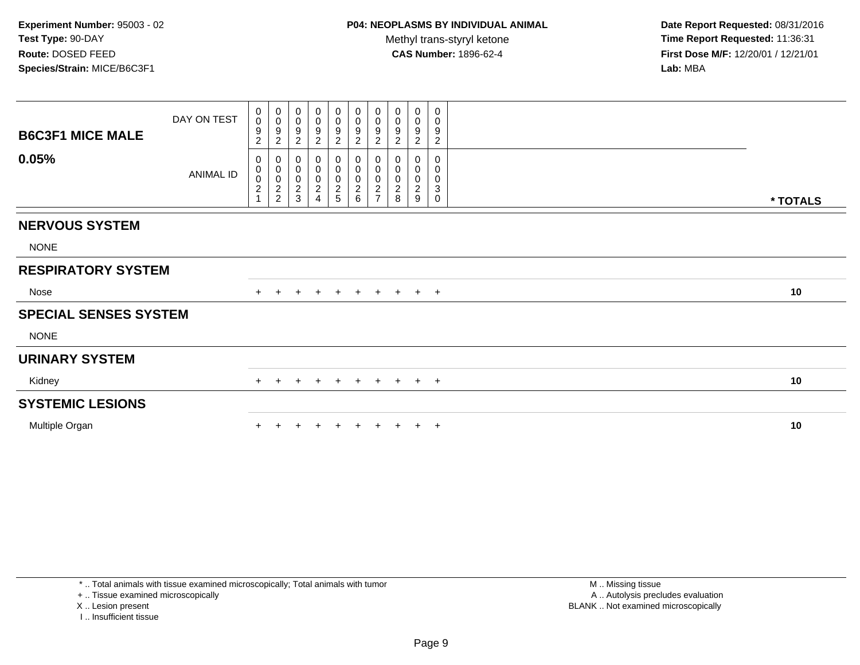| <b>B6C3F1 MICE MALE</b>      | DAY ON TEST | $\mathbf 0$<br>$\mathsf 0$<br>9<br>$\overline{c}$ | $\begin{matrix} 0 \\ 0 \\ 9 \end{matrix}$<br>$\sqrt{2}$ | 0<br>$\mathbf 0$<br>9<br>2                           | 0<br>$\pmb{0}$<br>9<br>$\overline{c}$              | $\mathbf 0$<br>$\mathbf 0$<br>9<br>$\overline{2}$ | $\mathbf 0$<br>$\frac{0}{9}$<br>$\overline{c}$         | 0<br>$\pmb{0}$<br>$\boldsymbol{9}$<br>$\overline{2}$            | 0<br>0<br>9<br>$\overline{2}$           | $\mathbf 0$<br>$\boldsymbol{0}$<br>$\boldsymbol{9}$<br>$\overline{2}$ | 0<br>0<br>9<br>$\overline{2}$ |          |
|------------------------------|-------------|---------------------------------------------------|---------------------------------------------------------|------------------------------------------------------|----------------------------------------------------|---------------------------------------------------|--------------------------------------------------------|-----------------------------------------------------------------|-----------------------------------------|-----------------------------------------------------------------------|-------------------------------|----------|
| 0.05%                        | ANIMAL ID   | 0<br>0<br>$\mathsf 0$<br>$\sqrt{2}$               | 000002                                                  | 0<br>$\pmb{0}$<br>$\pmb{0}$<br>$\boldsymbol{2}$<br>3 | 0<br>$\,0\,$<br>$\mathbf 0$<br>$\overline{c}$<br>4 | 0<br>0<br>$\mathsf{O}\xspace$<br>$rac{2}{5}$      | $\mathbf 0$<br>$\pmb{0}$<br>$\pmb{0}$<br>$\frac{2}{6}$ | 0<br>$\pmb{0}$<br>$\pmb{0}$<br>$\overline{c}$<br>$\overline{ }$ | 0<br>0<br>0<br>$\overline{2}$<br>$\bf8$ | 0<br>0<br>$\mathbf 0$<br>$\boldsymbol{2}$<br>9                        | 0<br>0<br>0<br>3<br>0         | * TOTALS |
|                              |             |                                                   |                                                         |                                                      |                                                    |                                                   |                                                        |                                                                 |                                         |                                                                       |                               |          |
| <b>NERVOUS SYSTEM</b>        |             |                                                   |                                                         |                                                      |                                                    |                                                   |                                                        |                                                                 |                                         |                                                                       |                               |          |
| <b>NONE</b>                  |             |                                                   |                                                         |                                                      |                                                    |                                                   |                                                        |                                                                 |                                         |                                                                       |                               |          |
| <b>RESPIRATORY SYSTEM</b>    |             |                                                   |                                                         |                                                      |                                                    |                                                   |                                                        |                                                                 |                                         |                                                                       |                               |          |
| Nose                         |             |                                                   |                                                         |                                                      | $\pm$                                              | $+$                                               | $+$                                                    | $+$                                                             |                                         | $+$ $+$ $+$                                                           |                               | 10       |
| <b>SPECIAL SENSES SYSTEM</b> |             |                                                   |                                                         |                                                      |                                                    |                                                   |                                                        |                                                                 |                                         |                                                                       |                               |          |
| <b>NONE</b>                  |             |                                                   |                                                         |                                                      |                                                    |                                                   |                                                        |                                                                 |                                         |                                                                       |                               |          |
| <b>URINARY SYSTEM</b>        |             |                                                   |                                                         |                                                      |                                                    |                                                   |                                                        |                                                                 |                                         |                                                                       |                               |          |
| Kidney                       |             | $+$                                               | $\pm$                                                   | $\pm$                                                | $\div$                                             | $\overline{+}$                                    | $+$                                                    | $+$                                                             | $+$                                     | $+$ $+$                                                               |                               | 10       |
| <b>SYSTEMIC LESIONS</b>      |             |                                                   |                                                         |                                                      |                                                    |                                                   |                                                        |                                                                 |                                         |                                                                       |                               |          |
| Multiple Organ               |             |                                                   |                                                         |                                                      |                                                    |                                                   |                                                        |                                                                 |                                         |                                                                       | $+$                           | 10       |

\* .. Total animals with tissue examined microscopically; Total animals with tumor

+ .. Tissue examined microscopically

X .. Lesion present

I .. Insufficient tissue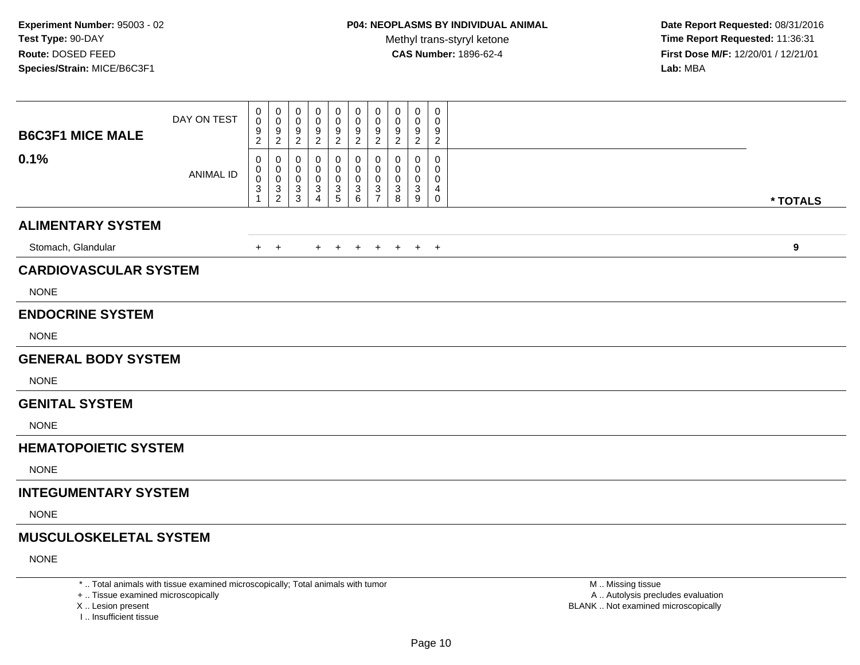**Date Report Requested:** 08/31/2016 **Time Report Requested:** 11:36:31 **First Dose M/F:** 12/20/01 / 12/21/01<br>Lab: MBA **Lab:** MBA

| <b>B6C3F1 MICE MALE</b>       | DAY ON TEST      | 0<br>$\pmb{0}$<br>$\frac{9}{2}$                                | 0<br>$\mathbf 0$<br>$\frac{9}{2}$                           | 0<br>0<br>9<br>$\overline{2}$             | 0<br>0<br>9<br>$\boldsymbol{2}$ | 0<br>0<br>9<br>$\sqrt{2}$                 | 0<br>$\mathbf 0$<br>9<br>$\overline{2}$   | 0<br>$\mathbf 0$<br>$\frac{9}{2}$                      | 0<br>0<br>9<br>$\overline{2}$ | 0<br>0<br>9<br>$\overline{2}$ | $\boldsymbol{0}$<br>0<br>9<br>$\overline{2}$ |          |
|-------------------------------|------------------|----------------------------------------------------------------|-------------------------------------------------------------|-------------------------------------------|---------------------------------|-------------------------------------------|-------------------------------------------|--------------------------------------------------------|-------------------------------|-------------------------------|----------------------------------------------|----------|
| 0.1%                          | <b>ANIMAL ID</b> | 0<br>$\mathbf 0$<br>$\pmb{0}$<br>$\mathsf 3$<br>$\overline{1}$ | $\mathbf{0}$<br>$\mathbf 0$<br>$\mathbf 0$<br>$\frac{3}{2}$ | 0<br>$\mathbf 0$<br>$\mathbf 0$<br>$_3^3$ | 0<br>$\Omega$<br>0<br>3<br>4    | 0<br>0<br>0<br>$\mathbf{3}$<br>$\sqrt{5}$ | 0<br>$\mathbf 0$<br>$\mathbf 0$<br>3<br>6 | 0<br>$\mathbf 0$<br>$\mathbf 0$<br>3<br>$\overline{7}$ | 0<br>0<br>0<br>3<br>8         | 0<br>0<br>0<br>3<br>9         | $\mathbf 0$<br>0<br>0<br>4<br>$\mathbf 0$    | * TOTALS |
| <b>ALIMENTARY SYSTEM</b>      |                  |                                                                |                                                             |                                           |                                 |                                           |                                           |                                                        |                               |                               |                                              |          |
| Stomach, Glandular            |                  |                                                                | $+$ $+$                                                     |                                           | $+$                             | $+$                                       | $+$                                       | $+$                                                    | $+$                           |                               | $+$ $+$                                      | 9        |
| <b>CARDIOVASCULAR SYSTEM</b>  |                  |                                                                |                                                             |                                           |                                 |                                           |                                           |                                                        |                               |                               |                                              |          |
| <b>NONE</b>                   |                  |                                                                |                                                             |                                           |                                 |                                           |                                           |                                                        |                               |                               |                                              |          |
|                               |                  |                                                                |                                                             |                                           |                                 |                                           |                                           |                                                        |                               |                               |                                              |          |
| <b>ENDOCRINE SYSTEM</b>       |                  |                                                                |                                                             |                                           |                                 |                                           |                                           |                                                        |                               |                               |                                              |          |
| <b>NONE</b>                   |                  |                                                                |                                                             |                                           |                                 |                                           |                                           |                                                        |                               |                               |                                              |          |
| <b>GENERAL BODY SYSTEM</b>    |                  |                                                                |                                                             |                                           |                                 |                                           |                                           |                                                        |                               |                               |                                              |          |
| <b>NONE</b>                   |                  |                                                                |                                                             |                                           |                                 |                                           |                                           |                                                        |                               |                               |                                              |          |
| <b>GENITAL SYSTEM</b>         |                  |                                                                |                                                             |                                           |                                 |                                           |                                           |                                                        |                               |                               |                                              |          |
| <b>NONE</b>                   |                  |                                                                |                                                             |                                           |                                 |                                           |                                           |                                                        |                               |                               |                                              |          |
| <b>HEMATOPOIETIC SYSTEM</b>   |                  |                                                                |                                                             |                                           |                                 |                                           |                                           |                                                        |                               |                               |                                              |          |
| <b>NONE</b>                   |                  |                                                                |                                                             |                                           |                                 |                                           |                                           |                                                        |                               |                               |                                              |          |
| <b>INTEGUMENTARY SYSTEM</b>   |                  |                                                                |                                                             |                                           |                                 |                                           |                                           |                                                        |                               |                               |                                              |          |
| <b>NONE</b>                   |                  |                                                                |                                                             |                                           |                                 |                                           |                                           |                                                        |                               |                               |                                              |          |
| <b>MUSCULOSKELETAL SYSTEM</b> |                  |                                                                |                                                             |                                           |                                 |                                           |                                           |                                                        |                               |                               |                                              |          |
| <b>NONE</b>                   |                  |                                                                |                                                             |                                           |                                 |                                           |                                           |                                                        |                               |                               |                                              |          |
|                               |                  |                                                                |                                                             |                                           |                                 |                                           |                                           |                                                        |                               |                               |                                              |          |

\* .. Total animals with tissue examined microscopically; Total animals with tumor

+ .. Tissue examined microscopically

X .. Lesion present

I .. Insufficient tissue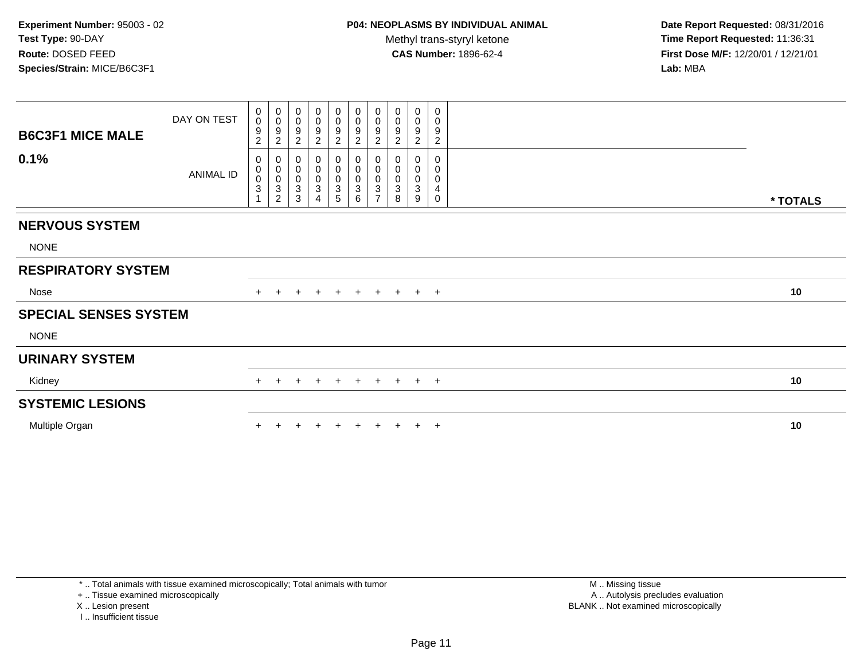| <b>B6C3F1 MICE MALE</b>      | DAY ON TEST | 0<br>$\mathbf 0$<br>9<br>$\overline{c}$                    | $\pmb{0}$<br>$\mathbf 0$<br>9<br>$\overline{c}$   | 0<br>$\mathbf 0$<br>$\boldsymbol{9}$<br>$\overline{c}$   | $\begin{smallmatrix} 0\\0 \end{smallmatrix}$<br>9<br>$\overline{2}$ | $_{\rm 0}^{\rm 0}$<br>$\frac{9}{2}$ | $\begin{smallmatrix} 0\\0 \end{smallmatrix}$<br>$\frac{9}{2}$ | $\begin{array}{c} 0 \\ 0 \\ 9 \\ 2 \end{array}$ | $\pmb{0}$<br>$\pmb{0}$<br>9<br>$\overline{c}$ | $_{\rm 0}^{\rm 0}$<br>$\boldsymbol{9}$<br>$\sqrt{2}$ | $\pmb{0}$<br>$\mathbf 0$<br>9<br>$\overline{c}$ |          |
|------------------------------|-------------|------------------------------------------------------------|---------------------------------------------------|----------------------------------------------------------|---------------------------------------------------------------------|-------------------------------------|---------------------------------------------------------------|-------------------------------------------------|-----------------------------------------------|------------------------------------------------------|-------------------------------------------------|----------|
| 0.1%                         | ANIMAL ID   | 0<br>$\pmb{0}$<br>$\mathbf 0$<br>$\ensuremath{\mathsf{3}}$ | 0<br>$\pmb{0}$<br>$\frac{0}{3}$<br>$\overline{c}$ | 0<br>$\pmb{0}$<br>$\mathsf{O}\xspace$<br>$\sqrt{3}$<br>3 | 0<br>$\pmb{0}$<br>$\pmb{0}$<br>3                                    | 0<br>$\pmb{0}$<br>$_3^0$<br>5       | 0<br>$\pmb{0}$<br>$\mathsf{O}\xspace$<br>$\mathbf 3$<br>6     | 0<br>$\frac{0}{3}$<br>$\overline{ }$            | 0<br>0<br>3<br>8                              | 0<br>$\pmb{0}$<br>0<br>$\mathbf{3}$<br>9             | 0<br>0<br>0<br>4<br>0                           | * TOTALS |
| <b>NERVOUS SYSTEM</b>        |             |                                                            |                                                   |                                                          |                                                                     |                                     |                                                               |                                                 |                                               |                                                      |                                                 |          |
| <b>NONE</b>                  |             |                                                            |                                                   |                                                          |                                                                     |                                     |                                                               |                                                 |                                               |                                                      |                                                 |          |
| <b>RESPIRATORY SYSTEM</b>    |             |                                                            |                                                   |                                                          |                                                                     |                                     |                                                               |                                                 |                                               |                                                      |                                                 |          |
| Nose                         |             | $\pm$                                                      |                                                   | $\ddot{}$                                                | $+$                                                                 | $+$                                 | $+$                                                           |                                                 | $+ + + +$                                     |                                                      |                                                 | 10       |
| <b>SPECIAL SENSES SYSTEM</b> |             |                                                            |                                                   |                                                          |                                                                     |                                     |                                                               |                                                 |                                               |                                                      |                                                 |          |
| <b>NONE</b>                  |             |                                                            |                                                   |                                                          |                                                                     |                                     |                                                               |                                                 |                                               |                                                      |                                                 |          |
| <b>URINARY SYSTEM</b>        |             |                                                            |                                                   |                                                          |                                                                     |                                     |                                                               |                                                 |                                               |                                                      |                                                 |          |
| Kidney                       |             | $+$                                                        |                                                   |                                                          | $\div$                                                              | $\pm$                               | $+$                                                           | $+$                                             | $+$                                           |                                                      | $+$ $+$                                         | 10       |
| <b>SYSTEMIC LESIONS</b>      |             |                                                            |                                                   |                                                          |                                                                     |                                     |                                                               |                                                 |                                               |                                                      |                                                 |          |
| Multiple Organ               |             |                                                            |                                                   |                                                          |                                                                     |                                     |                                                               |                                                 |                                               |                                                      | $+$                                             | 10       |

\* .. Total animals with tissue examined microscopically; Total animals with tumor

+ .. Tissue examined microscopically

X .. Lesion present

I .. Insufficient tissue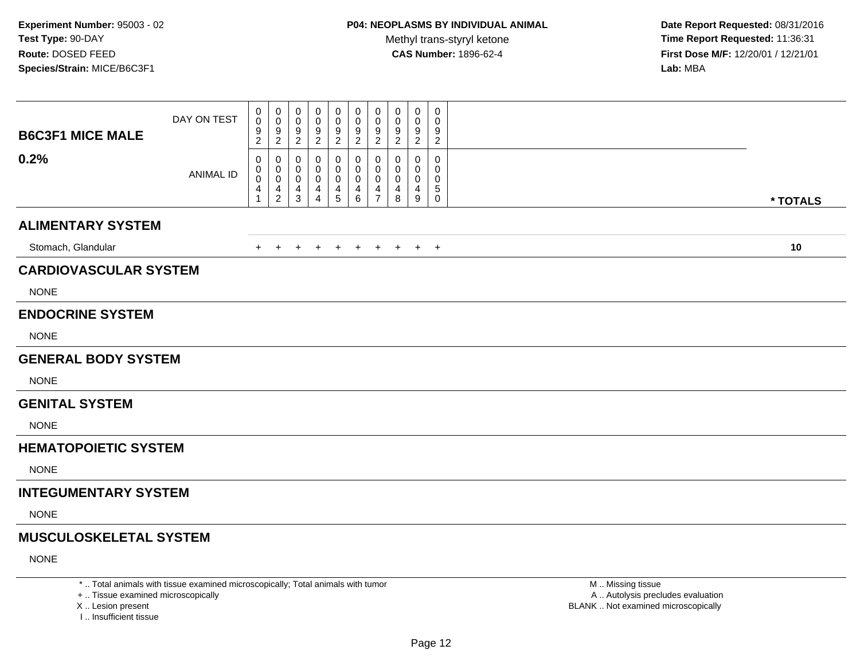**Date Report Requested:** 08/31/2016 **Time Report Requested:** 11:36:31 **First Dose M/F:** 12/20/01 / 12/21/01<br>**Lab:** MBA **Lab:** MBA

| <b>B6C3F1 MICE MALE</b>       | DAY ON TEST      | 0<br>0<br>$\frac{9}{2}$                                      | 0<br>$\mathbf 0$<br>$\frac{9}{2}$              | 0<br>0<br>9<br>$\overline{c}$          | 0<br>0<br>$\frac{9}{2}$ | 0<br>0<br>$\frac{9}{2}$ | 0<br>$\boldsymbol{0}$<br>$\frac{9}{2}$ | 0<br>$\mathbf 0$<br>$\frac{9}{2}$      | $\mathbf 0$<br>$\pmb{0}$<br>$\frac{9}{2}$         | 0<br>$\mathbf 0$<br>$\frac{9}{2}$ | 0<br>$\mathbf 0$<br>9<br>$\sqrt{2}$              |          |
|-------------------------------|------------------|--------------------------------------------------------------|------------------------------------------------|----------------------------------------|-------------------------|-------------------------|----------------------------------------|----------------------------------------|---------------------------------------------------|-----------------------------------|--------------------------------------------------|----------|
| 0.2%                          | <b>ANIMAL ID</b> | 0<br>0<br>$\pmb{0}$<br>$\begin{array}{c} 4 \\ 1 \end{array}$ | 0<br>0<br>$\mathsf{O}\xspace$<br>$\frac{4}{2}$ | 0<br>0<br>$\mathbf 0$<br>$\frac{4}{3}$ | 0<br>0<br>0<br>4<br>4   | 0<br>0<br>0<br>4<br>5   | 0<br>0<br>0<br>4<br>6                  | 0<br>0<br>$\mathbf 0$<br>$\frac{4}{7}$ | 0<br>0<br>$\boldsymbol{0}$<br>$\overline{4}$<br>8 | 0<br>0<br>$\mathbf 0$<br>4<br>9   | $\mathbf 0$<br>$\Omega$<br>0<br>5<br>$\mathbf 0$ | * TOTALS |
| <b>ALIMENTARY SYSTEM</b>      |                  |                                                              |                                                |                                        |                         |                         |                                        |                                        |                                                   |                                   |                                                  |          |
| Stomach, Glandular            |                  | $+$                                                          | $+$                                            | $\overline{+}$                         | $+$                     | $+$                     | $+$                                    | $+$                                    | $+$                                               |                                   | $+$ $+$                                          | 10       |
| <b>CARDIOVASCULAR SYSTEM</b>  |                  |                                                              |                                                |                                        |                         |                         |                                        |                                        |                                                   |                                   |                                                  |          |
| <b>NONE</b>                   |                  |                                                              |                                                |                                        |                         |                         |                                        |                                        |                                                   |                                   |                                                  |          |
| <b>ENDOCRINE SYSTEM</b>       |                  |                                                              |                                                |                                        |                         |                         |                                        |                                        |                                                   |                                   |                                                  |          |
| <b>NONE</b>                   |                  |                                                              |                                                |                                        |                         |                         |                                        |                                        |                                                   |                                   |                                                  |          |
| <b>GENERAL BODY SYSTEM</b>    |                  |                                                              |                                                |                                        |                         |                         |                                        |                                        |                                                   |                                   |                                                  |          |
| <b>NONE</b>                   |                  |                                                              |                                                |                                        |                         |                         |                                        |                                        |                                                   |                                   |                                                  |          |
| <b>GENITAL SYSTEM</b>         |                  |                                                              |                                                |                                        |                         |                         |                                        |                                        |                                                   |                                   |                                                  |          |
| <b>NONE</b>                   |                  |                                                              |                                                |                                        |                         |                         |                                        |                                        |                                                   |                                   |                                                  |          |
| <b>HEMATOPOIETIC SYSTEM</b>   |                  |                                                              |                                                |                                        |                         |                         |                                        |                                        |                                                   |                                   |                                                  |          |
| <b>NONE</b>                   |                  |                                                              |                                                |                                        |                         |                         |                                        |                                        |                                                   |                                   |                                                  |          |
| <b>INTEGUMENTARY SYSTEM</b>   |                  |                                                              |                                                |                                        |                         |                         |                                        |                                        |                                                   |                                   |                                                  |          |
| <b>NONE</b>                   |                  |                                                              |                                                |                                        |                         |                         |                                        |                                        |                                                   |                                   |                                                  |          |
| <b>MUSCULOSKELETAL SYSTEM</b> |                  |                                                              |                                                |                                        |                         |                         |                                        |                                        |                                                   |                                   |                                                  |          |
| <b>NONE</b>                   |                  |                                                              |                                                |                                        |                         |                         |                                        |                                        |                                                   |                                   |                                                  |          |

\* .. Total animals with tissue examined microscopically; Total animals with tumor

+ .. Tissue examined microscopically

X .. Lesion present

I .. Insufficient tissue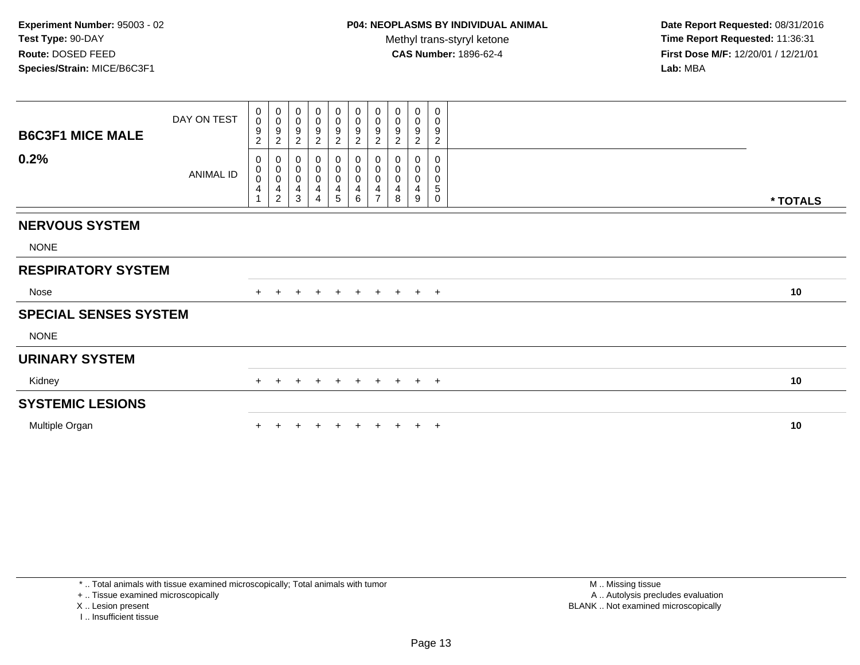| <b>B6C3F1 MICE MALE</b>      | DAY ON TEST | $_{\rm 0}^{\rm 0}$<br>$\boldsymbol{9}$<br>$\overline{c}$  | $_{\rm 0}^{\rm 0}$<br>$\boldsymbol{9}$<br>$\boldsymbol{2}$                      | $_{\rm 0}^{\rm 0}$<br>9<br>$\overline{c}$          | $_{\rm 0}^{\rm 0}$<br>9<br>$\sqrt{2}$ | $_0^0$<br>$\frac{9}{2}$                            | $_{\rm 0}^{\rm 0}$<br>$\frac{9}{2}$         | $_{\rm 0}^{\rm 0}$<br>$\frac{9}{2}$                             | $\begin{smallmatrix} 0\\0 \end{smallmatrix}$<br>$\frac{9}{2}$ | $\begin{smallmatrix}0\\0\end{smallmatrix}$<br>9<br>$\sqrt{2}$ | 0<br>0<br>$\boldsymbol{9}$<br>$\sqrt{2}$          |          |
|------------------------------|-------------|-----------------------------------------------------------|---------------------------------------------------------------------------------|----------------------------------------------------|---------------------------------------|----------------------------------------------------|---------------------------------------------|-----------------------------------------------------------------|---------------------------------------------------------------|---------------------------------------------------------------|---------------------------------------------------|----------|
| 0.2%                         | ANIMAL ID   | 0<br>$_{\rm 0}^{\rm 0}$<br>$\overline{4}$<br>$\mathbf{1}$ | 0<br>$\pmb{0}$<br>$\boldsymbol{0}$<br>$\overline{\mathbf{4}}$<br>$\overline{c}$ | 0<br>$\pmb{0}$<br>$\pmb{0}$<br>$\overline{4}$<br>3 | 0<br>0<br>0<br>4                      | 0<br>$\pmb{0}$<br>$\pmb{0}$<br>$\overline{4}$<br>5 | 0<br>0<br>0<br>$\overline{\mathbf{4}}$<br>6 | 0<br>$\pmb{0}$<br>$\pmb{0}$<br>$\overline{4}$<br>$\overline{ }$ | 0<br>$\pmb{0}$<br>$\pmb{0}$<br>4<br>8                         | $\pmb{0}$<br>$\pmb{0}$<br>4<br>9                              | 0<br>$\pmb{0}$<br>0<br>$\mathbf 5$<br>$\mathbf 0$ | * TOTALS |
| <b>NERVOUS SYSTEM</b>        |             |                                                           |                                                                                 |                                                    |                                       |                                                    |                                             |                                                                 |                                                               |                                                               |                                                   |          |
| <b>NONE</b>                  |             |                                                           |                                                                                 |                                                    |                                       |                                                    |                                             |                                                                 |                                                               |                                                               |                                                   |          |
| <b>RESPIRATORY SYSTEM</b>    |             |                                                           |                                                                                 |                                                    |                                       |                                                    |                                             |                                                                 |                                                               |                                                               |                                                   |          |
| Nose                         |             |                                                           |                                                                                 |                                                    | $+$                                   | $+$                                                | $+$                                         | $+$                                                             |                                                               | $+$ $+$ $+$                                                   |                                                   | 10       |
| <b>SPECIAL SENSES SYSTEM</b> |             |                                                           |                                                                                 |                                                    |                                       |                                                    |                                             |                                                                 |                                                               |                                                               |                                                   |          |
| <b>NONE</b>                  |             |                                                           |                                                                                 |                                                    |                                       |                                                    |                                             |                                                                 |                                                               |                                                               |                                                   |          |
| <b>URINARY SYSTEM</b>        |             |                                                           |                                                                                 |                                                    |                                       |                                                    |                                             |                                                                 |                                                               |                                                               |                                                   |          |
| Kidney                       |             | $+$                                                       | $+$                                                                             | $+$                                                | $+$                                   | $+$                                                | $+$                                         | $+$                                                             |                                                               | $+$ $+$ $+$                                                   |                                                   | 10       |
| <b>SYSTEMIC LESIONS</b>      |             |                                                           |                                                                                 |                                                    |                                       |                                                    |                                             |                                                                 |                                                               |                                                               |                                                   |          |
| Multiple Organ               |             |                                                           |                                                                                 |                                                    |                                       |                                                    |                                             |                                                                 |                                                               |                                                               | $+$                                               | 10       |

\* .. Total animals with tissue examined microscopically; Total animals with tumor

+ .. Tissue examined microscopically

X .. Lesion present

I .. Insufficient tissue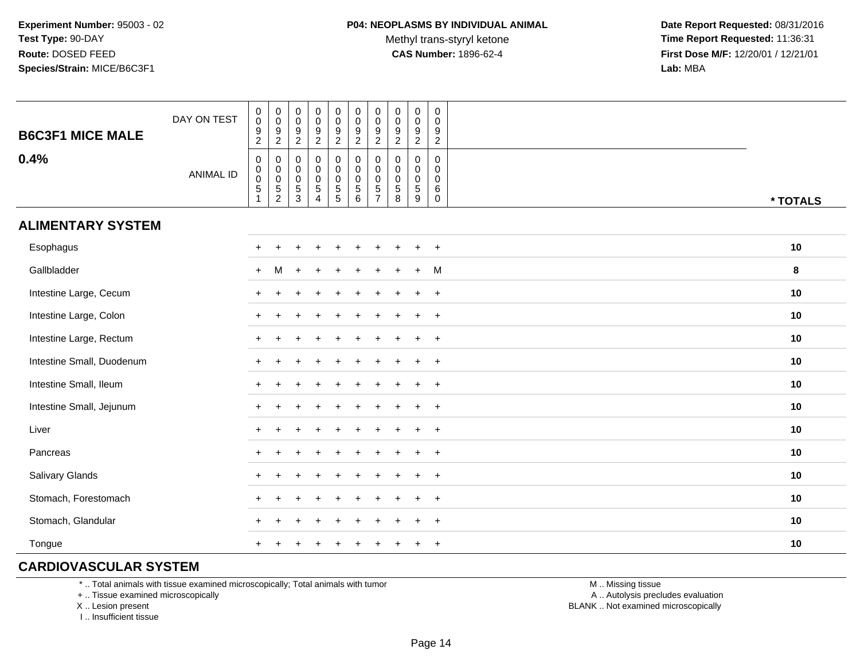Methyl trans-styryl ketone<br>CAS Number: 1896-62-4

 **Date Report Requested:** 08/31/2016 **Time Report Requested:** 11:36:31 **First Dose M/F:** 12/20/01 / 12/21/01<br>**Lab:** MBA **Lab:** MBA

| <b>B6C3F1 MICE MALE</b>   | DAY ON TEST      | $\begin{smallmatrix} 0\\0 \end{smallmatrix}$<br>$\frac{9}{2}$                 | $\begin{smallmatrix} 0\\0 \end{smallmatrix}$<br>$\frac{9}{2}$       | $\begin{matrix} 0 \\ 0 \\ 9 \\ 2 \end{matrix}$     | $_{\rm 0}^{\rm 0}$<br>$\frac{9}{2}$                                        | $_{\rm 0}^{\rm 0}$<br>$\frac{9}{2}$                                              | $\pmb{0}$<br>$\pmb{0}$<br>$\boldsymbol{9}$<br>$\sqrt{2}$    | $\mathsf 0$<br>$\mathbf 0$<br>9<br>$\overline{2}$                         | $\begin{smallmatrix} 0\\0 \end{smallmatrix}$<br>$\frac{9}{2}$ | $\pmb{0}$<br>$\mathbf 0$<br>$\frac{9}{2}$                  | $\pmb{0}$<br>$\mathbf 0$<br>9<br>$\overline{2}$             |          |
|---------------------------|------------------|-------------------------------------------------------------------------------|---------------------------------------------------------------------|----------------------------------------------------|----------------------------------------------------------------------------|----------------------------------------------------------------------------------|-------------------------------------------------------------|---------------------------------------------------------------------------|---------------------------------------------------------------|------------------------------------------------------------|-------------------------------------------------------------|----------|
| 0.4%                      | <b>ANIMAL ID</b> | $\mathsf{O}\xspace$<br>$\mathbf 0$<br>0<br>$\sqrt{5}$<br>$\blacktriangleleft$ | $\boldsymbol{0}$<br>$\begin{array}{c} 0 \\ 0 \\ 5 \\ 2 \end{array}$ | $\mathbf 0$<br>$_{\rm 0}^{\rm 0}$<br>$\frac{5}{3}$ | $\mathsf 0$<br>$\begin{matrix} 0 \\ 0 \\ 5 \end{matrix}$<br>$\overline{4}$ | $\pmb{0}$<br>$\mathbf 0$<br>$\mathbf 0$<br>$\begin{array}{c} 5 \\ 5 \end{array}$ | $\mathbf 0$<br>$\pmb{0}$<br>$\mathbf 0$<br>$\,$ 5 $\,$<br>6 | $\mathbf 0$<br>$\mathbf 0$<br>$\mathbf 0$<br>$\sqrt{5}$<br>$\overline{7}$ | $\mathbf 0$<br>$\mathbf 0$<br>$\mathbf 0$<br>$\sqrt{5}$<br>8  | $\pmb{0}$<br>$\mathbf 0$<br>$\mathbf 0$<br>$\sqrt{5}$<br>9 | $\pmb{0}$<br>$\mathbf 0$<br>$\mathbf 0$<br>6<br>$\mathbf 0$ | * TOTALS |
| <b>ALIMENTARY SYSTEM</b>  |                  |                                                                               |                                                                     |                                                    |                                                                            |                                                                                  |                                                             |                                                                           |                                                               |                                                            |                                                             |          |
| Esophagus                 |                  | $+$                                                                           |                                                                     |                                                    |                                                                            |                                                                                  |                                                             |                                                                           |                                                               |                                                            | $\overline{+}$                                              | 10       |
| Gallbladder               |                  | $+$                                                                           | M                                                                   |                                                    |                                                                            |                                                                                  |                                                             |                                                                           |                                                               | $+$                                                        | M                                                           | 8        |
| Intestine Large, Cecum    |                  | $\ddot{}$                                                                     |                                                                     |                                                    |                                                                            |                                                                                  |                                                             |                                                                           |                                                               |                                                            | $\overline{+}$                                              | 10       |
| Intestine Large, Colon    |                  |                                                                               |                                                                     |                                                    |                                                                            |                                                                                  |                                                             |                                                                           |                                                               |                                                            | $\ddot{}$                                                   | $10$     |
| Intestine Large, Rectum   |                  |                                                                               |                                                                     |                                                    |                                                                            |                                                                                  |                                                             |                                                                           |                                                               |                                                            | $\ddot{}$                                                   | 10       |
| Intestine Small, Duodenum |                  |                                                                               |                                                                     |                                                    |                                                                            |                                                                                  |                                                             |                                                                           |                                                               |                                                            | $\ddot{}$                                                   | 10       |
| Intestine Small, Ileum    |                  | $\div$                                                                        |                                                                     |                                                    |                                                                            |                                                                                  |                                                             |                                                                           |                                                               | $\div$                                                     | $\overline{+}$                                              | 10       |
| Intestine Small, Jejunum  |                  | $\ddot{}$                                                                     |                                                                     |                                                    |                                                                            |                                                                                  |                                                             |                                                                           |                                                               | $\ddot{}$                                                  | $+$                                                         | 10       |
| Liver                     |                  | $\ddot{}$                                                                     |                                                                     |                                                    |                                                                            |                                                                                  |                                                             |                                                                           |                                                               | $\ddot{}$                                                  | $+$                                                         | $10$     |
| Pancreas                  |                  | $\ddot{}$                                                                     |                                                                     |                                                    |                                                                            |                                                                                  |                                                             |                                                                           |                                                               |                                                            | $\overline{+}$                                              | 10       |
| Salivary Glands           |                  | $+$                                                                           |                                                                     |                                                    |                                                                            |                                                                                  |                                                             |                                                                           |                                                               | $\ddot{}$                                                  | $+$                                                         | 10       |
| Stomach, Forestomach      |                  | $\pm$                                                                         |                                                                     |                                                    |                                                                            |                                                                                  |                                                             |                                                                           |                                                               |                                                            | $\pm$                                                       | 10       |
| Stomach, Glandular        |                  |                                                                               |                                                                     |                                                    |                                                                            |                                                                                  |                                                             |                                                                           |                                                               |                                                            | $\ddot{}$                                                   | 10       |
| Tongue                    |                  |                                                                               |                                                                     |                                                    |                                                                            |                                                                                  |                                                             |                                                                           |                                                               |                                                            | $\overline{+}$                                              | $10$     |

#### **CARDIOVASCULAR SYSTEM**

\* .. Total animals with tissue examined microscopically; Total animals with tumor

+ .. Tissue examined microscopically

X .. Lesion present

I .. Insufficient tissue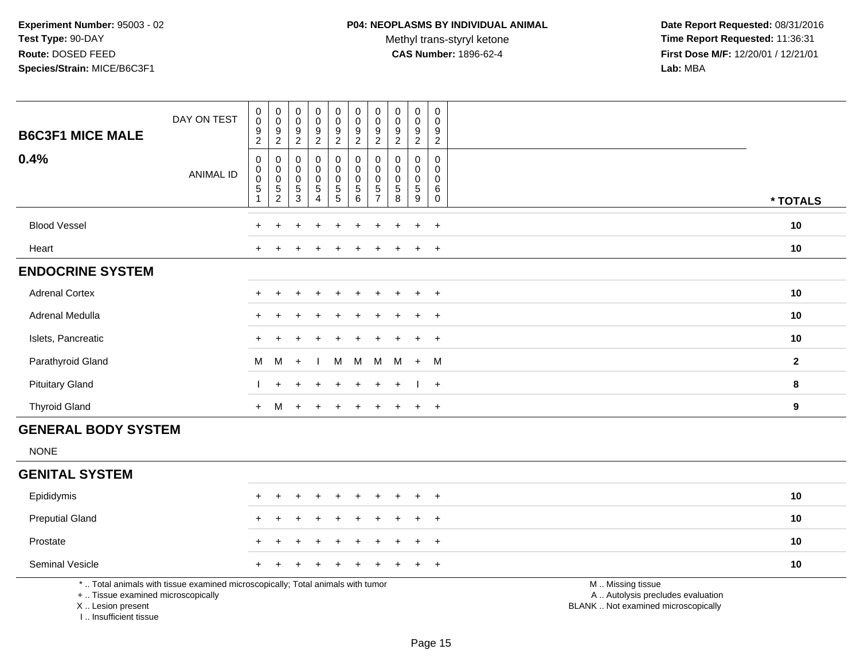**Date Report Requested:** 08/31/2016 **Time Report Requested:** 11:36:31 **First Dose M/F:** 12/20/01 / 12/21/01<br>Lab: MBA **Lab:** MBA

| <b>B6C3F1 MICE MALE</b>                                                          | DAY ON TEST                                                                     | $_{\rm 0}^{\rm 0}$<br>$\boldsymbol{9}$<br>$\overline{c}$       | $_{\rm 0}^{\rm 0}$<br>$\boldsymbol{9}$<br>$\overline{2}$                   | $\pmb{0}$<br>$\mathbf 0$<br>$\boldsymbol{9}$<br>$\overline{c}$ | $_{\rm 0}^{\rm 0}$<br>$\boldsymbol{9}$<br>$\overline{2}$               | $\begin{smallmatrix}0\0\0\end{smallmatrix}$<br>$\boldsymbol{9}$<br>$\overline{c}$ | $\pmb{0}$<br>$\ddot{\mathbf{0}}$<br>$\boldsymbol{9}$<br>$\overline{2}$ | 0<br>$\mathbf 0$<br>9<br>$\overline{c}$                       | $_{\rm 0}^{\rm 0}$<br>$\boldsymbol{9}$<br>$\overline{c}$ | $\begin{smallmatrix} 0\\0 \end{smallmatrix}$<br>$\boldsymbol{9}$<br>$\overline{a}$ | $\mathbf 0$<br>$\mathbf 0$<br>$\boldsymbol{9}$<br>$\overline{c}$ |                                                                                               |              |
|----------------------------------------------------------------------------------|---------------------------------------------------------------------------------|----------------------------------------------------------------|----------------------------------------------------------------------------|----------------------------------------------------------------|------------------------------------------------------------------------|-----------------------------------------------------------------------------------|------------------------------------------------------------------------|---------------------------------------------------------------|----------------------------------------------------------|------------------------------------------------------------------------------------|------------------------------------------------------------------|-----------------------------------------------------------------------------------------------|--------------|
| 0.4%                                                                             | <b>ANIMAL ID</b>                                                                | $\pmb{0}$<br>$_{\rm 0}^{\rm 0}$<br>$\,$ 5 $\,$<br>$\mathbf{1}$ | $\mathbf 0$<br>$\mathsf{O}\xspace$<br>$\ddot{\mathbf{0}}$<br>$\frac{5}{2}$ | $\mathbf{0}$<br>0<br>0<br>$\,$ 5 $\,$<br>$\mathbf{3}$          | $\pmb{0}$<br>$\mathbf 0$<br>$\pmb{0}$<br>$\,$ 5 $\,$<br>$\overline{4}$ | 0<br>$\mathsf{O}$<br>$\mathbf 0$<br>$\begin{array}{c} 5 \\ 5 \end{array}$         | $\mathbf 0$<br>$\mathsf{O}\xspace$<br>$\mathbf 0$<br>$\sqrt{5}$<br>6   | $\Omega$<br>0<br>$\mathbf 0$<br>$\mathbf 5$<br>$\overline{7}$ | 0<br>$\mathbf 0$<br>$\pmb{0}$<br>$\sqrt{5}$<br>8         | 0<br>0<br>$\mathbf 0$<br>$\sqrt{5}$<br>9                                           | $\mathbf 0$<br>$\mathbf 0$<br>0<br>6<br>$\mathbf 0$              |                                                                                               | * TOTALS     |
|                                                                                  |                                                                                 |                                                                |                                                                            |                                                                |                                                                        |                                                                                   |                                                                        |                                                               |                                                          |                                                                                    |                                                                  |                                                                                               |              |
| <b>Blood Vessel</b>                                                              |                                                                                 |                                                                |                                                                            |                                                                |                                                                        |                                                                                   |                                                                        |                                                               |                                                          |                                                                                    | $\ddot{}$                                                        |                                                                                               | 10           |
| Heart                                                                            |                                                                                 | $+$                                                            |                                                                            |                                                                |                                                                        |                                                                                   |                                                                        |                                                               |                                                          | $\ddot{}$                                                                          | $+$                                                              |                                                                                               | 10           |
| <b>ENDOCRINE SYSTEM</b>                                                          |                                                                                 |                                                                |                                                                            |                                                                |                                                                        |                                                                                   |                                                                        |                                                               |                                                          |                                                                                    |                                                                  |                                                                                               |              |
| <b>Adrenal Cortex</b>                                                            |                                                                                 |                                                                |                                                                            |                                                                |                                                                        |                                                                                   |                                                                        |                                                               |                                                          | $\ddot{}$                                                                          | $+$                                                              |                                                                                               | 10           |
| Adrenal Medulla                                                                  |                                                                                 |                                                                |                                                                            |                                                                |                                                                        |                                                                                   |                                                                        |                                                               |                                                          | $\ddot{}$                                                                          | $\ddot{}$                                                        |                                                                                               | 10           |
| Islets, Pancreatic                                                               |                                                                                 |                                                                |                                                                            |                                                                |                                                                        |                                                                                   |                                                                        |                                                               |                                                          |                                                                                    | $\ddot{}$                                                        |                                                                                               | 10           |
| Parathyroid Gland                                                                |                                                                                 | M                                                              | M                                                                          | $+$                                                            |                                                                        | М                                                                                 | M                                                                      | M                                                             | M                                                        | $+$                                                                                | - M                                                              |                                                                                               | $\mathbf{2}$ |
| <b>Pituitary Gland</b>                                                           |                                                                                 |                                                                | $\ddot{}$                                                                  |                                                                |                                                                        |                                                                                   |                                                                        |                                                               |                                                          |                                                                                    | $+$                                                              |                                                                                               | 8            |
| <b>Thyroid Gland</b>                                                             |                                                                                 | $+$                                                            | M                                                                          | $+$                                                            | $\overline{ }$                                                         | $\ddot{}$                                                                         |                                                                        |                                                               |                                                          | $\overline{+}$                                                                     | $+$                                                              |                                                                                               | 9            |
| <b>GENERAL BODY SYSTEM</b>                                                       |                                                                                 |                                                                |                                                                            |                                                                |                                                                        |                                                                                   |                                                                        |                                                               |                                                          |                                                                                    |                                                                  |                                                                                               |              |
| <b>NONE</b>                                                                      |                                                                                 |                                                                |                                                                            |                                                                |                                                                        |                                                                                   |                                                                        |                                                               |                                                          |                                                                                    |                                                                  |                                                                                               |              |
| <b>GENITAL SYSTEM</b>                                                            |                                                                                 |                                                                |                                                                            |                                                                |                                                                        |                                                                                   |                                                                        |                                                               |                                                          |                                                                                    |                                                                  |                                                                                               |              |
| Epididymis                                                                       |                                                                                 | $+$                                                            | $\ddot{}$                                                                  | +                                                              | $\overline{ }$                                                         | $\ddot{}$                                                                         | $\ddot{}$                                                              | ÷                                                             |                                                          | $\overline{+}$                                                                     | $+$                                                              |                                                                                               | 10           |
| <b>Preputial Gland</b>                                                           |                                                                                 |                                                                |                                                                            |                                                                |                                                                        |                                                                                   |                                                                        |                                                               |                                                          | $\overline{ }$                                                                     | $+$                                                              |                                                                                               | 10           |
| Prostate                                                                         |                                                                                 |                                                                |                                                                            |                                                                |                                                                        |                                                                                   |                                                                        |                                                               |                                                          |                                                                                    | $\ddot{}$                                                        |                                                                                               | 10           |
| Seminal Vesicle                                                                  |                                                                                 |                                                                |                                                                            |                                                                |                                                                        |                                                                                   |                                                                        |                                                               |                                                          |                                                                                    | $+$                                                              |                                                                                               | 10           |
| +  Tissue examined microscopically<br>X  Lesion present<br>I Insufficient tissue | *  Total animals with tissue examined microscopically; Total animals with tumor |                                                                |                                                                            |                                                                |                                                                        |                                                                                   |                                                                        |                                                               |                                                          |                                                                                    |                                                                  | M  Missing tissue<br>A  Autolysis precludes evaluation<br>BLANK  Not examined microscopically |              |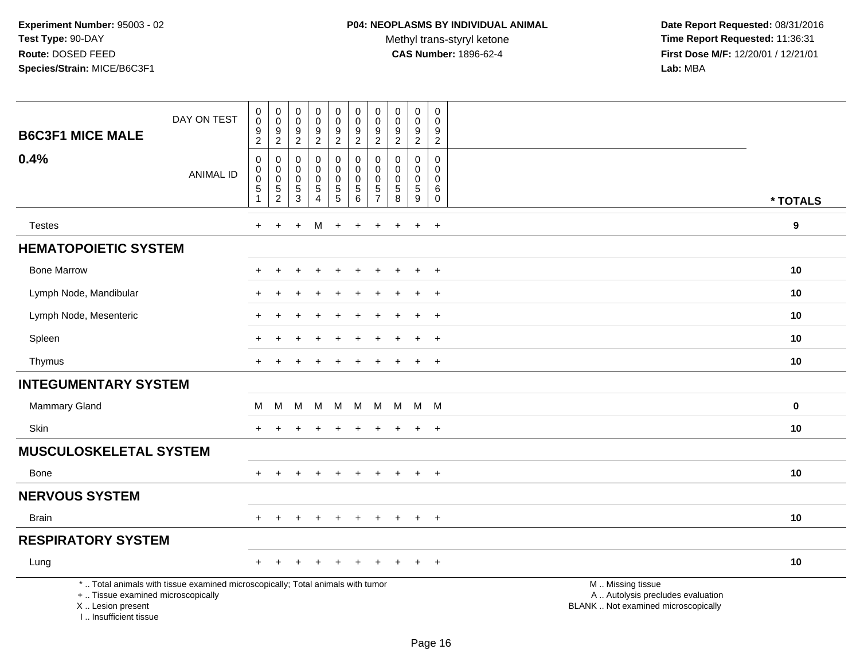**Date Report Requested:** 08/31/2016 **Time Report Requested:** 11:36:31 **First Dose M/F:** 12/20/01 / 12/21/01<br>Lab: MBA **Lab:** MBA

| <b>B6C3F1 MICE MALE</b>                                                          | DAY ON TEST                                                                     | $\pmb{0}$<br>$\pmb{0}$<br>9                                               | $\boldsymbol{0}$<br>$\pmb{0}$<br>9                                     | $\pmb{0}$<br>0<br>9                                          | $\pmb{0}$<br>$\mathbf 0$<br>$\boldsymbol{9}$                            | $\pmb{0}$<br>$\pmb{0}$<br>$\boldsymbol{9}$                                                       | $\pmb{0}$<br>$\mathbf 0$<br>$\boldsymbol{9}$                              | $\pmb{0}$<br>$\mathbf 0$<br>$9\,$                                | $\mathbf 0$<br>$\mathbf 0$<br>9                                         | $\pmb{0}$<br>$\mathsf{O}\xspace$<br>$\boldsymbol{9}$                            | $\mathbf 0$<br>$\mathbf 0$<br>9                                  |                                                                                               |  |
|----------------------------------------------------------------------------------|---------------------------------------------------------------------------------|---------------------------------------------------------------------------|------------------------------------------------------------------------|--------------------------------------------------------------|-------------------------------------------------------------------------|--------------------------------------------------------------------------------------------------|---------------------------------------------------------------------------|------------------------------------------------------------------|-------------------------------------------------------------------------|---------------------------------------------------------------------------------|------------------------------------------------------------------|-----------------------------------------------------------------------------------------------|--|
| 0.4%                                                                             | <b>ANIMAL ID</b>                                                                | $\sqrt{2}$<br>$\boldsymbol{0}$<br>$\pmb{0}$<br>$\mathbf 0$<br>$\mathbf 5$ | $\overline{c}$<br>$\mathbf 0$<br>$\pmb{0}$<br>$\pmb{0}$<br>$\,$ 5 $\,$ | $\sqrt{2}$<br>$\mathbf 0$<br>0<br>$\mathbf 0$<br>$\mathbf 5$ | $\overline{2}$<br>$\mathbf 0$<br>$\mathbf 0$<br>$\pmb{0}$<br>$\sqrt{5}$ | $\overline{2}$<br>$\pmb{0}$<br>$\mathbf 0$<br>$\pmb{0}$<br>$\begin{array}{c} 5 \\ 5 \end{array}$ | $\overline{2}$<br>$\mathbf 0$<br>$\mathbf 0$<br>$\mathbf 0$<br>$\sqrt{5}$ | $\overline{2}$<br>$\mathbf 0$<br>$\mathbf 0$<br>$\mathbf 0$<br>5 | $\overline{2}$<br>$\mathbf 0$<br>$\Omega$<br>$\mathbf 0$<br>$\,$ 5 $\,$ | $\overline{2}$<br>$\mathsf{O}\xspace$<br>$\mathbf 0$<br>$\pmb{0}$<br>$\sqrt{5}$ | $\overline{2}$<br>$\mathbf 0$<br>$\mathbf 0$<br>$\mathbf 0$<br>6 |                                                                                               |  |
|                                                                                  |                                                                                 | $\mathbf{1}$                                                              | $\overline{2}$                                                         | $\overline{3}$                                               | $\overline{4}$                                                          |                                                                                                  | 6                                                                         | $\overline{7}$                                                   | $\overline{8}$                                                          | $\overline{9}$                                                                  | $\mathbf 0$                                                      | * TOTALS                                                                                      |  |
| <b>Testes</b>                                                                    |                                                                                 | $\ddot{}$                                                                 | $\ddot{}$                                                              | $\ddot{}$                                                    | м                                                                       | $\ddot{}$                                                                                        | $\ddot{}$                                                                 | $\ddot{}$                                                        | $\ddot{}$                                                               | $\ddot{}$                                                                       | $+$                                                              | $\boldsymbol{9}$                                                                              |  |
| <b>HEMATOPOIETIC SYSTEM</b>                                                      |                                                                                 |                                                                           |                                                                        |                                                              |                                                                         |                                                                                                  |                                                                           |                                                                  |                                                                         |                                                                                 |                                                                  |                                                                                               |  |
| <b>Bone Marrow</b>                                                               |                                                                                 |                                                                           |                                                                        |                                                              |                                                                         |                                                                                                  |                                                                           |                                                                  |                                                                         | $\ddot{}$                                                                       | $\ddot{}$                                                        | 10                                                                                            |  |
| Lymph Node, Mandibular                                                           |                                                                                 |                                                                           |                                                                        |                                                              |                                                                         |                                                                                                  |                                                                           |                                                                  |                                                                         | $\div$                                                                          | $^{+}$                                                           | 10                                                                                            |  |
| Lymph Node, Mesenteric                                                           |                                                                                 |                                                                           |                                                                        |                                                              |                                                                         |                                                                                                  |                                                                           |                                                                  |                                                                         | $\ddot{}$                                                                       | $+$                                                              | 10                                                                                            |  |
| Spleen                                                                           |                                                                                 |                                                                           |                                                                        |                                                              |                                                                         |                                                                                                  |                                                                           |                                                                  |                                                                         |                                                                                 | $\overline{+}$                                                   | 10                                                                                            |  |
| Thymus                                                                           |                                                                                 | $\pm$                                                                     |                                                                        |                                                              |                                                                         |                                                                                                  |                                                                           |                                                                  |                                                                         | $\ddot{}$                                                                       | $+$                                                              | 10                                                                                            |  |
| <b>INTEGUMENTARY SYSTEM</b>                                                      |                                                                                 |                                                                           |                                                                        |                                                              |                                                                         |                                                                                                  |                                                                           |                                                                  |                                                                         |                                                                                 |                                                                  |                                                                                               |  |
| Mammary Gland                                                                    |                                                                                 | M                                                                         | M                                                                      | M                                                            | м                                                                       | M                                                                                                | M                                                                         | M                                                                | M                                                                       | M M                                                                             |                                                                  | $\pmb{0}$                                                                                     |  |
| Skin                                                                             |                                                                                 |                                                                           |                                                                        |                                                              |                                                                         |                                                                                                  |                                                                           |                                                                  |                                                                         | $\ddot{}$                                                                       | $+$                                                              | 10                                                                                            |  |
| <b>MUSCULOSKELETAL SYSTEM</b>                                                    |                                                                                 |                                                                           |                                                                        |                                                              |                                                                         |                                                                                                  |                                                                           |                                                                  |                                                                         |                                                                                 |                                                                  |                                                                                               |  |
| Bone                                                                             |                                                                                 | $+$                                                                       | $\pm$                                                                  | $\ddot{}$                                                    | $\ddot{}$                                                               | $\overline{+}$                                                                                   | $\ddot{}$                                                                 | $\ddot{}$                                                        | $+$                                                                     | $+$                                                                             | $+$                                                              | 10                                                                                            |  |
| <b>NERVOUS SYSTEM</b>                                                            |                                                                                 |                                                                           |                                                                        |                                                              |                                                                         |                                                                                                  |                                                                           |                                                                  |                                                                         |                                                                                 |                                                                  |                                                                                               |  |
| <b>Brain</b>                                                                     |                                                                                 | ÷.                                                                        | $\div$                                                                 |                                                              | $\pm$                                                                   | $\pm$                                                                                            | $\pm$                                                                     | $\pm$                                                            | $+$                                                                     | $+$                                                                             | $+$                                                              | 10                                                                                            |  |
| <b>RESPIRATORY SYSTEM</b>                                                        |                                                                                 |                                                                           |                                                                        |                                                              |                                                                         |                                                                                                  |                                                                           |                                                                  |                                                                         |                                                                                 |                                                                  |                                                                                               |  |
| Lung                                                                             |                                                                                 |                                                                           |                                                                        |                                                              |                                                                         |                                                                                                  |                                                                           |                                                                  |                                                                         |                                                                                 | $\overline{+}$                                                   | 10                                                                                            |  |
| +  Tissue examined microscopically<br>X  Lesion present<br>I Insufficient tissue | *  Total animals with tissue examined microscopically; Total animals with tumor |                                                                           |                                                                        |                                                              |                                                                         |                                                                                                  |                                                                           |                                                                  |                                                                         |                                                                                 |                                                                  | M  Missing tissue<br>A  Autolysis precludes evaluation<br>BLANK  Not examined microscopically |  |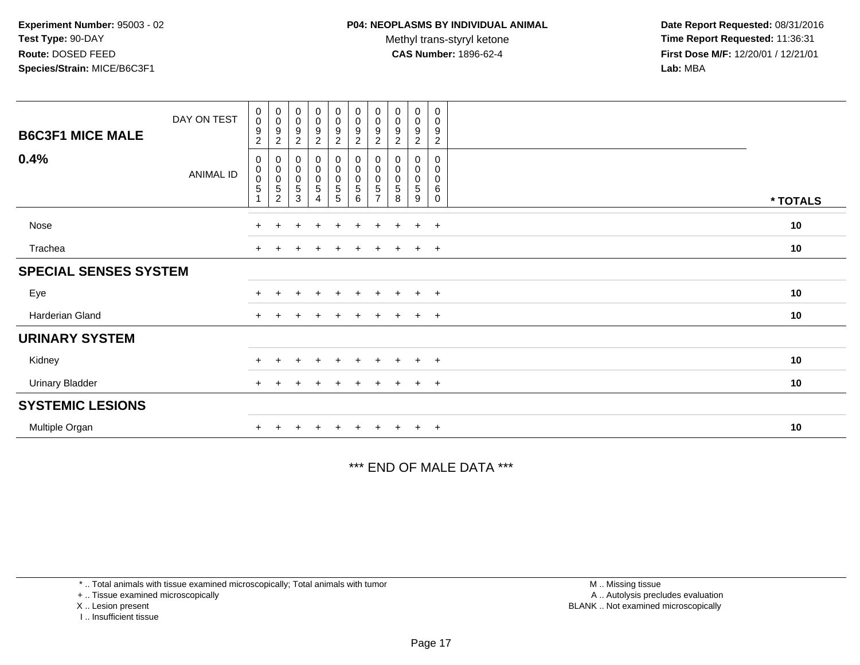**Date Report Requested:** 08/31/2016 **Time Report Requested:** 11:36:31 **First Dose M/F:** 12/20/01 / 12/21/01<br>**Lab:** MBA **Lab:** MBA

| <b>B6C3F1 MICE MALE</b>      | DAY ON TEST      | $\pmb{0}$<br>$\frac{0}{9}$<br>$\overline{2}$                    | $_{\rm 0}^{\rm 0}$<br>$\frac{9}{2}$                                      | $\pmb{0}$<br>$\pmb{0}$<br>9<br>$\boldsymbol{2}$ | $\begin{smallmatrix}0\0\0\end{smallmatrix}$<br>$\frac{9}{2}$ | $_{\rm 0}^{\rm 0}$<br>$\frac{9}{2}$                 | $\begin{smallmatrix} 0\\0 \end{smallmatrix}$<br>$\frac{9}{2}$ | $_{\rm 0}^{\rm 0}$<br>$\boldsymbol{9}$<br>$\sqrt{2}$ | $\begin{smallmatrix}0\\0\end{smallmatrix}$<br>9<br>$\overline{c}$ | 0<br>$\mathbf 0$<br>$\boldsymbol{9}$<br>$\overline{2}$ | $\pmb{0}$<br>0<br>9<br>$\overline{2}$ |          |
|------------------------------|------------------|-----------------------------------------------------------------|--------------------------------------------------------------------------|-------------------------------------------------|--------------------------------------------------------------|-----------------------------------------------------|---------------------------------------------------------------|------------------------------------------------------|-------------------------------------------------------------------|--------------------------------------------------------|---------------------------------------|----------|
| 0.4%                         | <b>ANIMAL ID</b> | 0<br>$\begin{smallmatrix} 0\\0 \end{smallmatrix}$<br>$\sqrt{5}$ | $\pmb{0}$<br>$\begin{matrix} 0 \\ 0 \\ 5 \end{matrix}$<br>$\overline{c}$ | 0<br>$\pmb{0}$<br>$\pmb{0}$<br>$\,$ 5 $\,$<br>3 | 0<br>0<br>0<br>5<br>4                                        | 0<br>$\begin{matrix} 0 \\ 0 \\ 5 \end{matrix}$<br>5 | 0<br>$_{\rm 0}^{\rm 0}$<br>$\,$ 5 $\,$<br>6                   | 0<br>0<br>0<br>5<br>$\overline{ }$                   | 0<br>0<br>0<br>5<br>8                                             | 0<br>0<br>0<br>$\sqrt{5}$<br>9                         | 0<br>0<br>0<br>6<br>$\mathbf 0$       | * TOTALS |
| Nose                         |                  | $+$                                                             | $\ddot{}$                                                                | ÷                                               | $\div$                                                       | $\pm$                                               | $\pm$                                                         | $\pm$                                                | $+$                                                               | $\ddot{}$                                              | $+$                                   | 10       |
| Trachea                      |                  |                                                                 |                                                                          |                                                 |                                                              |                                                     |                                                               |                                                      |                                                                   |                                                        | $+$                                   | 10       |
| <b>SPECIAL SENSES SYSTEM</b> |                  |                                                                 |                                                                          |                                                 |                                                              |                                                     |                                                               |                                                      |                                                                   |                                                        |                                       |          |
| Eye                          |                  |                                                                 |                                                                          |                                                 | $\ddot{}$                                                    | $+$                                                 | $\pm$                                                         | $+$                                                  | $+$                                                               | $+$                                                    | $+$                                   | 10       |
| Harderian Gland              |                  | $+$                                                             |                                                                          |                                                 |                                                              |                                                     |                                                               |                                                      |                                                                   | $\ddot{}$                                              | $+$                                   | 10       |
| <b>URINARY SYSTEM</b>        |                  |                                                                 |                                                                          |                                                 |                                                              |                                                     |                                                               |                                                      |                                                                   |                                                        |                                       |          |
| Kidney                       |                  |                                                                 |                                                                          |                                                 |                                                              | +                                                   |                                                               |                                                      |                                                                   | $\pm$                                                  | $+$                                   | 10       |
| Urinary Bladder              |                  |                                                                 |                                                                          |                                                 |                                                              |                                                     |                                                               |                                                      |                                                                   | $\pm$                                                  | $+$                                   | 10       |
| <b>SYSTEMIC LESIONS</b>      |                  |                                                                 |                                                                          |                                                 |                                                              |                                                     |                                                               |                                                      |                                                                   |                                                        |                                       |          |
| Multiple Organ               |                  |                                                                 |                                                                          |                                                 |                                                              |                                                     |                                                               |                                                      |                                                                   | $\ddot{}$                                              | $+$                                   | 10       |

\*\*\* END OF MALE DATA \*\*\*

\* .. Total animals with tissue examined microscopically; Total animals with tumor

+ .. Tissue examined microscopically

X .. Lesion present

I .. Insufficient tissue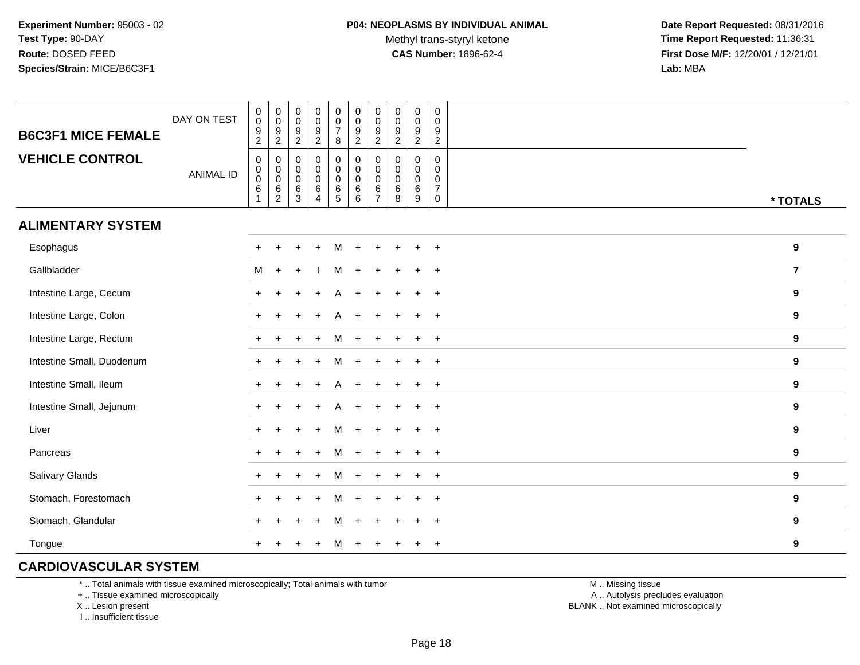Methyl trans-styryl ketone<br>CAS Number: 1896-62-4

 **Date Report Requested:** 08/31/2016 **Time Report Requested:** 11:36:31 **First Dose M/F:** 12/20/01 / 12/21/01<br>**Lab:** MBA **Lab:** MBA

| <b>B6C3F1 MICE FEMALE</b> | DAY ON TEST      | $\begin{smallmatrix} 0\\0 \end{smallmatrix}$<br>9<br>$\overline{2}$ | $\begin{array}{c} 0 \\ 0 \\ 9 \\ 2 \end{array}$                      | $\pmb{0}$<br>$\,0\,$<br>$\boldsymbol{9}$<br>$\overline{c}$     | $\pmb{0}$<br>$\pmb{0}$<br>$\boldsymbol{9}$<br>$\overline{a}$ | $\mathsf{O}\xspace$<br>$\pmb{0}$<br>$\overline{7}$<br>8              | $\begin{smallmatrix} 0\\0 \end{smallmatrix}$<br>$\frac{9}{2}$ | $\pmb{0}$<br>$\overline{0}$<br>$\boldsymbol{9}$<br>$\overline{2}$     | $\boldsymbol{0}$<br>$\mathbf 0$<br>9<br>$\boldsymbol{2}$ | $\pmb{0}$<br>$\pmb{0}$<br>$\boldsymbol{9}$<br>$\overline{2}$ | 0<br>$\mathbf 0$<br>9<br>$\overline{2}$                 |                  |
|---------------------------|------------------|---------------------------------------------------------------------|----------------------------------------------------------------------|----------------------------------------------------------------|--------------------------------------------------------------|----------------------------------------------------------------------|---------------------------------------------------------------|-----------------------------------------------------------------------|----------------------------------------------------------|--------------------------------------------------------------|---------------------------------------------------------|------------------|
| <b>VEHICLE CONTROL</b>    | <b>ANIMAL ID</b> | $\mathbf 0$<br>$\mathbf 0$<br>$\boldsymbol{0}$<br>6                 | $\pmb{0}$<br>$\begin{matrix} 0 \\ 0 \\ 6 \end{matrix}$<br>$\sqrt{2}$ | $\mathbf 0$<br>$\mathbf 0$<br>$\boldsymbol{0}$<br>$\,6\,$<br>3 | $\pmb{0}$<br>$\pmb{0}$<br>$\pmb{0}$<br>6<br>$\overline{4}$   | 0<br>$\mathbf 0$<br>$\ddot{\mathbf{0}}$<br>$\,6\,$<br>$\overline{5}$ | $\pmb{0}$<br>$\overline{0}$<br>0<br>$^6_6$                    | $\pmb{0}$<br>$\pmb{0}$<br>$\overline{0}$<br>$\,6\,$<br>$\overline{7}$ | 0<br>$\mathbf 0$<br>$\mathbf 0$<br>$\,6\,$<br>8          | $\mathbf 0$<br>$\pmb{0}$<br>$\mathbf 0$<br>$\,6\,$<br>9      | 0<br>$\mathbf{0}$<br>$\mathbf 0$<br>$\overline{7}$<br>0 | * TOTALS         |
| <b>ALIMENTARY SYSTEM</b>  |                  |                                                                     |                                                                      |                                                                |                                                              |                                                                      |                                                               |                                                                       |                                                          |                                                              |                                                         |                  |
| Esophagus                 |                  |                                                                     |                                                                      |                                                                |                                                              | м                                                                    |                                                               |                                                                       |                                                          |                                                              | $+$                                                     | 9                |
| Gallbladder               |                  | M                                                                   | $\ddot{}$                                                            |                                                                |                                                              | м                                                                    |                                                               |                                                                       |                                                          |                                                              | $+$                                                     | $\overline{7}$   |
| Intestine Large, Cecum    |                  | $\pm$                                                               |                                                                      |                                                                |                                                              |                                                                      |                                                               |                                                                       |                                                          |                                                              | $\ddot{}$                                               | 9                |
| Intestine Large, Colon    |                  |                                                                     |                                                                      |                                                                |                                                              |                                                                      |                                                               |                                                                       |                                                          |                                                              | $\ddot{}$                                               | 9                |
| Intestine Large, Rectum   |                  |                                                                     |                                                                      |                                                                |                                                              |                                                                      |                                                               |                                                                       |                                                          |                                                              | $\overline{ }$                                          | 9                |
| Intestine Small, Duodenum |                  |                                                                     |                                                                      |                                                                |                                                              | М                                                                    |                                                               |                                                                       |                                                          |                                                              | $\ddot{}$                                               | 9                |
| Intestine Small, Ileum    |                  |                                                                     |                                                                      |                                                                |                                                              |                                                                      |                                                               |                                                                       |                                                          |                                                              | $+$                                                     | 9                |
| Intestine Small, Jejunum  |                  |                                                                     |                                                                      |                                                                |                                                              |                                                                      |                                                               |                                                                       |                                                          |                                                              | $+$                                                     | 9                |
| Liver                     |                  |                                                                     |                                                                      |                                                                |                                                              | м                                                                    | $\div$                                                        |                                                                       |                                                          | $\div$                                                       | $+$                                                     | $\boldsymbol{9}$ |
| Pancreas                  |                  | $+$                                                                 |                                                                      |                                                                |                                                              | м                                                                    | $\ddot{}$                                                     |                                                                       |                                                          |                                                              | $^{+}$                                                  | 9                |
| Salivary Glands           |                  | $+$                                                                 |                                                                      |                                                                |                                                              | М                                                                    |                                                               |                                                                       |                                                          |                                                              | $+$                                                     | 9                |
| Stomach, Forestomach      |                  |                                                                     |                                                                      |                                                                |                                                              |                                                                      |                                                               |                                                                       |                                                          |                                                              | $\overline{1}$                                          | 9                |
| Stomach, Glandular        |                  |                                                                     |                                                                      |                                                                |                                                              |                                                                      |                                                               |                                                                       |                                                          |                                                              | $\ddot{}$                                               | 9                |
| Tongue                    |                  |                                                                     |                                                                      |                                                                |                                                              |                                                                      | $\div$                                                        |                                                                       |                                                          |                                                              | $^{+}$                                                  | $\boldsymbol{9}$ |

## **CARDIOVASCULAR SYSTEM**

\* .. Total animals with tissue examined microscopically; Total animals with tumor

+ .. Tissue examined microscopically

X .. Lesion present

I .. Insufficient tissue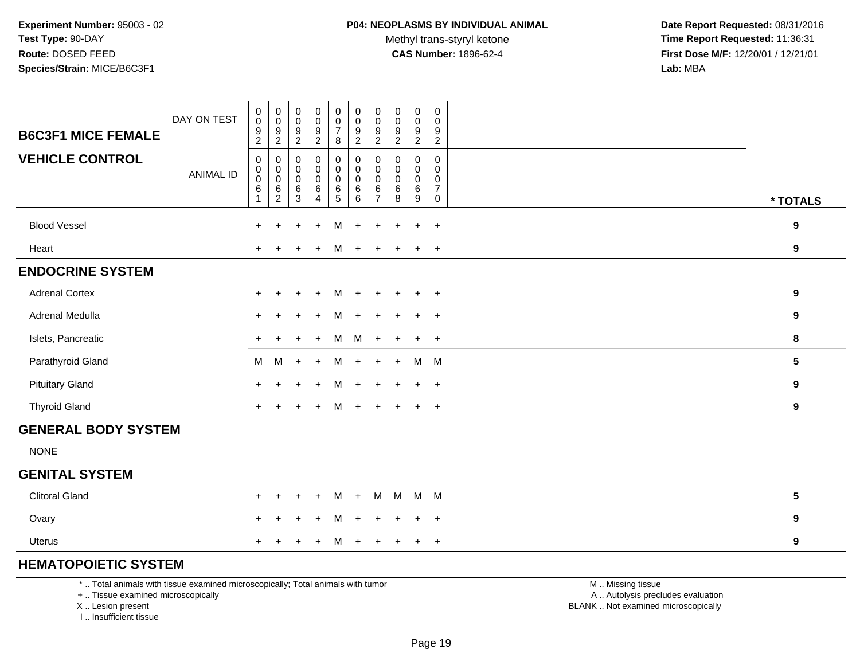Methyl trans-styryl ketone<br>CAS Number: 1896-62-4

 **Date Report Requested:** 08/31/2016 **Time Report Requested:** 11:36:31 **First Dose M/F:** 12/20/01 / 12/21/01<br>**Lab:** MBA **Lab:** MBA

| <b>B6C3F1 MICE FEMALE</b>  | DAY ON TEST      | 0<br>$\mathsf{O}\xspace$<br>9<br>$\overline{2}$                 | $\overline{0}$<br>$\mathbf 0$<br>9<br>$\overline{c}$       | 0<br>$\pmb{0}$<br>9<br>$\overline{c}$          | $\boldsymbol{0}$<br>$\pmb{0}$<br>9<br>$\overline{c}$ | $\begin{matrix} 0 \\ 0 \end{matrix}$<br>$\overline{7}$<br>8 | $\begin{matrix} 0 \\ 0 \end{matrix}$<br>$\boldsymbol{9}$<br>$\overline{2}$ | 0<br>$\pmb{0}$<br>9<br>$\overline{2}$  | $\begin{matrix} 0 \\ 0 \end{matrix}$<br>9<br>$\overline{c}$ | $\begin{matrix} 0 \\ 0 \end{matrix}$<br>9<br>$\overline{2}$ | 0<br>$\mathbf 0$<br>9<br>$\overline{2}$      |                  |
|----------------------------|------------------|-----------------------------------------------------------------|------------------------------------------------------------|------------------------------------------------|------------------------------------------------------|-------------------------------------------------------------|----------------------------------------------------------------------------|----------------------------------------|-------------------------------------------------------------|-------------------------------------------------------------|----------------------------------------------|------------------|
| <b>VEHICLE CONTROL</b>     | <b>ANIMAL ID</b> | 0<br>$\boldsymbol{0}$<br>$\mathsf 0$<br>$\,6\,$<br>$\mathbf{1}$ | 0<br>$\mathbf 0$<br>$\pmb{0}$<br>$\,6\,$<br>$\overline{c}$ | 0<br>0<br>$\pmb{0}$<br>$\,6$<br>$\mathfrak{Z}$ | 0<br>$\pmb{0}$<br>$\pmb{0}$<br>6<br>$\overline{4}$   | 0<br>$\mathbf 0$<br>$\mathbf 0$<br>$\frac{6}{5}$            | 0<br>$\mathbf 0$<br>$\mathbf 0$<br>$\,6\,$<br>$\,6\,$                      | 0<br>0<br>0<br>$\,6$<br>$\overline{7}$ | 0<br>$\pmb{0}$<br>$\pmb{0}$<br>6<br>8                       | 0<br>0<br>$\mathbf 0$<br>6<br>9                             | 0<br>0<br>0<br>$\overline{7}$<br>$\mathsf 0$ | * TOTALS         |
| <b>Blood Vessel</b>        |                  | $+$                                                             | ÷                                                          |                                                | $\ddot{}$                                            | M                                                           | $\ddot{}$                                                                  |                                        |                                                             | $\ddot{}$                                                   | $+$                                          | 9                |
| Heart                      |                  | $+$                                                             |                                                            |                                                | $\div$                                               | м                                                           | $\ddot{}$                                                                  |                                        |                                                             | $+$                                                         | $+$                                          | 9                |
| <b>ENDOCRINE SYSTEM</b>    |                  |                                                                 |                                                            |                                                |                                                      |                                                             |                                                                            |                                        |                                                             |                                                             |                                              |                  |
| <b>Adrenal Cortex</b>      |                  |                                                                 | ÷                                                          |                                                | $+$                                                  | M                                                           | $+$                                                                        | $\pm$                                  | $\ddot{}$                                                   | $+$                                                         | $+$                                          | $\boldsymbol{9}$ |
| Adrenal Medulla            |                  | $+$                                                             |                                                            |                                                | $\ddot{}$                                            | м                                                           | $\ddot{}$                                                                  | $\ddot{}$                              |                                                             | $+$                                                         | $+$                                          | 9                |
| Islets, Pancreatic         |                  |                                                                 |                                                            |                                                | $\ddot{}$                                            | M                                                           | М                                                                          | $\ddot{+}$                             | $\ddot{}$                                                   | $+$                                                         | $+$                                          | 8                |
| Parathyroid Gland          |                  | M                                                               | M                                                          | $\ddot{}$                                      | $\pm$                                                | M                                                           | $+$                                                                        | $+$                                    | $+$                                                         | M M                                                         |                                              | ${\bf 5}$        |
| <b>Pituitary Gland</b>     |                  |                                                                 |                                                            |                                                | $\ddot{}$                                            | м                                                           |                                                                            | $\div$                                 |                                                             | $+$                                                         | $+$                                          | 9                |
| <b>Thyroid Gland</b>       |                  | $+$                                                             | $\overline{+}$                                             |                                                | $+$                                                  | M                                                           | $+$                                                                        | $+$                                    | $+$                                                         | $+$                                                         | $+$                                          | 9                |
| <b>GENERAL BODY SYSTEM</b> |                  |                                                                 |                                                            |                                                |                                                      |                                                             |                                                                            |                                        |                                                             |                                                             |                                              |                  |
| <b>NONE</b>                |                  |                                                                 |                                                            |                                                |                                                      |                                                             |                                                                            |                                        |                                                             |                                                             |                                              |                  |
| <b>GENITAL SYSTEM</b>      |                  |                                                                 |                                                            |                                                |                                                      |                                                             |                                                                            |                                        |                                                             |                                                             |                                              |                  |
| <b>Clitoral Gland</b>      |                  | $+$                                                             | $\ddot{}$                                                  | $+$                                            | $+$                                                  | м                                                           | $+$                                                                        | M                                      | M                                                           | M M                                                         |                                              | ${\bf 5}$        |
| Ovary                      |                  | $\div$                                                          |                                                            |                                                | $\ddot{}$                                            | м                                                           | $\ddot{}$                                                                  | $\ddot{}$                              | $\div$                                                      | $+$                                                         | $+$                                          | 9                |
| <b>Uterus</b>              |                  |                                                                 |                                                            |                                                | $\ddot{}$                                            | м                                                           | $+$                                                                        | $\pm$                                  |                                                             | $+$                                                         | $+$                                          | 9                |

# **HEMATOPOIETIC SYSTEM**

\* .. Total animals with tissue examined microscopically; Total animals with tumor

+ .. Tissue examined microscopically

X .. Lesion present

I .. Insufficient tissue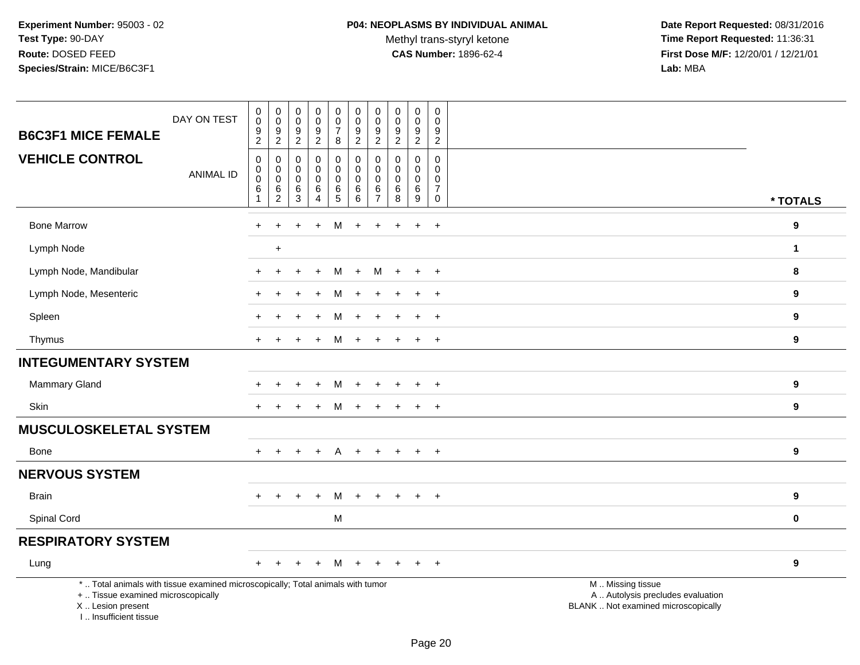Methyl trans-styryl ketone<br>CAS Number: 1896-62-4

 **Date Report Requested:** 08/31/2016 **Time Report Requested:** 11:36:31 **First Dose M/F:** 12/20/01 / 12/21/01<br>Lab: MBA **Lab:** MBA

| DAY ON TEST<br><b>B6C3F1 MICE FEMALE</b>                                                                                                                            | $\mathbf 0$<br>$\ddot{\mathbf{0}}$<br>$\boldsymbol{9}$<br>$\overline{2}$             | $\mathbf 0$<br>$\overline{0}$<br>$9\,$<br>$\sqrt{2}$             | $\pmb{0}$<br>$\pmb{0}$<br>$\boldsymbol{9}$<br>$\overline{2}$ | $\mathbf 0$<br>$\ddot{\mathbf{0}}$<br>$9\,$<br>$\overline{a}$ | $\pmb{0}$<br>$\boldsymbol{0}$<br>$\overline{7}$<br>8                               | $\mathbf 0$<br>$\mathbf 0$<br>$9\,$<br>$\overline{2}$         | $\mathbf 0$<br>0<br>9<br>$\overline{2}$                       | $\mathsf{O}\xspace$<br>0<br>$9$<br>$\overline{2}$      | $\mathsf{O}\xspace$<br>$\mathbf 0$<br>$\boldsymbol{9}$<br>$\overline{2}$ | $\mathbf 0$<br>$\mathbf 0$<br>9<br>$\sqrt{2}$                           |                                                                                               |                  |
|---------------------------------------------------------------------------------------------------------------------------------------------------------------------|--------------------------------------------------------------------------------------|------------------------------------------------------------------|--------------------------------------------------------------|---------------------------------------------------------------|------------------------------------------------------------------------------------|---------------------------------------------------------------|---------------------------------------------------------------|--------------------------------------------------------|--------------------------------------------------------------------------|-------------------------------------------------------------------------|-----------------------------------------------------------------------------------------------|------------------|
| <b>VEHICLE CONTROL</b><br><b>ANIMAL ID</b>                                                                                                                          | $\mathsf{O}\xspace$<br>$\mathbf 0$<br>$\pmb{0}$<br>$6\phantom{1}6$<br>$\overline{1}$ | $\mathbf 0$<br>$\pmb{0}$<br>$\mathbf 0$<br>$\,6\,$<br>$\sqrt{2}$ | $\mathbf 0$<br>$\mathbf 0$<br>$\mathbf 0$<br>6<br>$\sqrt{3}$ | $\mathbf 0$<br>0<br>0<br>6<br>4                               | $\mathbf 0$<br>$\mathsf{O}\xspace$<br>$\mathsf{O}\xspace$<br>$\,6\,$<br>$\sqrt{5}$ | $\mathbf 0$<br>$\pmb{0}$<br>$\mathbf 0$<br>$\,6\,$<br>$\,6\,$ | $\Omega$<br>$\mathbf 0$<br>$\mathbf 0$<br>6<br>$\overline{7}$ | $\Omega$<br>$\mathbf 0$<br>$\mathbf 0$<br>$\,6\,$<br>8 | $\Omega$<br>0<br>0<br>$\,6\,$<br>$9\,$                                   | $\Omega$<br>$\mathbf 0$<br>$\mathbf 0$<br>$\overline{7}$<br>$\mathbf 0$ |                                                                                               | * TOTALS         |
| <b>Bone Marrow</b>                                                                                                                                                  | $+$                                                                                  | $\ddot{}$                                                        |                                                              | $\ddot{}$                                                     | м                                                                                  | $\ddot{}$                                                     | $\ddot{}$                                                     | $\div$                                                 | $\ddot{}$                                                                | $\ddot{}$                                                               |                                                                                               | 9                |
| Lymph Node                                                                                                                                                          |                                                                                      | $+$                                                              |                                                              |                                                               |                                                                                    |                                                               |                                                               |                                                        |                                                                          |                                                                         |                                                                                               | $\mathbf{1}$     |
| Lymph Node, Mandibular                                                                                                                                              | $\ddot{}$                                                                            | $\ddot{}$                                                        |                                                              | $\ddot{}$                                                     | M                                                                                  | $+$                                                           | М                                                             | $+$                                                    | $\ddot{}$                                                                | $+$                                                                     |                                                                                               | 8                |
| Lymph Node, Mesenteric                                                                                                                                              |                                                                                      |                                                                  |                                                              |                                                               | м                                                                                  |                                                               |                                                               |                                                        | $\ddot{}$                                                                | $+$                                                                     |                                                                                               | 9                |
| Spleen                                                                                                                                                              |                                                                                      |                                                                  |                                                              |                                                               | м                                                                                  |                                                               |                                                               |                                                        | $\ddot{}$                                                                | $\ddot{}$                                                               |                                                                                               | $\boldsymbol{9}$ |
| Thymus                                                                                                                                                              |                                                                                      |                                                                  |                                                              | $\ddot{}$                                                     | M                                                                                  | $\ddot{}$                                                     | $\pm$                                                         |                                                        | $\ddot{}$                                                                | $\overline{+}$                                                          |                                                                                               | 9                |
| <b>INTEGUMENTARY SYSTEM</b>                                                                                                                                         |                                                                                      |                                                                  |                                                              |                                                               |                                                                                    |                                                               |                                                               |                                                        |                                                                          |                                                                         |                                                                                               |                  |
| <b>Mammary Gland</b>                                                                                                                                                |                                                                                      |                                                                  |                                                              | $\ddot{}$                                                     | M                                                                                  | $+$                                                           | $\ddot{}$                                                     | $\pm$                                                  | $\ddot{}$                                                                | $+$                                                                     |                                                                                               | 9                |
| <b>Skin</b>                                                                                                                                                         | $+$                                                                                  |                                                                  |                                                              | $\div$                                                        | М                                                                                  | $+$                                                           | $\pm$                                                         | $\pm$                                                  | $\ddot{}$                                                                | $+$                                                                     |                                                                                               | $\boldsymbol{9}$ |
| <b>MUSCULOSKELETAL SYSTEM</b>                                                                                                                                       |                                                                                      |                                                                  |                                                              |                                                               |                                                                                    |                                                               |                                                               |                                                        |                                                                          |                                                                         |                                                                                               |                  |
| Bone                                                                                                                                                                | $+$                                                                                  |                                                                  |                                                              | $\ddot{}$                                                     | A                                                                                  | $+$                                                           | $\pm$                                                         |                                                        | $\ddot{}$                                                                | $\ddot{}$                                                               |                                                                                               | 9                |
| <b>NERVOUS SYSTEM</b>                                                                                                                                               |                                                                                      |                                                                  |                                                              |                                                               |                                                                                    |                                                               |                                                               |                                                        |                                                                          |                                                                         |                                                                                               |                  |
| <b>Brain</b>                                                                                                                                                        | $\ddot{}$                                                                            | $\ddot{}$                                                        | $\ddot{}$                                                    | $+$                                                           | M                                                                                  | $+$                                                           | $+$                                                           | $\ddot{}$                                              | $\ddot{}$                                                                | $+$                                                                     |                                                                                               | $\boldsymbol{9}$ |
| Spinal Cord                                                                                                                                                         |                                                                                      |                                                                  |                                                              |                                                               | M                                                                                  |                                                               |                                                               |                                                        |                                                                          |                                                                         |                                                                                               | $\mathbf 0$      |
| <b>RESPIRATORY SYSTEM</b>                                                                                                                                           |                                                                                      |                                                                  |                                                              |                                                               |                                                                                    |                                                               |                                                               |                                                        |                                                                          |                                                                         |                                                                                               |                  |
| Lung                                                                                                                                                                | $+$                                                                                  | $\pm$                                                            | $\ddot{}$                                                    | $^{+}$                                                        | M                                                                                  | $+$                                                           | $\pm$                                                         | $\pm$                                                  | $\pm$                                                                    | $+$                                                                     |                                                                                               | 9                |
| *  Total animals with tissue examined microscopically; Total animals with tumor<br>+  Tissue examined microscopically<br>X  Lesion present<br>I Insufficient tissue |                                                                                      |                                                                  |                                                              |                                                               |                                                                                    |                                                               |                                                               |                                                        |                                                                          |                                                                         | M  Missing tissue<br>A  Autolysis precludes evaluation<br>BLANK  Not examined microscopically |                  |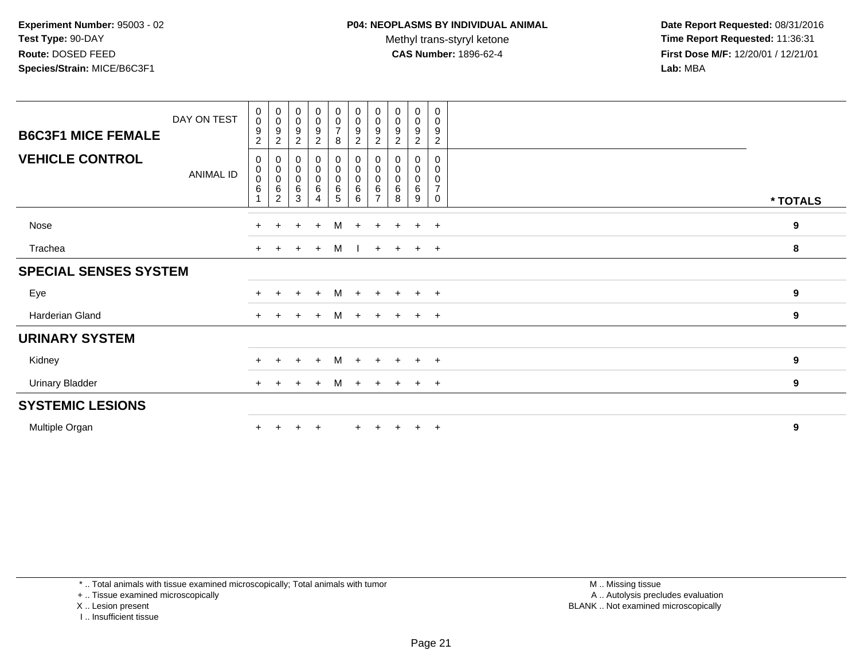Methyl trans-styryl ketone<br>CAS Number: 1896-62-4

 **Date Report Requested:** 08/31/2016 **Time Report Requested:** 11:36:31 **First Dose M/F:** 12/20/01 / 12/21/01<br>**Lab:** MBA **Lab:** MBA

| <b>B6C3F1 MICE FEMALE</b>    | DAY ON TEST | 0<br>$\pmb{0}$<br>9<br>$\overline{2}$ | $_{\rm 0}^{\rm 0}$<br>9<br>$\overline{c}$     | $\mathbf 0$<br>$\pmb{0}$<br>9<br>$\overline{c}$ | $\mathbf 0$<br>$\mathsf{O}$<br>9<br>$\overline{a}$ | $\pmb{0}$<br>$\pmb{0}$<br>$\overline{7}$<br>8 | $\mathbf 0$<br>$\mathbf 0$<br>$\boldsymbol{9}$<br>$\overline{2}$ | $\begin{smallmatrix} 0\\0 \end{smallmatrix}$<br>9<br>$\boldsymbol{2}$ | $\boldsymbol{0}$<br>$\pmb{0}$<br>9<br>$\overline{c}$ | 0<br>$\mathsf{O}\xspace$<br>9<br>$\overline{c}$ | 0<br>0<br>9<br>$\boldsymbol{2}$           |                  |
|------------------------------|-------------|---------------------------------------|-----------------------------------------------|-------------------------------------------------|----------------------------------------------------|-----------------------------------------------|------------------------------------------------------------------|-----------------------------------------------------------------------|------------------------------------------------------|-------------------------------------------------|-------------------------------------------|------------------|
| <b>VEHICLE CONTROL</b>       | ANIMAL ID   | 0<br>0<br>$\mathbf 0$<br>6            | $_{\rm 0}^{\rm 0}$<br>$\pmb{0}$<br>$\,6$<br>2 | $\mathbf 0$<br>$\pmb{0}$<br>$\pmb{0}$<br>6<br>3 | 0<br>$\pmb{0}$<br>$\pmb{0}$<br>6<br>4              | 0<br>0<br>$\pmb{0}$<br>6<br>5                 | 0<br>$\pmb{0}$<br>$\pmb{0}$<br>$\,6$<br>6                        | 0<br>$\pmb{0}$<br>0<br>6<br>$\overline{ }$                            | 0<br>0<br>6<br>8                                     | 0<br>0<br>0<br>6<br>9                           | 0<br>0<br>0<br>$\overline{7}$<br>$\Omega$ | * TOTALS         |
| Nose                         |             | $+$                                   | $\ddot{}$                                     | $\ddot{}$                                       | $\ddot{}$                                          | M                                             | $+$                                                              | $+$                                                                   | $+$                                                  | $+$                                             | $+$                                       | 9                |
| Trachea                      |             | $+$                                   | $\pm$                                         | $+$                                             | $\ddot{}$                                          | M                                             |                                                                  |                                                                       | $+$ $+$                                              | $+$                                             | $+$                                       | 8                |
| <b>SPECIAL SENSES SYSTEM</b> |             |                                       |                                               |                                                 |                                                    |                                               |                                                                  |                                                                       |                                                      |                                                 |                                           |                  |
| Eye                          |             | $+$                                   | $+$                                           | $+$                                             | $+$                                                | M                                             | $+$                                                              | $+$                                                                   | $+$                                                  | $+$ $+$                                         |                                           | 9                |
| Harderian Gland              |             | $+$                                   |                                               | $\div$                                          | $\ddot{}$                                          | M                                             | $+$                                                              | $+$                                                                   | $+$                                                  | $+$                                             | $+$                                       | 9                |
| <b>URINARY SYSTEM</b>        |             |                                       |                                               |                                                 |                                                    |                                               |                                                                  |                                                                       |                                                      |                                                 |                                           |                  |
| Kidney                       |             | $+$                                   |                                               | $\div$                                          | $\ddot{}$                                          | M                                             | $+$                                                              | $+$                                                                   | $+$                                                  | $+$                                             | $+$                                       | $\boldsymbol{9}$ |
| <b>Urinary Bladder</b>       |             | $+$                                   |                                               | $\pm$                                           | $+$                                                | M                                             | $+$                                                              | $+$                                                                   | $\pm$                                                | $\overline{+}$                                  | $+$                                       | 9                |
| <b>SYSTEMIC LESIONS</b>      |             |                                       |                                               |                                                 |                                                    |                                               |                                                                  |                                                                       |                                                      |                                                 |                                           |                  |
| Multiple Organ               |             | $+$                                   |                                               |                                                 | $\overline{ }$                                     |                                               |                                                                  |                                                                       | $\pm$                                                | $\pm$                                           | $+$                                       | 9                |

\* .. Total animals with tissue examined microscopically; Total animals with tumor

+ .. Tissue examined microscopically

X .. Lesion present

I .. Insufficient tissue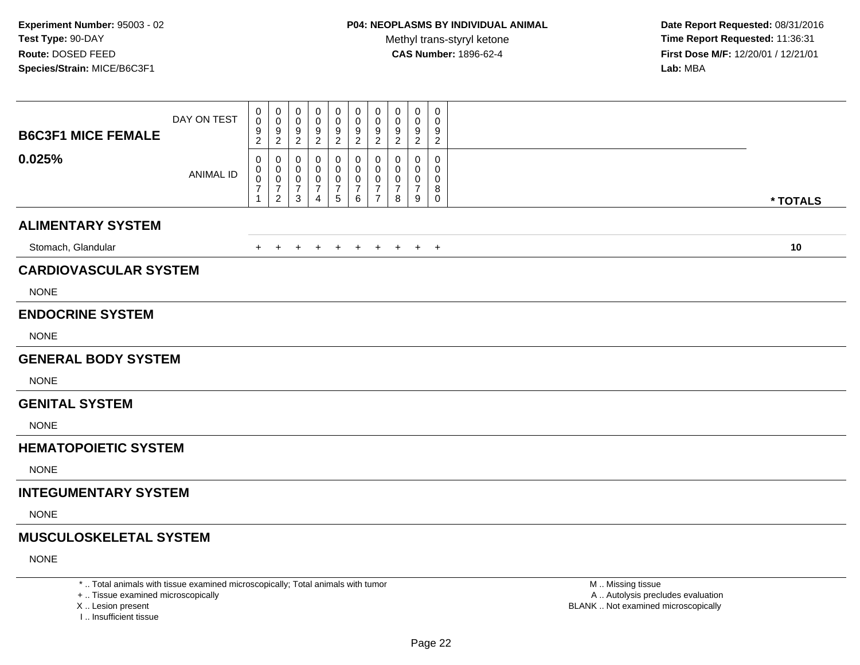**Date Report Requested:** 08/31/2016 **Time Report Requested:** 11:36:31 **First Dose M/F:** 12/20/01 / 12/21/01<br>**Lab:** MBA **Lab:** MBA

| <b>B6C3F1 MICE FEMALE</b>     | DAY ON TEST      | 0<br>0<br>$\frac{9}{2}$                           | 0<br>0<br>$\frac{9}{2}$                                     | 0<br>$\mathbf 0$<br>$\frac{9}{2}$              | 0<br>0<br>9<br>$\boldsymbol{2}$ | 0<br>0<br>$\frac{9}{2}$                          | 0<br>0<br>$\frac{9}{2}$            | 0<br>$\mathbf 0$<br>$\frac{9}{2}$      | 0<br>0<br>$\frac{9}{2}$         | 0<br>0<br>$\frac{9}{2}$                      | $\mathbf 0$<br>$\mathbf 0$<br>$\frac{9}{2}$         |          |
|-------------------------------|------------------|---------------------------------------------------|-------------------------------------------------------------|------------------------------------------------|---------------------------------|--------------------------------------------------|------------------------------------|----------------------------------------|---------------------------------|----------------------------------------------|-----------------------------------------------------|----------|
| 0.025%                        | <b>ANIMAL ID</b> | 0<br>0<br>$\boldsymbol{0}$<br>$\overline{7}$<br>1 | 0<br>0<br>$\mathbf 0$<br>$\boldsymbol{7}$<br>$\overline{2}$ | 0<br>0<br>$\mathbf 0$<br>$\boldsymbol{7}$<br>3 | 0<br>0<br>0<br>7<br>4           | 0<br>0<br>0<br>$\overline{7}$<br>$5\phantom{.0}$ | 0<br>0<br>0<br>$\overline{7}$<br>6 | 0<br>0<br>$\mathbf 0$<br>$\frac{7}{7}$ | 0<br>$\mathbf 0$<br>0<br>7<br>8 | 0<br>$\mathbf 0$<br>0<br>$\overline{7}$<br>9 | 0<br>$\mathbf 0$<br>$\mathbf 0$<br>8<br>$\mathbf 0$ | * TOTALS |
| <b>ALIMENTARY SYSTEM</b>      |                  |                                                   |                                                             |                                                |                                 |                                                  |                                    |                                        |                                 |                                              |                                                     |          |
| Stomach, Glandular            |                  | $+$                                               | $+$                                                         | $\overline{+}$                                 | $\ddot{}$                       | $+$                                              | $+$                                | $+$                                    | $+$                             | $+$                                          | $+$                                                 | 10       |
| <b>CARDIOVASCULAR SYSTEM</b>  |                  |                                                   |                                                             |                                                |                                 |                                                  |                                    |                                        |                                 |                                              |                                                     |          |
| <b>NONE</b>                   |                  |                                                   |                                                             |                                                |                                 |                                                  |                                    |                                        |                                 |                                              |                                                     |          |
| <b>ENDOCRINE SYSTEM</b>       |                  |                                                   |                                                             |                                                |                                 |                                                  |                                    |                                        |                                 |                                              |                                                     |          |
| <b>NONE</b>                   |                  |                                                   |                                                             |                                                |                                 |                                                  |                                    |                                        |                                 |                                              |                                                     |          |
| <b>GENERAL BODY SYSTEM</b>    |                  |                                                   |                                                             |                                                |                                 |                                                  |                                    |                                        |                                 |                                              |                                                     |          |
| <b>NONE</b>                   |                  |                                                   |                                                             |                                                |                                 |                                                  |                                    |                                        |                                 |                                              |                                                     |          |
| <b>GENITAL SYSTEM</b>         |                  |                                                   |                                                             |                                                |                                 |                                                  |                                    |                                        |                                 |                                              |                                                     |          |
| <b>NONE</b>                   |                  |                                                   |                                                             |                                                |                                 |                                                  |                                    |                                        |                                 |                                              |                                                     |          |
| <b>HEMATOPOIETIC SYSTEM</b>   |                  |                                                   |                                                             |                                                |                                 |                                                  |                                    |                                        |                                 |                                              |                                                     |          |
| <b>NONE</b>                   |                  |                                                   |                                                             |                                                |                                 |                                                  |                                    |                                        |                                 |                                              |                                                     |          |
| <b>INTEGUMENTARY SYSTEM</b>   |                  |                                                   |                                                             |                                                |                                 |                                                  |                                    |                                        |                                 |                                              |                                                     |          |
| <b>NONE</b>                   |                  |                                                   |                                                             |                                                |                                 |                                                  |                                    |                                        |                                 |                                              |                                                     |          |
| <b>MUSCULOSKELETAL SYSTEM</b> |                  |                                                   |                                                             |                                                |                                 |                                                  |                                    |                                        |                                 |                                              |                                                     |          |
| <b>NONE</b>                   |                  |                                                   |                                                             |                                                |                                 |                                                  |                                    |                                        |                                 |                                              |                                                     |          |
|                               |                  |                                                   |                                                             |                                                |                                 |                                                  |                                    |                                        |                                 |                                              |                                                     |          |

\* .. Total animals with tissue examined microscopically; Total animals with tumor

+ .. Tissue examined microscopically

X .. Lesion present

I .. Insufficient tissue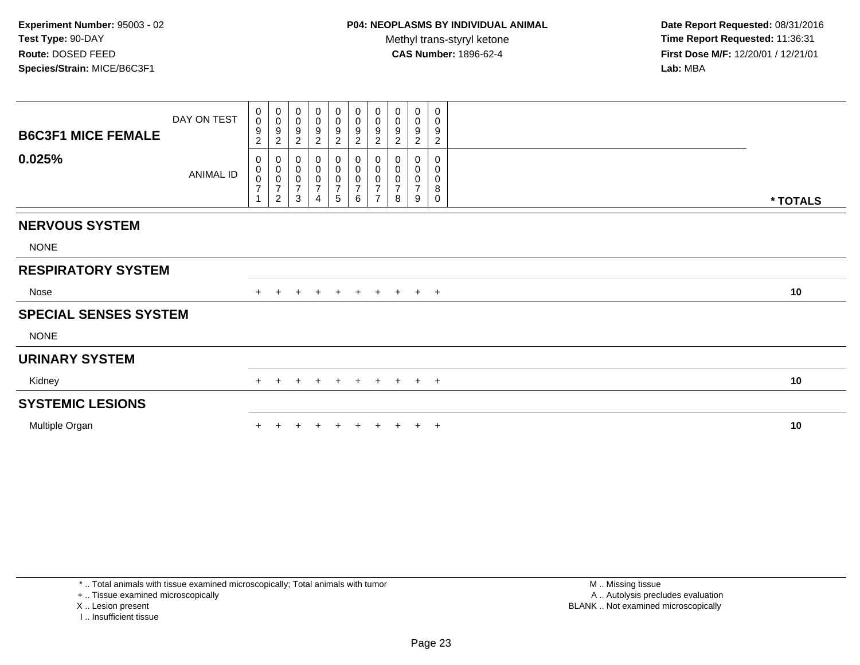**Date Report Requested:** 08/31/2016 **Time Report Requested:** 11:36:31 **First Dose M/F:** 12/20/01 / 12/21/01<br>**Lab:** MBA **Lab:** MBA

| <b>B6C3F1 MICE FEMALE</b>    | DAY ON TEST | 0<br>$\mathsf{O}$<br>9<br>$\overline{c}$ | 0<br>$\boldsymbol{0}$<br>$\boldsymbol{9}$<br>$\overline{2}$ | 0<br>$\pmb{0}$<br>$\frac{9}{2}$                   | 0<br>0<br>9<br>$\overline{2}$                                     | $\mathbf 0$<br>$\pmb{0}$<br>$\frac{9}{2}$ | 0<br>$_{9}^{\rm 0}$<br>$\boldsymbol{2}$  | 0<br>$\pmb{0}$<br>$\boldsymbol{9}$<br>$\overline{c}$            | 0<br>$\pmb{0}$<br>$\boldsymbol{9}$<br>$\sqrt{2}$   | 0<br>$\pmb{0}$<br>$\boldsymbol{9}$<br>$\overline{2}$ | 0<br>$\pmb{0}$<br>$\boldsymbol{9}$<br>$\overline{c}$            |          |
|------------------------------|-------------|------------------------------------------|-------------------------------------------------------------|---------------------------------------------------|-------------------------------------------------------------------|-------------------------------------------|------------------------------------------|-----------------------------------------------------------------|----------------------------------------------------|------------------------------------------------------|-----------------------------------------------------------------|----------|
| 0.025%                       | ANIMAL ID   | 0<br>0<br>0<br>$\overline{7}$            | $\overline{c}$                                              | $_{\rm 0}^{\rm 0}$<br>$\frac{0}{7}$<br>$\sqrt{3}$ | 0<br>$\mathbf 0$<br>$\pmb{0}$<br>$\overline{7}$<br>$\overline{4}$ | $\overline{5}$                            | $_{\rm 0}^{\rm 0}$<br>$\frac{0}{7}$<br>6 | 0<br>$\pmb{0}$<br>$\pmb{0}$<br>$\overline{7}$<br>$\overline{7}$ | 0<br>$\pmb{0}$<br>$\pmb{0}$<br>$\overline{7}$<br>8 | 0<br>$\pmb{0}$<br>$\pmb{0}$<br>$\overline{7}$<br>9   | $\mathbf 0$<br>$\pmb{0}$<br>$\pmb{0}$<br>$\bf 8$<br>$\mathbf 0$ | * TOTALS |
| <b>NERVOUS SYSTEM</b>        |             |                                          |                                                             |                                                   |                                                                   |                                           |                                          |                                                                 |                                                    |                                                      |                                                                 |          |
| <b>NONE</b>                  |             |                                          |                                                             |                                                   |                                                                   |                                           |                                          |                                                                 |                                                    |                                                      |                                                                 |          |
| <b>RESPIRATORY SYSTEM</b>    |             |                                          |                                                             |                                                   |                                                                   |                                           |                                          |                                                                 |                                                    |                                                      |                                                                 |          |
| Nose                         |             |                                          | $+$                                                         | $\ddot{}$                                         | $+$                                                               | $+$                                       |                                          |                                                                 | + + + + +                                          |                                                      |                                                                 | 10       |
| <b>SPECIAL SENSES SYSTEM</b> |             |                                          |                                                             |                                                   |                                                                   |                                           |                                          |                                                                 |                                                    |                                                      |                                                                 |          |
| <b>NONE</b>                  |             |                                          |                                                             |                                                   |                                                                   |                                           |                                          |                                                                 |                                                    |                                                      |                                                                 |          |
| <b>URINARY SYSTEM</b>        |             |                                          |                                                             |                                                   |                                                                   |                                           |                                          |                                                                 |                                                    |                                                      |                                                                 |          |
| Kidney                       |             | $+$                                      | $+$                                                         | $\ddot{}$                                         | $+$                                                               | $+$                                       | $+$                                      |                                                                 | + + + +                                            |                                                      |                                                                 | 10       |
| <b>SYSTEMIC LESIONS</b>      |             |                                          |                                                             |                                                   |                                                                   |                                           |                                          |                                                                 |                                                    |                                                      |                                                                 |          |
| Multiple Organ               |             |                                          |                                                             |                                                   |                                                                   |                                           |                                          |                                                                 |                                                    |                                                      | $\overline{ }$                                                  | 10       |

\* .. Total animals with tissue examined microscopically; Total animals with tumor

+ .. Tissue examined microscopically

X .. Lesion present

I .. Insufficient tissue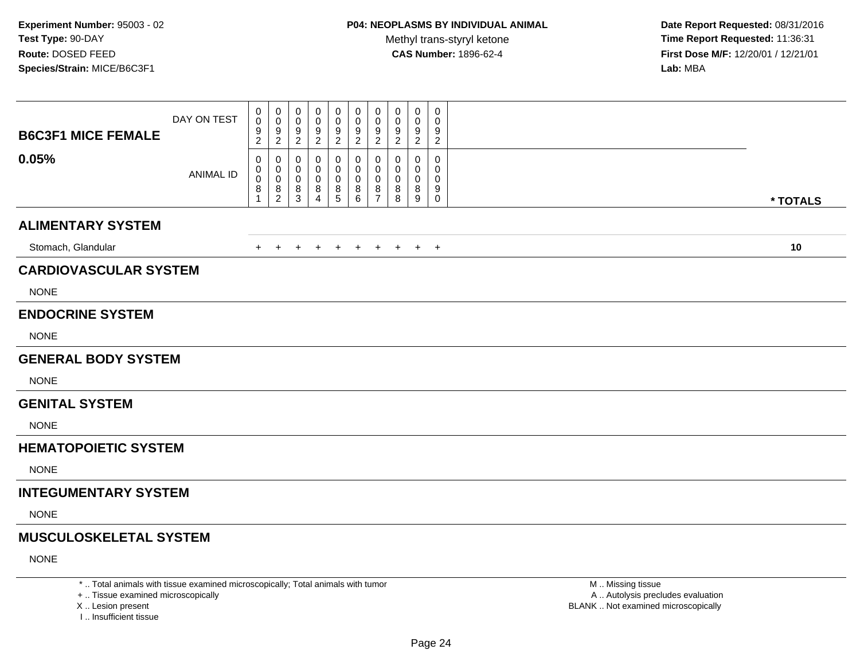**Date Report Requested:** 08/31/2016 **Time Report Requested:** 11:36:31 **First Dose M/F:** 12/20/01 / 12/21/01<br>**Lab:** MBA **Lab:** MBA

| <b>B6C3F1 MICE FEMALE</b>     | DAY ON TEST      | 0<br>$\boldsymbol{0}$<br>$\frac{9}{2}$         | 0<br>$\boldsymbol{0}$<br>9<br>$\overline{2}$ | $\mathbf 0$<br>$\mathbf 0$<br>$9\,$<br>$\overline{2}$ | 0<br>0<br>9<br>$\boldsymbol{2}$ | 0<br>0<br>$\frac{9}{2}$ | 0<br>$\mathbf 0$<br>$\frac{9}{2}$             | 0<br>$\pmb{0}$<br>$\frac{9}{2}$                      | 0<br>$\pmb{0}$<br>$\frac{9}{2}$ | 0<br>0<br>$\frac{9}{2}$          | $\mathbf 0$<br>$\mathbf 0$<br>9<br>$\overline{2}$   |          |
|-------------------------------|------------------|------------------------------------------------|----------------------------------------------|-------------------------------------------------------|---------------------------------|-------------------------|-----------------------------------------------|------------------------------------------------------|---------------------------------|----------------------------------|-----------------------------------------------------|----------|
| 0.05%                         | <b>ANIMAL ID</b> | $\mathbf 0$<br>0<br>$\mathbf 0$<br>$\, 8$<br>1 | 0<br>0<br>$\mathbf 0$<br>$\frac{8}{2}$       | 0<br>0<br>$\mathbf 0$<br>8<br>$\overline{3}$          | 0<br>0<br>0<br>8<br>4           | 0<br>0<br>0<br>8<br>5   | $\mathbf{0}$<br>0<br>0<br>8<br>$6\phantom{1}$ | 0<br>0<br>0<br>$\begin{array}{c} 8 \\ 7 \end{array}$ | 0<br>0<br>0<br>8<br>8           | $\mathbf{0}$<br>0<br>0<br>8<br>9 | $\mathbf 0$<br>$\mathbf 0$<br>$\mathbf 0$<br>9<br>0 | * TOTALS |
| <b>ALIMENTARY SYSTEM</b>      |                  |                                                |                                              |                                                       |                                 |                         |                                               |                                                      |                                 |                                  |                                                     |          |
| Stomach, Glandular            |                  | $+$                                            | $+$                                          | $\ddot{}$                                             | $\ddot{}$                       | $+$                     | $+$                                           | $+$                                                  | $+$                             | $+$                              | $+$                                                 | 10       |
| <b>CARDIOVASCULAR SYSTEM</b>  |                  |                                                |                                              |                                                       |                                 |                         |                                               |                                                      |                                 |                                  |                                                     |          |
| <b>NONE</b>                   |                  |                                                |                                              |                                                       |                                 |                         |                                               |                                                      |                                 |                                  |                                                     |          |
| <b>ENDOCRINE SYSTEM</b>       |                  |                                                |                                              |                                                       |                                 |                         |                                               |                                                      |                                 |                                  |                                                     |          |
| <b>NONE</b>                   |                  |                                                |                                              |                                                       |                                 |                         |                                               |                                                      |                                 |                                  |                                                     |          |
| <b>GENERAL BODY SYSTEM</b>    |                  |                                                |                                              |                                                       |                                 |                         |                                               |                                                      |                                 |                                  |                                                     |          |
| <b>NONE</b>                   |                  |                                                |                                              |                                                       |                                 |                         |                                               |                                                      |                                 |                                  |                                                     |          |
| <b>GENITAL SYSTEM</b>         |                  |                                                |                                              |                                                       |                                 |                         |                                               |                                                      |                                 |                                  |                                                     |          |
| <b>NONE</b>                   |                  |                                                |                                              |                                                       |                                 |                         |                                               |                                                      |                                 |                                  |                                                     |          |
| <b>HEMATOPOIETIC SYSTEM</b>   |                  |                                                |                                              |                                                       |                                 |                         |                                               |                                                      |                                 |                                  |                                                     |          |
| <b>NONE</b>                   |                  |                                                |                                              |                                                       |                                 |                         |                                               |                                                      |                                 |                                  |                                                     |          |
| <b>INTEGUMENTARY SYSTEM</b>   |                  |                                                |                                              |                                                       |                                 |                         |                                               |                                                      |                                 |                                  |                                                     |          |
| <b>NONE</b>                   |                  |                                                |                                              |                                                       |                                 |                         |                                               |                                                      |                                 |                                  |                                                     |          |
| <b>MUSCULOSKELETAL SYSTEM</b> |                  |                                                |                                              |                                                       |                                 |                         |                                               |                                                      |                                 |                                  |                                                     |          |
| <b>NONE</b>                   |                  |                                                |                                              |                                                       |                                 |                         |                                               |                                                      |                                 |                                  |                                                     |          |

\* .. Total animals with tissue examined microscopically; Total animals with tumor

+ .. Tissue examined microscopically

X .. Lesion present

I .. Insufficient tissue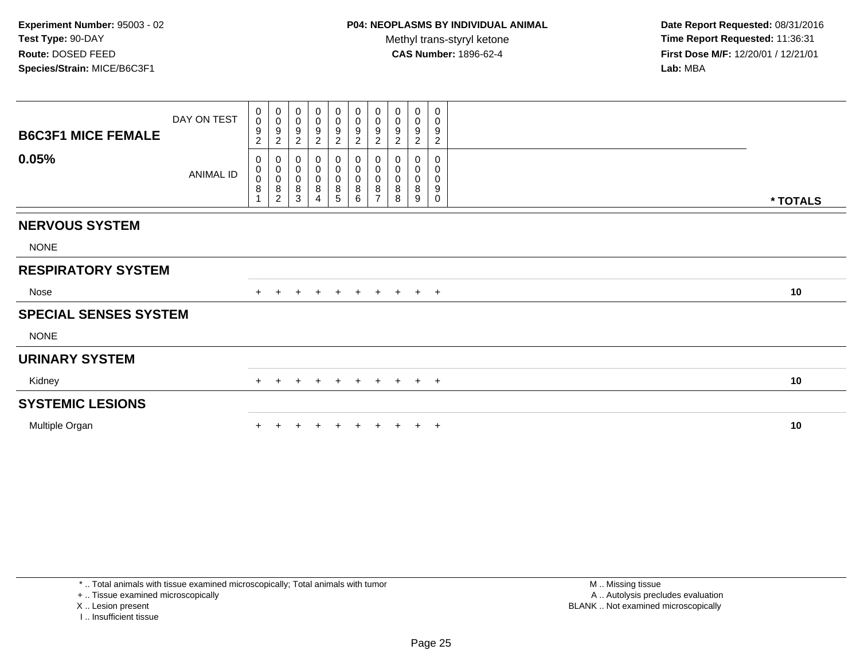**Date Report Requested:** 08/31/2016 **Time Report Requested:** 11:36:31 **First Dose M/F:** 12/20/01 / 12/21/01<br>**Lab:** MBA **Lab:** MBA

| <b>B6C3F1 MICE FEMALE</b>    | DAY ON TEST      | 0<br>$\mathbf 0$<br>9<br>$\overline{2}$ | $_{\rm 0}^{\rm 0}$<br>$\boldsymbol{9}$<br>$\overline{c}$ | 0<br>$\pmb{0}$<br>$\boldsymbol{9}$<br>$\overline{2}$ | $\mathbf 0$<br>$\pmb{0}$<br>$\frac{9}{2}$            | $\mathbf 0$<br>$\pmb{0}$<br>$\boldsymbol{9}$<br>$\overline{2}$ | $\begin{smallmatrix}0\0\0\end{smallmatrix}$<br>$\boldsymbol{9}$<br>$\overline{c}$ | $\mathbf 0$<br>$\mathbf 0$<br>$\boldsymbol{9}$<br>$\overline{c}$ | 0<br>$\pmb{0}$<br>$\boldsymbol{9}$<br>$\overline{\mathbf{c}}$ | 0<br>0<br>9<br>$\overline{c}$         | 0<br>0<br>$\boldsymbol{9}$<br>$\overline{2}$    |          |
|------------------------------|------------------|-----------------------------------------|----------------------------------------------------------|------------------------------------------------------|------------------------------------------------------|----------------------------------------------------------------|-----------------------------------------------------------------------------------|------------------------------------------------------------------|---------------------------------------------------------------|---------------------------------------|-------------------------------------------------|----------|
| 0.05%                        | <b>ANIMAL ID</b> | 0<br>0<br>$\mathsf 0$<br>8              | 00008                                                    | 0<br>$\pmb{0}$<br>$_{\rm 8}^{\rm 0}$<br>$\mathbf{3}$ | 0<br>$_{\rm 0}^{\rm 0}$<br>$\bf 8$<br>$\overline{4}$ | 0<br>$\begin{matrix} 0 \\ 0 \\ 8 \end{matrix}$<br>5            | 0<br>$\mathbf 0$<br>$\pmb{0}$<br>$\bf 8$<br>$\,6\,$                               | 0<br>$\pmb{0}$<br>$\pmb{0}$<br>8<br>$\overline{7}$               | 0<br>0<br>$\pmb{0}$<br>8<br>8                                 | 0<br>$\pmb{0}$<br>$\pmb{0}$<br>8<br>9 | $\mathbf 0$<br>0<br>$\pmb{0}$<br>9<br>$\pmb{0}$ | * TOTALS |
|                              |                  |                                         |                                                          |                                                      |                                                      |                                                                |                                                                                   |                                                                  |                                                               |                                       |                                                 |          |
| <b>NERVOUS SYSTEM</b>        |                  |                                         |                                                          |                                                      |                                                      |                                                                |                                                                                   |                                                                  |                                                               |                                       |                                                 |          |
| <b>NONE</b>                  |                  |                                         |                                                          |                                                      |                                                      |                                                                |                                                                                   |                                                                  |                                                               |                                       |                                                 |          |
| <b>RESPIRATORY SYSTEM</b>    |                  |                                         |                                                          |                                                      |                                                      |                                                                |                                                                                   |                                                                  |                                                               |                                       |                                                 |          |
| Nose                         |                  |                                         |                                                          | ٠                                                    | $\pm$                                                | $+$                                                            | $+$                                                                               | $+$                                                              | $+$                                                           |                                       | $+$ $+$                                         | 10       |
| <b>SPECIAL SENSES SYSTEM</b> |                  |                                         |                                                          |                                                      |                                                      |                                                                |                                                                                   |                                                                  |                                                               |                                       |                                                 |          |
| <b>NONE</b>                  |                  |                                         |                                                          |                                                      |                                                      |                                                                |                                                                                   |                                                                  |                                                               |                                       |                                                 |          |
| <b>URINARY SYSTEM</b>        |                  |                                         |                                                          |                                                      |                                                      |                                                                |                                                                                   |                                                                  |                                                               |                                       |                                                 |          |
| Kidney                       |                  |                                         |                                                          | $\div$                                               |                                                      | $\pm$                                                          | $+$                                                                               | $+$                                                              | $+$                                                           |                                       | $+$ $+$                                         | 10       |
| <b>SYSTEMIC LESIONS</b>      |                  |                                         |                                                          |                                                      |                                                      |                                                                |                                                                                   |                                                                  |                                                               |                                       |                                                 |          |
| Multiple Organ               |                  |                                         |                                                          |                                                      |                                                      |                                                                |                                                                                   |                                                                  |                                                               |                                       | $\overline{1}$                                  | 10       |
|                              |                  |                                         |                                                          |                                                      |                                                      |                                                                |                                                                                   |                                                                  |                                                               |                                       |                                                 |          |

\* .. Total animals with tissue examined microscopically; Total animals with tumor

+ .. Tissue examined microscopically

X .. Lesion present

I .. Insufficient tissue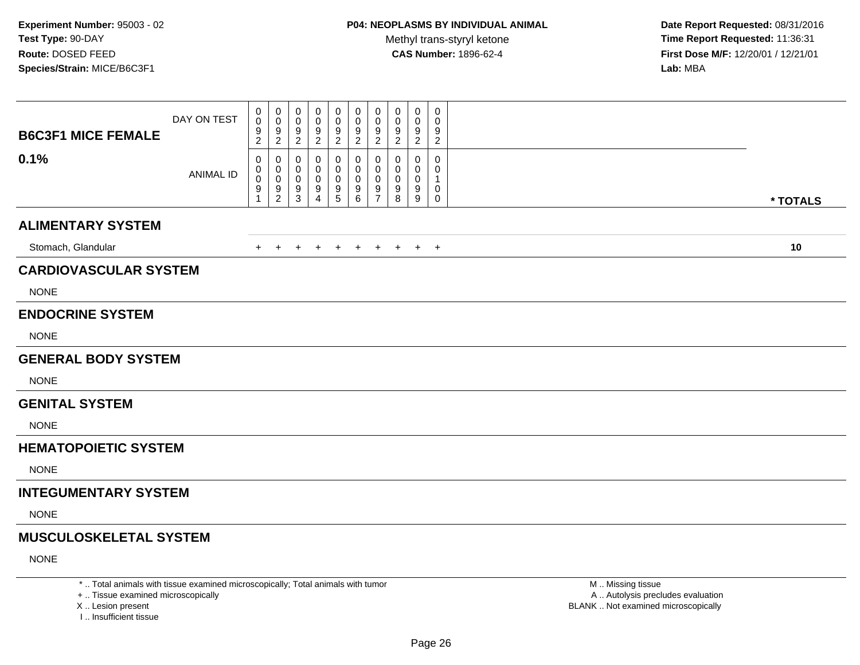**Date Report Requested:** 08/31/2016 **Time Report Requested:** 11:36:31 **First Dose M/F:** 12/20/01 / 12/21/01<br>**Lab:** MBA **Lab:** MBA

| 0<br>0<br>0<br>0<br>0<br>0<br>0<br>0<br>$\mathbf 0$<br>0<br>DAY ON TEST<br>$\mathsf{O}\xspace$<br>$\mathbf 0$<br>$\pmb{0}$<br>$\pmb{0}$<br>$\mathbf 0$<br>0<br>$\mathbf 0$<br>$\mathbf 0$<br>0<br>0<br>$\frac{9}{2}$<br>$\frac{9}{2}$<br>$\frac{9}{2}$<br>$\frac{9}{2}$<br>$\frac{9}{2}$<br>$\frac{9}{2}$<br>$\frac{9}{2}$<br>9<br>$\frac{9}{2}$<br>9<br><b>B6C3F1 MICE FEMALE</b><br>$\boldsymbol{2}$<br>$\overline{c}$<br>0.1%<br>$\mathbf 0$<br>0<br>0<br>0<br>0<br>0<br>0<br>0<br>0<br>0<br>0<br>0<br>0<br>0<br>0<br>$\mathbf 0$<br>0<br>0<br>0<br>$\Omega$<br><b>ANIMAL ID</b><br>$\mathbf 0$<br>$\mathsf{O}\xspace$<br>$\mathbf 0$<br>$\boldsymbol{0}$<br>0<br>0<br>0<br>0<br>$\mathbf 0$<br>$\mathbf 1$<br>$\frac{9}{1}$<br>$\frac{9}{2}$<br>9<br>$\begin{array}{c} 9 \\ 6 \end{array}$<br>$\frac{9}{7}$<br>$_{8}^{\mathrm{9}}$<br>$\overset{9}{9}$<br>0<br>9<br>9<br>$\mathbf{3}$<br>$\sqrt{5}$<br>$\mathbf 0$<br>4<br><b>ALIMENTARY SYSTEM</b><br>Stomach, Glandular<br>$+$<br>$+$<br>$\ddot{}$<br>$+$<br>$+$<br>$+$<br>$+$<br>$+$<br>$+$<br>$+$<br><b>CARDIOVASCULAR SYSTEM</b><br><b>NONE</b><br><b>ENDOCRINE SYSTEM</b><br><b>NONE</b><br><b>GENERAL BODY SYSTEM</b><br><b>NONE</b><br><b>GENITAL SYSTEM</b><br><b>NONE</b><br><b>HEMATOPOIETIC SYSTEM</b><br><b>NONE</b><br><b>INTEGUMENTARY SYSTEM</b><br><b>NONE</b><br><b>MUSCULOSKELETAL SYSTEM</b> |          |  |  |  |  |  |  |
|----------------------------------------------------------------------------------------------------------------------------------------------------------------------------------------------------------------------------------------------------------------------------------------------------------------------------------------------------------------------------------------------------------------------------------------------------------------------------------------------------------------------------------------------------------------------------------------------------------------------------------------------------------------------------------------------------------------------------------------------------------------------------------------------------------------------------------------------------------------------------------------------------------------------------------------------------------------------------------------------------------------------------------------------------------------------------------------------------------------------------------------------------------------------------------------------------------------------------------------------------------------------------------------------------------------------------------------------------------------------|----------|--|--|--|--|--|--|
|                                                                                                                                                                                                                                                                                                                                                                                                                                                                                                                                                                                                                                                                                                                                                                                                                                                                                                                                                                                                                                                                                                                                                                                                                                                                                                                                                                      |          |  |  |  |  |  |  |
|                                                                                                                                                                                                                                                                                                                                                                                                                                                                                                                                                                                                                                                                                                                                                                                                                                                                                                                                                                                                                                                                                                                                                                                                                                                                                                                                                                      | * TOTALS |  |  |  |  |  |  |
|                                                                                                                                                                                                                                                                                                                                                                                                                                                                                                                                                                                                                                                                                                                                                                                                                                                                                                                                                                                                                                                                                                                                                                                                                                                                                                                                                                      |          |  |  |  |  |  |  |
|                                                                                                                                                                                                                                                                                                                                                                                                                                                                                                                                                                                                                                                                                                                                                                                                                                                                                                                                                                                                                                                                                                                                                                                                                                                                                                                                                                      | 10       |  |  |  |  |  |  |
|                                                                                                                                                                                                                                                                                                                                                                                                                                                                                                                                                                                                                                                                                                                                                                                                                                                                                                                                                                                                                                                                                                                                                                                                                                                                                                                                                                      |          |  |  |  |  |  |  |
|                                                                                                                                                                                                                                                                                                                                                                                                                                                                                                                                                                                                                                                                                                                                                                                                                                                                                                                                                                                                                                                                                                                                                                                                                                                                                                                                                                      |          |  |  |  |  |  |  |
|                                                                                                                                                                                                                                                                                                                                                                                                                                                                                                                                                                                                                                                                                                                                                                                                                                                                                                                                                                                                                                                                                                                                                                                                                                                                                                                                                                      |          |  |  |  |  |  |  |
|                                                                                                                                                                                                                                                                                                                                                                                                                                                                                                                                                                                                                                                                                                                                                                                                                                                                                                                                                                                                                                                                                                                                                                                                                                                                                                                                                                      |          |  |  |  |  |  |  |
|                                                                                                                                                                                                                                                                                                                                                                                                                                                                                                                                                                                                                                                                                                                                                                                                                                                                                                                                                                                                                                                                                                                                                                                                                                                                                                                                                                      |          |  |  |  |  |  |  |
|                                                                                                                                                                                                                                                                                                                                                                                                                                                                                                                                                                                                                                                                                                                                                                                                                                                                                                                                                                                                                                                                                                                                                                                                                                                                                                                                                                      |          |  |  |  |  |  |  |
|                                                                                                                                                                                                                                                                                                                                                                                                                                                                                                                                                                                                                                                                                                                                                                                                                                                                                                                                                                                                                                                                                                                                                                                                                                                                                                                                                                      |          |  |  |  |  |  |  |
|                                                                                                                                                                                                                                                                                                                                                                                                                                                                                                                                                                                                                                                                                                                                                                                                                                                                                                                                                                                                                                                                                                                                                                                                                                                                                                                                                                      |          |  |  |  |  |  |  |
|                                                                                                                                                                                                                                                                                                                                                                                                                                                                                                                                                                                                                                                                                                                                                                                                                                                                                                                                                                                                                                                                                                                                                                                                                                                                                                                                                                      |          |  |  |  |  |  |  |
|                                                                                                                                                                                                                                                                                                                                                                                                                                                                                                                                                                                                                                                                                                                                                                                                                                                                                                                                                                                                                                                                                                                                                                                                                                                                                                                                                                      |          |  |  |  |  |  |  |
|                                                                                                                                                                                                                                                                                                                                                                                                                                                                                                                                                                                                                                                                                                                                                                                                                                                                                                                                                                                                                                                                                                                                                                                                                                                                                                                                                                      |          |  |  |  |  |  |  |
|                                                                                                                                                                                                                                                                                                                                                                                                                                                                                                                                                                                                                                                                                                                                                                                                                                                                                                                                                                                                                                                                                                                                                                                                                                                                                                                                                                      |          |  |  |  |  |  |  |
|                                                                                                                                                                                                                                                                                                                                                                                                                                                                                                                                                                                                                                                                                                                                                                                                                                                                                                                                                                                                                                                                                                                                                                                                                                                                                                                                                                      |          |  |  |  |  |  |  |
| <b>NONE</b>                                                                                                                                                                                                                                                                                                                                                                                                                                                                                                                                                                                                                                                                                                                                                                                                                                                                                                                                                                                                                                                                                                                                                                                                                                                                                                                                                          |          |  |  |  |  |  |  |

\* .. Total animals with tissue examined microscopically; Total animals with tumor

+ .. Tissue examined microscopically

X .. Lesion present

I .. Insufficient tissue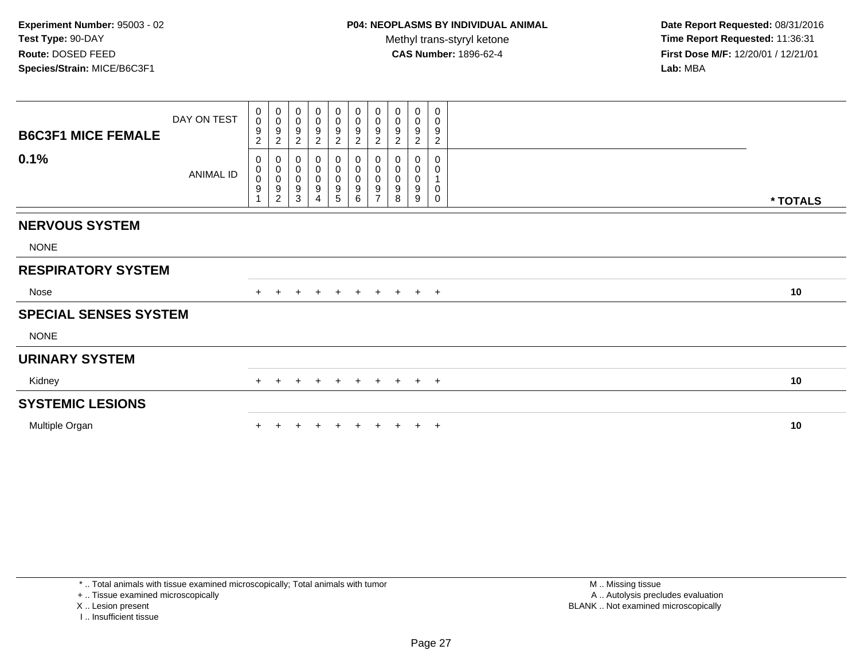**Date Report Requested:** 08/31/2016 **Time Report Requested:** 11:36:31 **First Dose M/F:** 12/20/01 / 12/21/01<br>**Lab:** MBA **Lab:** MBA

| <b>B6C3F1 MICE FEMALE</b>    | DAY ON TEST | 0<br>$\mathsf{O}$<br>9<br>$\overline{c}$ | 0<br>$\boldsymbol{0}$<br>$\boldsymbol{9}$<br>$\overline{2}$             | 0<br>$\pmb{0}$<br>$\frac{9}{2}$                                     | 0<br>0<br>9<br>$\sqrt{2}$                                           | $\mathbf 0$<br>$\pmb{0}$<br>$\frac{9}{2}$                       | 0<br>$_{9}^{\rm 0}$<br>$\boldsymbol{2}$                | 0<br>$\pmb{0}$<br>$\boldsymbol{9}$<br>$\overline{c}$              | 0<br>$\pmb{0}$<br>$\boldsymbol{9}$<br>$\overline{2}$   | 0<br>$\pmb{0}$<br>$\boldsymbol{9}$<br>$\overline{2}$ | 0<br>$\pmb{0}$<br>$\boldsymbol{9}$<br>$\overline{c}$ |          |
|------------------------------|-------------|------------------------------------------|-------------------------------------------------------------------------|---------------------------------------------------------------------|---------------------------------------------------------------------|-----------------------------------------------------------------|--------------------------------------------------------|-------------------------------------------------------------------|--------------------------------------------------------|------------------------------------------------------|------------------------------------------------------|----------|
| 0.1%                         | ANIMAL ID   | 0<br>0<br>0<br>$\boldsymbol{9}$          | $_{\rm 0}^{\rm 0}$<br>$\mathsf 0$<br>$\boldsymbol{9}$<br>$\overline{c}$ | $_{\rm 0}^{\rm 0}$<br>$\pmb{0}$<br>$\boldsymbol{9}$<br>$\mathbf{3}$ | 0<br>$\mathbf 0$<br>$\pmb{0}$<br>$\boldsymbol{9}$<br>$\overline{4}$ | $\begin{smallmatrix}0\0\0\0\end{smallmatrix}$<br>$\overline{5}$ | 0<br>$\pmb{0}$<br>$\mathbf 0$<br>$\boldsymbol{9}$<br>6 | 0<br>$\pmb{0}$<br>$\pmb{0}$<br>$\boldsymbol{9}$<br>$\overline{7}$ | 0<br>$\pmb{0}$<br>$\mathbf 0$<br>$\boldsymbol{9}$<br>8 | 0<br>$\pmb{0}$<br>$\mathbf 0$<br>9<br>9              | $\mathbf 0$<br>$\pmb{0}$<br>1<br>$\pmb{0}$<br>0      | * TOTALS |
| <b>NERVOUS SYSTEM</b>        |             |                                          |                                                                         |                                                                     |                                                                     |                                                                 |                                                        |                                                                   |                                                        |                                                      |                                                      |          |
| <b>NONE</b>                  |             |                                          |                                                                         |                                                                     |                                                                     |                                                                 |                                                        |                                                                   |                                                        |                                                      |                                                      |          |
| <b>RESPIRATORY SYSTEM</b>    |             |                                          |                                                                         |                                                                     |                                                                     |                                                                 |                                                        |                                                                   |                                                        |                                                      |                                                      |          |
| Nose                         |             |                                          | $+$                                                                     | $\ddot{}$                                                           | $+$                                                                 | $+$                                                             | + + + + +                                              |                                                                   |                                                        |                                                      |                                                      | 10       |
| <b>SPECIAL SENSES SYSTEM</b> |             |                                          |                                                                         |                                                                     |                                                                     |                                                                 |                                                        |                                                                   |                                                        |                                                      |                                                      |          |
| <b>NONE</b>                  |             |                                          |                                                                         |                                                                     |                                                                     |                                                                 |                                                        |                                                                   |                                                        |                                                      |                                                      |          |
| <b>URINARY SYSTEM</b>        |             |                                          |                                                                         |                                                                     |                                                                     |                                                                 |                                                        |                                                                   |                                                        |                                                      |                                                      |          |
| Kidney                       |             | $+$                                      | $+$                                                                     | $\ddot{}$                                                           | $+$                                                                 | $+$                                                             | $+$                                                    | $+$                                                               | $+$ $+$ $+$                                            |                                                      |                                                      | 10       |
| <b>SYSTEMIC LESIONS</b>      |             |                                          |                                                                         |                                                                     |                                                                     |                                                                 |                                                        |                                                                   |                                                        |                                                      |                                                      |          |
| Multiple Organ               |             |                                          |                                                                         |                                                                     |                                                                     |                                                                 |                                                        |                                                                   |                                                        |                                                      | $\overline{ }$                                       | 10       |

\* .. Total animals with tissue examined microscopically; Total animals with tumor

+ .. Tissue examined microscopically

X .. Lesion present

I .. Insufficient tissue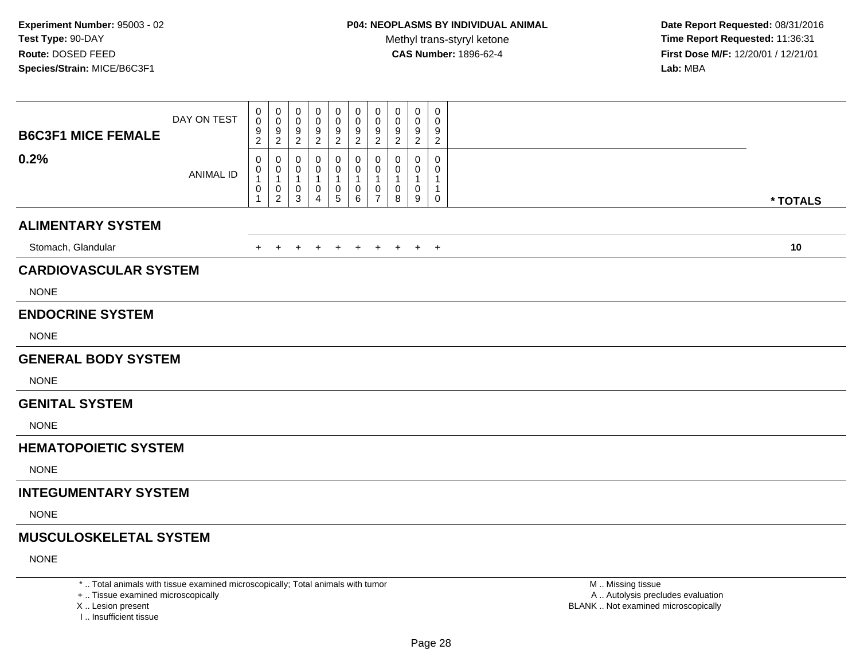**Date Report Requested:** 08/31/2016 **Time Report Requested:** 11:36:31 **First Dose M/F:** 12/20/01 / 12/21/01<br>**Lab:** MBA **Lab:** MBA

| <b>B6C3F1 MICE FEMALE</b>     | DAY ON TEST      | 0<br>$\mathbf 0$<br>$\boldsymbol{9}$<br>$\overline{2}$                    | 0<br>$\boldsymbol{0}$<br>$\frac{9}{2}$                                 | 0<br>0<br>9<br>$\sqrt{2}$                               | 0<br>0<br>9<br>$\overline{2}$      | 0<br>0<br>9<br>$\overline{c}$   | 0<br>0<br>9<br>$\overline{c}$ | 0<br>0<br>9<br>$\overline{2}$                         | 0<br>0<br>9<br>$\overline{2}$    | 0<br>0<br>9<br>$\overline{2}$            | 0<br>$\mathbf 0$<br>9<br>$\overline{2}$              |          |
|-------------------------------|------------------|---------------------------------------------------------------------------|------------------------------------------------------------------------|---------------------------------------------------------|------------------------------------|---------------------------------|-------------------------------|-------------------------------------------------------|----------------------------------|------------------------------------------|------------------------------------------------------|----------|
| 0.2%                          | <b>ANIMAL ID</b> | $\mathbf 0$<br>$\mathbf 0$<br>$\mathbf{1}$<br>$\mathbf 0$<br>$\mathbf{1}$ | 0<br>$\mathbf 0$<br>$\mathbf{1}$<br>$\boldsymbol{0}$<br>$\overline{2}$ | 0<br>$\mathbf 0$<br>$\overline{1}$<br>0<br>$\mathbf{3}$ | 0<br>0<br>1<br>0<br>$\overline{4}$ | 0<br>0<br>1<br>$\mathbf 0$<br>5 | 0<br>0<br>1<br>0<br>6         | 0<br>0<br>$\mathbf{1}$<br>$\pmb{0}$<br>$\overline{7}$ | 0<br>0<br>$\mathbf{1}$<br>0<br>8 | 0<br>0<br>$\mathbf{1}$<br>$\pmb{0}$<br>9 | 0<br>0<br>$\mathbf 1$<br>$\mathbf{1}$<br>$\mathbf 0$ | * TOTALS |
| <b>ALIMENTARY SYSTEM</b>      |                  |                                                                           |                                                                        |                                                         |                                    |                                 |                               |                                                       |                                  |                                          |                                                      |          |
| Stomach, Glandular            |                  | $+$                                                                       | $+$                                                                    | $\div$                                                  | $+$                                | $\pm$                           | $+$                           | $+$                                                   | $+$                              |                                          | $+$ $+$                                              | 10       |
| <b>CARDIOVASCULAR SYSTEM</b>  |                  |                                                                           |                                                                        |                                                         |                                    |                                 |                               |                                                       |                                  |                                          |                                                      |          |
| <b>NONE</b>                   |                  |                                                                           |                                                                        |                                                         |                                    |                                 |                               |                                                       |                                  |                                          |                                                      |          |
| <b>ENDOCRINE SYSTEM</b>       |                  |                                                                           |                                                                        |                                                         |                                    |                                 |                               |                                                       |                                  |                                          |                                                      |          |
| <b>NONE</b>                   |                  |                                                                           |                                                                        |                                                         |                                    |                                 |                               |                                                       |                                  |                                          |                                                      |          |
| <b>GENERAL BODY SYSTEM</b>    |                  |                                                                           |                                                                        |                                                         |                                    |                                 |                               |                                                       |                                  |                                          |                                                      |          |
| <b>NONE</b>                   |                  |                                                                           |                                                                        |                                                         |                                    |                                 |                               |                                                       |                                  |                                          |                                                      |          |
| <b>GENITAL SYSTEM</b>         |                  |                                                                           |                                                                        |                                                         |                                    |                                 |                               |                                                       |                                  |                                          |                                                      |          |
| <b>NONE</b>                   |                  |                                                                           |                                                                        |                                                         |                                    |                                 |                               |                                                       |                                  |                                          |                                                      |          |
| <b>HEMATOPOIETIC SYSTEM</b>   |                  |                                                                           |                                                                        |                                                         |                                    |                                 |                               |                                                       |                                  |                                          |                                                      |          |
| <b>NONE</b>                   |                  |                                                                           |                                                                        |                                                         |                                    |                                 |                               |                                                       |                                  |                                          |                                                      |          |
| <b>INTEGUMENTARY SYSTEM</b>   |                  |                                                                           |                                                                        |                                                         |                                    |                                 |                               |                                                       |                                  |                                          |                                                      |          |
| <b>NONE</b>                   |                  |                                                                           |                                                                        |                                                         |                                    |                                 |                               |                                                       |                                  |                                          |                                                      |          |
| <b>MUSCULOSKELETAL SYSTEM</b> |                  |                                                                           |                                                                        |                                                         |                                    |                                 |                               |                                                       |                                  |                                          |                                                      |          |
| <b>NONE</b>                   |                  |                                                                           |                                                                        |                                                         |                                    |                                 |                               |                                                       |                                  |                                          |                                                      |          |
|                               |                  |                                                                           |                                                                        |                                                         |                                    |                                 |                               |                                                       |                                  |                                          |                                                      |          |

\* .. Total animals with tissue examined microscopically; Total animals with tumor

+ .. Tissue examined microscopically

X .. Lesion present

I .. Insufficient tissue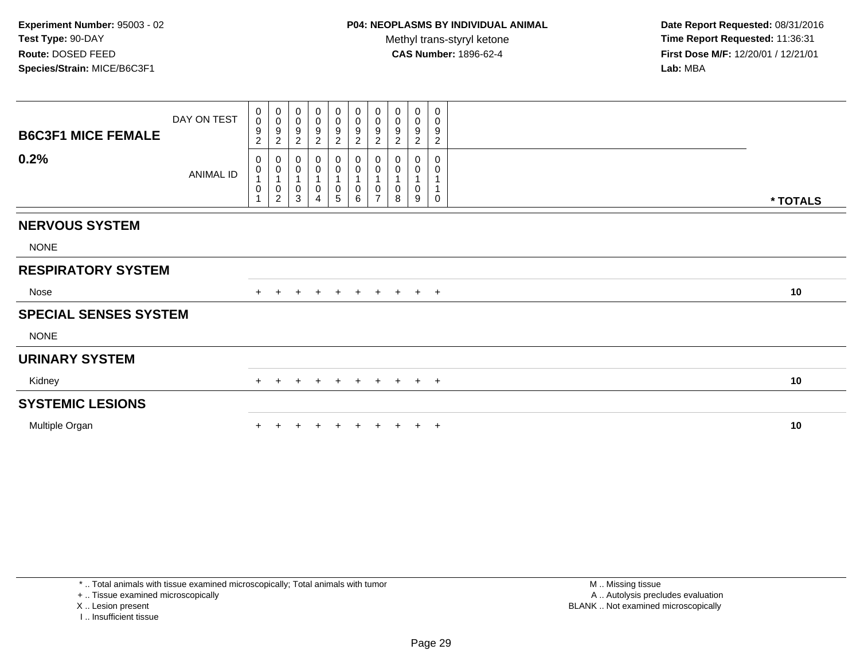**Date Report Requested:** 08/31/2016 **Time Report Requested:** 11:36:31 **First Dose M/F:** 12/20/01 / 12/21/01<br>**Lab:** MBA **Lab:** MBA

| <b>B6C3F1 MICE FEMALE</b>    | DAY ON TEST | 0<br>$\mathbf 0$<br>9<br>$\overline{c}$ | $_0^0$<br>$\overline{9}$<br>$\overline{2}$                           | $\boldsymbol{0}$<br>$\pmb{0}$<br>$\frac{9}{2}$                                       | 0<br>0<br>9<br>$\boldsymbol{2}$ | $\pmb{0}$<br>$\pmb{0}$<br>$\frac{9}{2}$                      | $\mathbf 0$<br>$\mathsf{O}$<br>$\boldsymbol{9}$<br>$\boldsymbol{2}$ | $\pmb{0}$<br>$\pmb{0}$<br>$\boldsymbol{9}$<br>$\sqrt{2}$                                      | 0<br>$\boldsymbol{0}$<br>9<br>$\overline{c}$ | 0<br>0<br>$\boldsymbol{9}$<br>$\overline{2}$ | 0<br>0<br>9<br>$\overline{c}$ |          |
|------------------------------|-------------|-----------------------------------------|----------------------------------------------------------------------|--------------------------------------------------------------------------------------|---------------------------------|--------------------------------------------------------------|---------------------------------------------------------------------|-----------------------------------------------------------------------------------------------|----------------------------------------------|----------------------------------------------|-------------------------------|----------|
| 0.2%                         | ANIMAL ID   | 0<br>$\pmb{0}$<br>1<br>0                | $\begin{matrix} 0 \\ 0 \\ 1 \end{matrix}$<br>$\pmb{0}$<br>$\sqrt{2}$ | $\begin{smallmatrix}0\\0\end{smallmatrix}$<br>$\mathbf{1}$<br>$\,0\,$<br>$\mathsf 3$ | 0<br>0<br>0<br>$\overline{4}$   | $_{\rm 0}^{\rm 0}$<br>$\mathbf 1$<br>$\pmb{0}$<br>$\sqrt{5}$ | $_{\rm 0}^{\rm 0}$<br>$\mathbf{1}$<br>0<br>6                        | $\begin{smallmatrix} 0\\0 \end{smallmatrix}$<br>$\overline{1}$<br>$\pmb{0}$<br>$\overline{7}$ | 0<br>$\pmb{0}$<br>0<br>8                     | 0<br>0<br>0<br>9                             | $\mathbf 0$<br>0<br>0         | * TOTALS |
| <b>NERVOUS SYSTEM</b>        |             |                                         |                                                                      |                                                                                      |                                 |                                                              |                                                                     |                                                                                               |                                              |                                              |                               |          |
| <b>NONE</b>                  |             |                                         |                                                                      |                                                                                      |                                 |                                                              |                                                                     |                                                                                               |                                              |                                              |                               |          |
| <b>RESPIRATORY SYSTEM</b>    |             |                                         |                                                                      |                                                                                      |                                 |                                                              |                                                                     |                                                                                               |                                              |                                              |                               |          |
| Nose                         |             |                                         |                                                                      |                                                                                      | $+$                             | $+$                                                          |                                                                     |                                                                                               | + + + + +                                    |                                              |                               | 10       |
| <b>SPECIAL SENSES SYSTEM</b> |             |                                         |                                                                      |                                                                                      |                                 |                                                              |                                                                     |                                                                                               |                                              |                                              |                               |          |
| <b>NONE</b>                  |             |                                         |                                                                      |                                                                                      |                                 |                                                              |                                                                     |                                                                                               |                                              |                                              |                               |          |
| <b>URINARY SYSTEM</b>        |             |                                         |                                                                      |                                                                                      |                                 |                                                              |                                                                     |                                                                                               |                                              |                                              |                               |          |
| Kidney                       |             | $+$                                     | $\pm$                                                                | $+$                                                                                  | $+$                             | $+$                                                          | $+$                                                                 |                                                                                               | + + + +                                      |                                              |                               | 10       |
| <b>SYSTEMIC LESIONS</b>      |             |                                         |                                                                      |                                                                                      |                                 |                                                              |                                                                     |                                                                                               |                                              |                                              |                               |          |
| Multiple Organ               |             |                                         |                                                                      |                                                                                      |                                 |                                                              |                                                                     |                                                                                               |                                              |                                              | $^+$                          | 10       |

\* .. Total animals with tissue examined microscopically; Total animals with tumor

+ .. Tissue examined microscopically

X .. Lesion present

I .. Insufficient tissue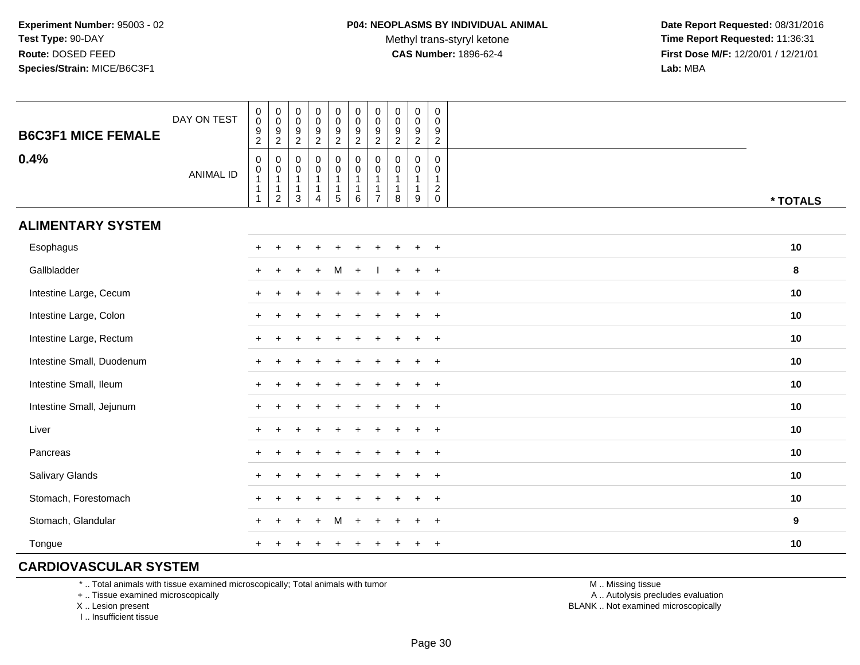Methyl trans-styryl ketone<br>CAS Number: 1896-62-4

 **Date Report Requested:** 08/31/2016 **Time Report Requested:** 11:36:31 **First Dose M/F:** 12/20/01 / 12/21/01<br>**Lab:** MBA **Lab:** MBA

| <b>B6C3F1 MICE FEMALE</b> | DAY ON TEST      | $\pmb{0}$<br>$\overline{0}$<br>$\boldsymbol{9}$<br>$\overline{2}$                         | $\,0\,$<br>$\ddot{\mathbf{0}}$<br>$\boldsymbol{9}$<br>$\overline{2}$ | $\pmb{0}$<br>$\ddot{\mathbf{0}}$<br>$\boldsymbol{9}$<br>$\overline{2}$ | $\begin{array}{c} 0 \\ 0 \\ 9 \\ 2 \end{array}$         | $\begin{smallmatrix} 0\\0 \end{smallmatrix}$<br>$\frac{9}{2}$          | $\pmb{0}$<br>$\ddot{\mathbf{0}}$<br>9<br>$\overline{2}$           | $\pmb{0}$<br>$\mathbf 0$<br>9<br>$\overline{2}$ | $\pmb{0}$<br>$\ddot{\mathbf{0}}$<br>9<br>$\overline{2}$ | $_{\rm 0}^{\rm 0}$<br>$\frac{9}{2}$         | $\mathbf 0$<br>$\mathbf 0$<br>$\boldsymbol{9}$<br>$\overline{2}$            |                  |
|---------------------------|------------------|-------------------------------------------------------------------------------------------|----------------------------------------------------------------------|------------------------------------------------------------------------|---------------------------------------------------------|------------------------------------------------------------------------|-------------------------------------------------------------------|-------------------------------------------------|---------------------------------------------------------|---------------------------------------------|-----------------------------------------------------------------------------|------------------|
| 0.4%                      | <b>ANIMAL ID</b> | $\pmb{0}$<br>$\begin{smallmatrix}0\\1\end{smallmatrix}$<br>$\overline{1}$<br>$\mathbf{1}$ | 0<br>$\pmb{0}$<br>$\mathbf{1}$<br>$\mathbf{1}$<br>$\overline{2}$     | 0<br>0<br>$\mathbf{1}$<br>$\mathbf{1}$<br>3                            | 0<br>$\mathbf 0$<br>1<br>$\mathbf{1}$<br>$\overline{4}$ | $\pmb{0}$<br>$\mathbf 0$<br>$\mathbf{1}$<br>$\mathbf{1}$<br>$\sqrt{5}$ | $\pmb{0}$<br>$\mathbf 0$<br>$\overline{1}$<br>$\overline{1}$<br>6 | 0<br>0<br>$\overline{7}$                        | $\mathbf 0$<br>$\Omega$<br>-1<br>1<br>8                 | 0<br>0<br>$\mathbf{1}$<br>$\mathbf{1}$<br>9 | $\mathbf 0$<br>$\mathbf 0$<br>$\mathbf{1}$<br>$\overline{c}$<br>$\mathsf 0$ | * TOTALS         |
| <b>ALIMENTARY SYSTEM</b>  |                  |                                                                                           |                                                                      |                                                                        |                                                         |                                                                        |                                                                   |                                                 |                                                         |                                             |                                                                             |                  |
| Esophagus                 |                  |                                                                                           |                                                                      |                                                                        |                                                         |                                                                        |                                                                   |                                                 |                                                         |                                             | $+$                                                                         | 10               |
| Gallbladder               |                  |                                                                                           |                                                                      |                                                                        |                                                         |                                                                        |                                                                   |                                                 |                                                         | $\ddot{}$                                   | $+$                                                                         | 8                |
| Intestine Large, Cecum    |                  |                                                                                           |                                                                      |                                                                        |                                                         |                                                                        |                                                                   |                                                 |                                                         |                                             | $\ddot{}$                                                                   | 10               |
| Intestine Large, Colon    |                  |                                                                                           |                                                                      |                                                                        |                                                         |                                                                        |                                                                   |                                                 |                                                         |                                             | $\ddot{}$                                                                   | 10               |
| Intestine Large, Rectum   |                  |                                                                                           |                                                                      |                                                                        |                                                         |                                                                        |                                                                   |                                                 |                                                         | $\div$                                      | $\ddot{}$                                                                   | 10               |
| Intestine Small, Duodenum |                  |                                                                                           |                                                                      |                                                                        |                                                         |                                                                        |                                                                   |                                                 |                                                         | $\ddot{}$                                   | $+$                                                                         | 10               |
| Intestine Small, Ileum    |                  |                                                                                           |                                                                      |                                                                        |                                                         |                                                                        |                                                                   |                                                 |                                                         | $\ddot{}$                                   | $+$                                                                         | 10               |
| Intestine Small, Jejunum  |                  |                                                                                           |                                                                      |                                                                        |                                                         |                                                                        |                                                                   |                                                 |                                                         | $\ddot{}$                                   | $+$                                                                         | 10               |
| Liver                     |                  | $+$                                                                                       |                                                                      |                                                                        |                                                         |                                                                        |                                                                   |                                                 |                                                         |                                             | $+$                                                                         | 10               |
| Pancreas                  |                  | $+$                                                                                       |                                                                      |                                                                        |                                                         |                                                                        |                                                                   |                                                 |                                                         | $\ddot{}$                                   | $+$                                                                         | 10               |
| Salivary Glands           |                  | $\pm$                                                                                     |                                                                      |                                                                        |                                                         |                                                                        |                                                                   |                                                 |                                                         | $\div$                                      | $+$                                                                         | 10               |
| Stomach, Forestomach      |                  |                                                                                           |                                                                      |                                                                        |                                                         |                                                                        |                                                                   |                                                 |                                                         |                                             | $\overline{+}$                                                              | 10               |
| Stomach, Glandular        |                  |                                                                                           |                                                                      |                                                                        |                                                         |                                                                        |                                                                   |                                                 |                                                         |                                             | $\ddot{}$                                                                   | $\boldsymbol{9}$ |
| Tongue                    |                  |                                                                                           |                                                                      |                                                                        |                                                         |                                                                        |                                                                   |                                                 |                                                         | $\ddot{}$                                   | $\overline{+}$                                                              | 10               |

## **CARDIOVASCULAR SYSTEM**

\* .. Total animals with tissue examined microscopically; Total animals with tumor

+ .. Tissue examined microscopically

X .. Lesion present

I .. Insufficient tissue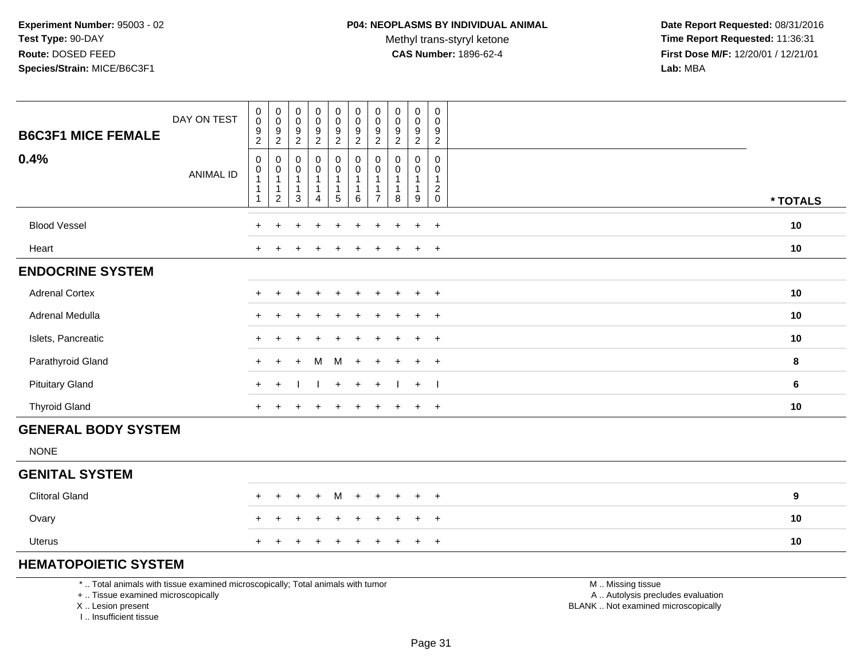Methyl trans-styryl ketone<br>CAS Number: 1896-62-4

 **Date Report Requested:** 08/31/2016 **Time Report Requested:** 11:36:31 **First Dose M/F:** 12/20/01 / 12/21/01<br>**Lab:** MBA **Lab:** MBA

| <b>B6C3F1 MICE FEMALE</b>  | DAY ON TEST      | $_{\rm 0}^{\rm 0}$<br>$\frac{9}{2}$                                                           | $\begin{smallmatrix}0\\0\end{smallmatrix}$<br>$\overline{9}$<br>$\overline{2}$ | $\begin{smallmatrix} 0\\0 \end{smallmatrix}$<br>$\frac{9}{2}$                             | $\begin{array}{c} 0 \\ 0 \\ 9 \\ 2 \end{array}$                    | 0<br>$\frac{0}{9}$                             | $\begin{array}{c} 0 \\ 0 \\ 9 \\ 2 \end{array}$                              | $\pmb{0}$<br>$\pmb{0}$<br>$\boldsymbol{9}$<br>$\sqrt{2}$ | $\begin{smallmatrix} 0\\0 \end{smallmatrix}$<br>$\frac{9}{2}$   | $\mathbf 0$<br>$\frac{0}{9}$                                                  | $\mathsf{O}$<br>$\mathbf 0$<br>$\frac{9}{2}$          |                  |
|----------------------------|------------------|-----------------------------------------------------------------------------------------------|--------------------------------------------------------------------------------|-------------------------------------------------------------------------------------------|--------------------------------------------------------------------|------------------------------------------------|------------------------------------------------------------------------------|----------------------------------------------------------|-----------------------------------------------------------------|-------------------------------------------------------------------------------|-------------------------------------------------------|------------------|
| 0.4%                       | <b>ANIMAL ID</b> | $\mathbf 0$<br>$\begin{smallmatrix}0\\1\end{smallmatrix}$<br>$\overline{1}$<br>$\overline{1}$ | 0<br>$\pmb{0}$<br>$\overline{1}$<br>$\mathbf{1}$<br>$\overline{c}$             | $\mathbf 0$<br>$\begin{smallmatrix}0\\1\end{smallmatrix}$<br>$\mathbf{1}$<br>$\mathbf{3}$ | $\pmb{0}$<br>$\overline{0}$<br>1<br>$\mathbf{1}$<br>$\overline{4}$ | 0<br>0<br>$\mathbf{1}$<br>1<br>$5\phantom{.0}$ | $\boldsymbol{0}$<br>$\pmb{0}$<br>$\overline{1}$<br>$\overline{1}$<br>$\,6\,$ | 0<br>$\pmb{0}$<br>$\mathbf{1}$<br>1<br>$\overline{7}$    | $\mathbf 0$<br>$\pmb{0}$<br>$\overline{1}$<br>$\mathbf{1}$<br>8 | $\mathbf 0$<br>$\begin{smallmatrix}0\1\end{smallmatrix}$<br>$\mathbf{1}$<br>9 | 0<br>0<br>$\mathbf{1}$<br>$\overline{2}$<br>$\pmb{0}$ |                  |
|                            |                  |                                                                                               |                                                                                |                                                                                           |                                                                    |                                                |                                                                              |                                                          |                                                                 |                                                                               |                                                       | * TOTALS         |
| <b>Blood Vessel</b>        |                  | $+$                                                                                           | $\ddot{}$                                                                      | $\ddot{}$                                                                                 | $\ddot{}$                                                          | $\ddot{}$                                      | $+$                                                                          | $\ddot{}$                                                | $\ddot{}$                                                       | $+$                                                                           | $+$                                                   | 10               |
| Heart                      |                  | $\div$                                                                                        |                                                                                |                                                                                           | $\div$                                                             | ÷                                              |                                                                              |                                                          |                                                                 | $\overline{+}$                                                                | $+$                                                   | 10               |
| <b>ENDOCRINE SYSTEM</b>    |                  |                                                                                               |                                                                                |                                                                                           |                                                                    |                                                |                                                                              |                                                          |                                                                 |                                                                               |                                                       |                  |
| <b>Adrenal Cortex</b>      |                  | $\pm$                                                                                         | $\ddot{}$                                                                      |                                                                                           | $\div$                                                             | $\div$                                         |                                                                              |                                                          |                                                                 | $\ddot{}$                                                                     | $+$                                                   | 10               |
| Adrenal Medulla            |                  | $\ddot{}$                                                                                     | ÷                                                                              |                                                                                           |                                                                    |                                                |                                                                              |                                                          |                                                                 | $\ddot{}$                                                                     | $+$                                                   | 10               |
| Islets, Pancreatic         |                  | $\ddot{}$                                                                                     |                                                                                |                                                                                           |                                                                    |                                                |                                                                              |                                                          |                                                                 | $\ddot{}$                                                                     | $+$                                                   | 10               |
| Parathyroid Gland          |                  | $+$                                                                                           | $\div$                                                                         | $\div$                                                                                    | м                                                                  | M                                              | $+$                                                                          | $\ddot{}$                                                |                                                                 | $+$                                                                           | $+$                                                   | $\bf8$           |
| <b>Pituitary Gland</b>     |                  | $+$                                                                                           | $\ddot{}$                                                                      |                                                                                           |                                                                    | $+$                                            | $+$                                                                          | $+$                                                      |                                                                 | $+$                                                                           | $\blacksquare$                                        | 6                |
| <b>Thyroid Gland</b>       |                  | $+$                                                                                           |                                                                                |                                                                                           | $\ddot{}$                                                          | $\ddot{}$                                      | $\ddot{}$                                                                    | $\ddot{}$                                                |                                                                 | $+$                                                                           | $+$                                                   | 10               |
| <b>GENERAL BODY SYSTEM</b> |                  |                                                                                               |                                                                                |                                                                                           |                                                                    |                                                |                                                                              |                                                          |                                                                 |                                                                               |                                                       |                  |
| <b>NONE</b>                |                  |                                                                                               |                                                                                |                                                                                           |                                                                    |                                                |                                                                              |                                                          |                                                                 |                                                                               |                                                       |                  |
| <b>GENITAL SYSTEM</b>      |                  |                                                                                               |                                                                                |                                                                                           |                                                                    |                                                |                                                                              |                                                          |                                                                 |                                                                               |                                                       |                  |
| <b>Clitoral Gland</b>      |                  |                                                                                               | ÷                                                                              |                                                                                           | $\ddot{}$                                                          | м                                              | $\div$                                                                       | $\div$                                                   | ÷                                                               | $\overline{+}$                                                                | $+$                                                   | $\boldsymbol{9}$ |
| Ovary                      |                  | $\div$                                                                                        |                                                                                |                                                                                           | $\div$                                                             | $\ddot{}$                                      | $\ddot{}$                                                                    | $\div$                                                   |                                                                 | $+$                                                                           | $+$                                                   | 10               |
| Uterus                     |                  |                                                                                               |                                                                                |                                                                                           |                                                                    |                                                |                                                                              |                                                          |                                                                 | $\overline{+}$                                                                | $+$                                                   | 10               |
|                            |                  |                                                                                               |                                                                                |                                                                                           |                                                                    |                                                |                                                                              |                                                          |                                                                 |                                                                               |                                                       |                  |

# **HEMATOPOIETIC SYSTEM**

\* .. Total animals with tissue examined microscopically; Total animals with tumor

+ .. Tissue examined microscopically

X .. Lesion present

I .. Insufficient tissue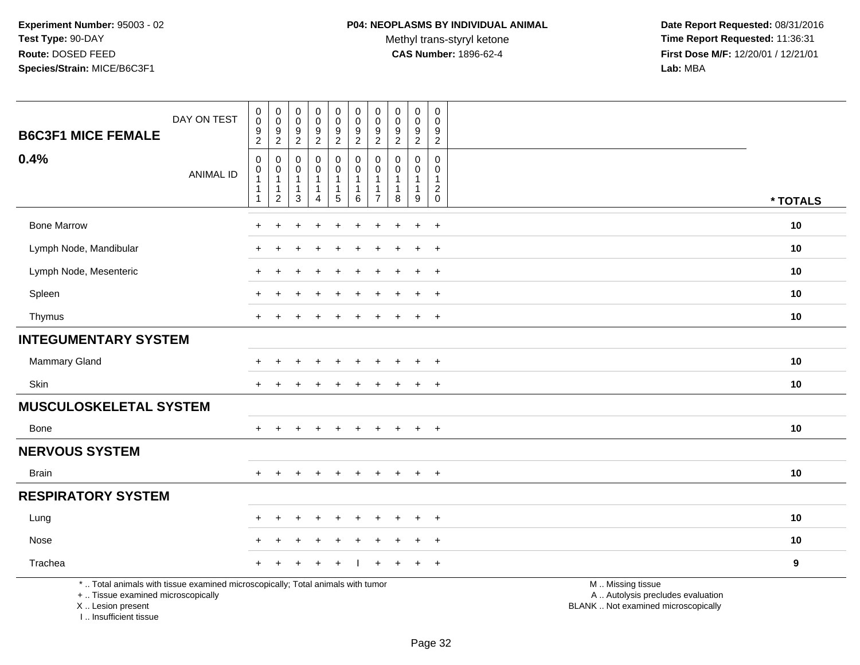Methyl trans-styryl ketone<br>CAS Number: 1896-62-4

 **Date Report Requested:** 08/31/2016 **Time Report Requested:** 11:36:31 **First Dose M/F:** 12/20/01 / 12/21/01<br>Lab: MBA **Lab:** MBA

| DAY ON TEST<br><b>B6C3F1 MICE FEMALE</b>                                                                                                   | $_{\rm 0}^{\rm 0}$<br>$\boldsymbol{9}$<br>$\overline{2}$                                | $\pmb{0}$<br>$\boldsymbol{0}$<br>$\boldsymbol{9}$<br>$\overline{c}$        | 0<br>0<br>$\boldsymbol{9}$<br>$\overline{c}$          | $\begin{smallmatrix}0\0\0\end{smallmatrix}$<br>9<br>$\overline{a}$ | $_{\rm 0}^{\rm 0}$<br>$\boldsymbol{9}$<br>$\overline{a}$                                   | $\pmb{0}$<br>$\pmb{0}$<br>$\boldsymbol{9}$<br>$\overline{2}$          | 0<br>$\mathbf 0$<br>9<br>$\boldsymbol{2}$    | $\mathsf 0$<br>$\mathbf 0$<br>9<br>$\overline{c}$ | $\pmb{0}$<br>$\pmb{0}$<br>$\boldsymbol{9}$<br>$\overline{2}$    | $\mathsf 0$<br>$\Omega$<br>9<br>$\sqrt{2}$                                       |                                                                                               |                  |
|--------------------------------------------------------------------------------------------------------------------------------------------|-----------------------------------------------------------------------------------------|----------------------------------------------------------------------------|-------------------------------------------------------|--------------------------------------------------------------------|--------------------------------------------------------------------------------------------|-----------------------------------------------------------------------|----------------------------------------------|---------------------------------------------------|-----------------------------------------------------------------|----------------------------------------------------------------------------------|-----------------------------------------------------------------------------------------------|------------------|
| 0.4%<br><b>ANIMAL ID</b>                                                                                                                   | $\boldsymbol{0}$<br>$\boldsymbol{0}$<br>$\overline{1}$<br>$\mathbf 1$<br>$\overline{1}$ | $\mathbf 0$<br>$\pmb{0}$<br>$\mathbf{1}$<br>$\mathbf{1}$<br>$\overline{c}$ | $\mathbf 0$<br>0<br>$\mathbf{1}$<br>$\mathbf{1}$<br>3 | 0<br>$\mathbf 0$<br>$\mathbf{1}$<br>$\mathbf{1}$<br>$\overline{4}$ | $\mathbf 0$<br>$\mathsf{O}\xspace$<br>$\mathbf 1$<br>$\begin{array}{c} 1 \\ 5 \end{array}$ | $\mathbf 0$<br>$\pmb{0}$<br>$\overline{1}$<br>$\mathbf{1}$<br>$\,6\,$ | $\Omega$<br>$\Omega$<br>-1<br>$\overline{7}$ | $\Omega$<br>$\Omega$<br>$\mathbf{1}$<br>1<br>8    | $\mathbf 0$<br>$\mathbf 0$<br>$\mathbf{1}$<br>$\mathbf{1}$<br>9 | $\mathbf 0$<br>$\mathbf{0}$<br>$\mathbf{1}$<br>$\sqrt{2}$<br>$\mathsf{O}\xspace$ |                                                                                               | * TOTALS         |
| <b>Bone Marrow</b>                                                                                                                         |                                                                                         | ٠                                                                          |                                                       |                                                                    |                                                                                            |                                                                       |                                              |                                                   | $\ddot{}$                                                       | $+$                                                                              |                                                                                               | 10               |
| Lymph Node, Mandibular                                                                                                                     |                                                                                         |                                                                            |                                                       |                                                                    |                                                                                            |                                                                       |                                              |                                                   |                                                                 | $+$                                                                              |                                                                                               | 10               |
| Lymph Node, Mesenteric                                                                                                                     |                                                                                         |                                                                            |                                                       |                                                                    |                                                                                            |                                                                       |                                              |                                                   | $\ddot{}$                                                       | $\overline{+}$                                                                   |                                                                                               | 10               |
| Spleen                                                                                                                                     |                                                                                         |                                                                            |                                                       |                                                                    |                                                                                            |                                                                       |                                              |                                                   | $\ddot{}$                                                       | $+$                                                                              |                                                                                               | 10               |
| Thymus                                                                                                                                     | $+$                                                                                     |                                                                            |                                                       |                                                                    |                                                                                            |                                                                       | $\pm$                                        |                                                   | $\ddot{}$                                                       | $+$                                                                              |                                                                                               | 10               |
| <b>INTEGUMENTARY SYSTEM</b>                                                                                                                |                                                                                         |                                                                            |                                                       |                                                                    |                                                                                            |                                                                       |                                              |                                                   |                                                                 |                                                                                  |                                                                                               |                  |
| Mammary Gland                                                                                                                              |                                                                                         |                                                                            |                                                       |                                                                    |                                                                                            |                                                                       |                                              |                                                   | $\pm$                                                           | $\overline{+}$                                                                   |                                                                                               | 10               |
| Skin                                                                                                                                       |                                                                                         |                                                                            |                                                       |                                                                    |                                                                                            |                                                                       |                                              |                                                   | $\ddot{}$                                                       | $+$                                                                              |                                                                                               | 10               |
| <b>MUSCULOSKELETAL SYSTEM</b>                                                                                                              |                                                                                         |                                                                            |                                                       |                                                                    |                                                                                            |                                                                       |                                              |                                                   |                                                                 |                                                                                  |                                                                                               |                  |
| Bone                                                                                                                                       |                                                                                         |                                                                            |                                                       |                                                                    |                                                                                            |                                                                       |                                              |                                                   |                                                                 | $\ddot{}$                                                                        |                                                                                               | 10               |
| <b>NERVOUS SYSTEM</b>                                                                                                                      |                                                                                         |                                                                            |                                                       |                                                                    |                                                                                            |                                                                       |                                              |                                                   |                                                                 |                                                                                  |                                                                                               |                  |
| <b>Brain</b>                                                                                                                               | $+$                                                                                     | $+$                                                                        | $\ddot{}$                                             | $\ddot{}$                                                          | $\ddot{}$                                                                                  | $+$                                                                   | $\ddot{}$                                    | $+$                                               | $+$                                                             | $+$                                                                              |                                                                                               | 10               |
| <b>RESPIRATORY SYSTEM</b>                                                                                                                  |                                                                                         |                                                                            |                                                       |                                                                    |                                                                                            |                                                                       |                                              |                                                   |                                                                 |                                                                                  |                                                                                               |                  |
| Lung                                                                                                                                       |                                                                                         |                                                                            |                                                       |                                                                    |                                                                                            |                                                                       |                                              |                                                   |                                                                 | $\ddot{}$                                                                        |                                                                                               | 10               |
| Nose                                                                                                                                       |                                                                                         |                                                                            |                                                       |                                                                    |                                                                                            |                                                                       |                                              |                                                   | $\div$                                                          | $+$                                                                              |                                                                                               | 10               |
| Trachea                                                                                                                                    |                                                                                         |                                                                            |                                                       |                                                                    |                                                                                            |                                                                       |                                              |                                                   |                                                                 | $+$                                                                              |                                                                                               | $\boldsymbol{9}$ |
| *  Total animals with tissue examined microscopically; Total animals with tumor<br>+  Tissue examined microscopically<br>X  Lesion present |                                                                                         |                                                                            |                                                       |                                                                    |                                                                                            |                                                                       |                                              |                                                   |                                                                 |                                                                                  | M  Missing tissue<br>A  Autolysis precludes evaluation<br>BLANK  Not examined microscopically |                  |

I .. Insufficient tissue